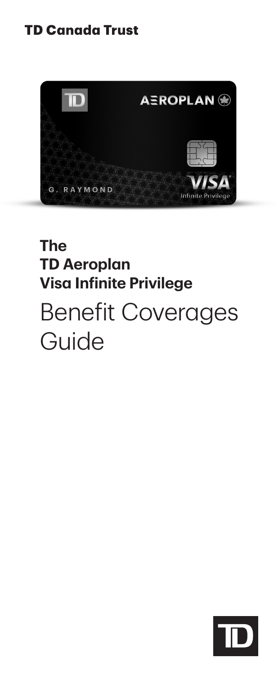## **TD Canada Trust**



## **The TD Aeroplan Visa Infinite Privilege**

# Benefit Coverages Guide

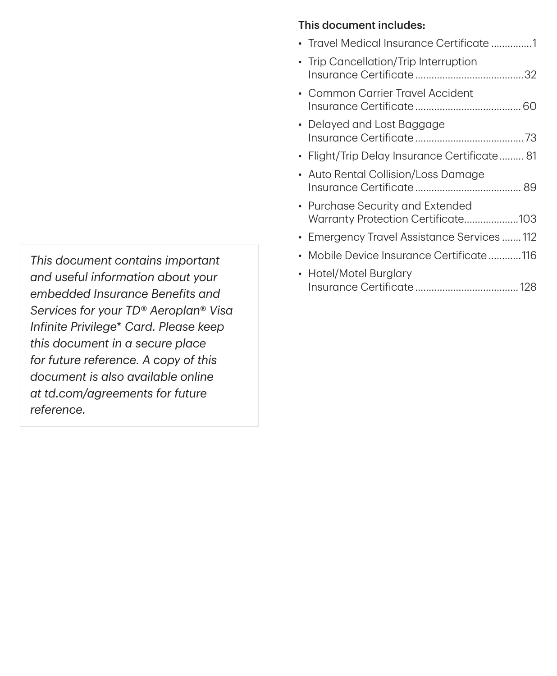*This document contains important and useful information about your embedded Insurance Benefits and Services for your TD*® *Aeroplan*® *Visa Infinite Privilege*\* *Card. Please keep this document in a secure place for future reference. A copy of this document is also available online at [td.com/agreements](https://td.com/agreements) for future reference.*

#### This document includes:

| • Travel Medical Insurance Certificate 1                               |
|------------------------------------------------------------------------|
| • Trip Cancellation/Trip Interruption                                  |
| • Common Carrier Travel Accident                                       |
| • Delayed and Lost Baggage                                             |
| • Flight/Trip Delay Insurance Certificate 81                           |
| • Auto Rental Collision/Loss Damage                                    |
| • Purchase Security and Extended<br>Warranty Protection Certificate103 |
| • Emergency Travel Assistance Services  112                            |
| • Mobile Device Insurance Certificate 116                              |
| • Hotel/Motel Burglary                                                 |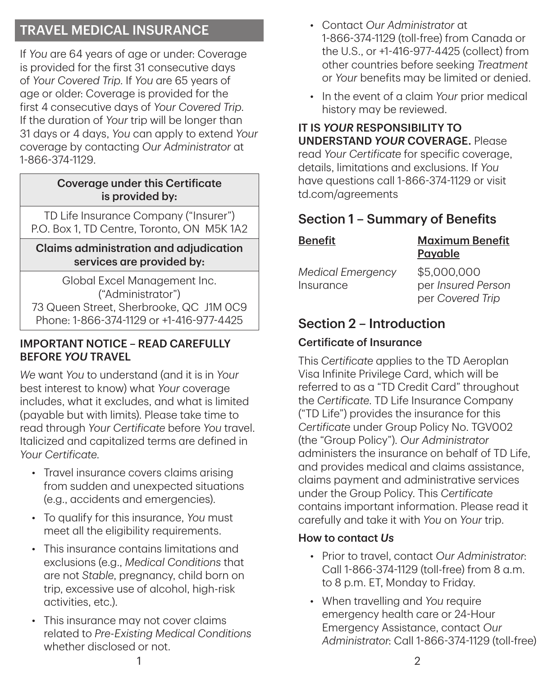## TRAVEL MEDICAL INSURANCE

If *You* are 64 years of age or under: Coverage is provided for the first 31 consecutive days of *Your Covered Trip*. If *You* are 65 years of age or older: Coverage is provided for the first 4 consecutive days of *Your Covered Trip*. If the duration of *Your* trip will be longer than 31 days or 4 days, *You* can apply to extend *Your* coverage by contacting *Our Administrator* at 1‑866‑374‑1129.

#### Coverage under this Certificate is provided by:

TD Life Insurance Company ("Insurer") P.O. Box 1, TD Centre, Toronto, ON M5K 1A2

#### Claims administration and adjudication services are provided by:

Global Excel Management Inc. ("Administrator") 73 Queen Street, Sherbrooke, QC J1M 0C9 Phone: 1‑866‑374‑1129 or +1‑416‑977‑4425

#### IMPORTANT NOTICE – READ CAREFULLY BEFORE *YOU* TRAVEL

*We* want *You* to understand (and it is in *Your* best interest to know) what *Your* coverage includes, what it excludes, and what is limited (payable but with limits). Please take time to read through *Your Certificate* before *You* travel. Italicized and capitalized terms are defined in *Your Certificate*.

- Travel insurance covers claims arising from sudden and unexpected situations (e.g., accidents and emergencies).
- To qualify for this insurance, *You* must meet all the eligibility requirements.
- This insurance contains limitations and exclusions (e.g., *Medical Conditions* that are not *Stable*, pregnancy, child born on trip, excessive use of alcohol, high-risk activities, etc.).
- This insurance may not cover claims related to *Pre‑Existing Medical Conditions* whether disclosed or not.
- Contact *Our Administrator* at 1‑866‑374‑1129 (toll-free) from Canada or the U.S., or +1‑416‑977‑4425 (collect) from other countries before seeking *Treatment* or *Your* benefits may be limited or denied.
- In the event of a claim *Your* prior medical history may be reviewed.

IT IS *YOUR* RESPONSIBILITY TO UNDERSTAND *YOUR* COVERAGE. Please read *Your Certificate* for specific coverage, details, limitations and exclusions. If *You* have questions call 1‑866‑374‑1129 or visit td.com/agreements

## Section 1 – Summary of Benefits

| <b>Benefit</b>                        | <b>Maximum Benefit</b><br>Payable                     |
|---------------------------------------|-------------------------------------------------------|
| <b>Medical Emergency</b><br>Insurance | \$5,000,000<br>per Insured Person<br>per Covered Trip |

## Section 2 – Introduction

### Certificate of Insurance

This *Certificate* applies to the TD Aeroplan Visa Infinite Privilege Card, which will be referred to as a "TD Credit Card" throughout the *Certificate*. TD Life Insurance Company ("TD Life") provides the insurance for this *Certificate* under Group Policy No. TGV002 (the "Group Policy"). *Our Administrator* administers the insurance on behalf of TD Life, and provides medical and claims assistance, claims payment and administrative services under the Group Policy. This *Certificate* contains important information. Please read it carefully and take it with *You* on *Your* trip.

### How to contact *Us*

- Prior to travel, contact *Our Administrator*: Call 1‑866‑374‑1129 (toll-free) from 8 a.m. to 8 p.m. ET, Monday to Friday.
- When travelling and *You* require emergency health care or 24‑Hour Emergency Assistance, contact *Our Administrator*: Call 1‑866‑374‑1129 (toll-free)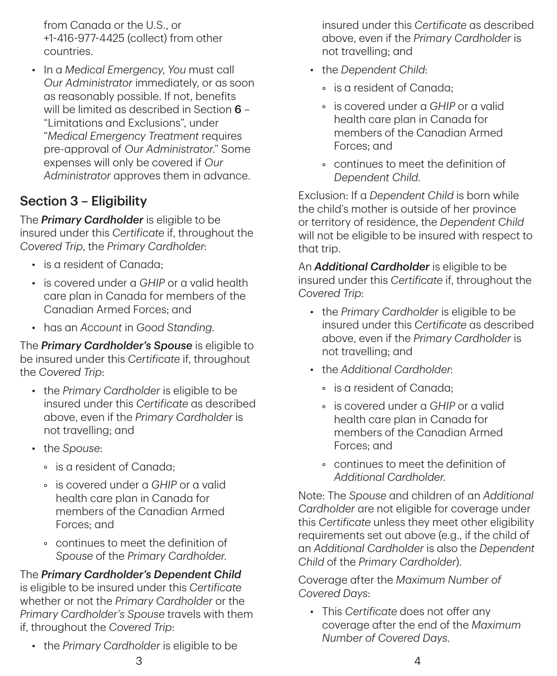from Canada or the U.S., or +1‑416‑977‑4425 (collect) from other countries.

• In a *Medical Emergency*, *You* must call *Our Administrator* immediately, or as soon as reasonably possible. If not, benefits will be limited as described in Section 6 -"Limitations and Exclusions", under "*Medical Emergency Treatment* requires pre-approval of *Our Administrator*." Some expenses will only be covered if *Our Administrator* approves them in advance.

## Section 3 – Eligibility

The *Primary Cardholder* is eligible to be insured under this *Certificate* if, throughout the *Covered Trip*, the *Primary Cardholder*:

- is a resident of Canada;
- is covered under a *GHIP* or a valid health care plan in Canada for members of the Canadian Armed Forces; and
- has an *Account* in *Good Standing*.

The *Primary Cardholder's Spouse* is eligible to be insured under this *Certificate* if, throughout the *Covered Trip*:

- the *Primary Cardholder* is eligible to be insured under this *Certificate* as described above, even if the *Primary Cardholder* is not travelling; and
- the *Spouse*:
	- is a resident of Canada;
	- is covered under a *GHIP* or a valid health care plan in Canada for members of the Canadian Armed Forces; and
	- continues to meet the definition of *Spouse* of the *Primary Cardholder*.

The *Primary Cardholder's Dependent Child* is eligible to be insured under this *Certificate* whether or not the *Primary Cardholder* or the *Primary Cardholder's Spouse* travels with them if, throughout the *Covered Trip*:

• the *Primary Cardholder* is eligible to be

insured under this *Certificate* as described above, even if the *Primary Cardholder* is not travelling; and

- the *Dependent Child*:
	- is a resident of Canada;
	- is covered under a *GHIP* or a valid health care plan in Canada for members of the Canadian Armed Forces; and
	- continues to meet the definition of *Dependent Child*.

Exclusion: If a *Dependent Child* is born while the child's mother is outside of her province or territory of residence, the *Dependent Child* will not be eligible to be insured with respect to that trip.

An *Additional Cardholder* is eligible to be insured under this *Certificate* if, throughout the *Covered Trip*:

- the *Primary Cardholder* is eligible to be insured under this *Certificate* as described above, even if the *Primary Cardholder* is not travelling; and
- the *Additional Cardholder*:
	- is a resident of Canada;
	- is covered under a *GHIP* or a valid health care plan in Canada for members of the Canadian Armed Forces; and
	- continues to meet the definition of *Additional Cardholder*.

Note: The *Spouse* and children of an *Additional Cardholder* are not eligible for coverage under this *Certificate* unless they meet other eligibility requirements set out above (e.g., if the child of an *Additional Cardholder* is also the *Dependent Child* of the *Primary Cardholder*).

Coverage after the *Maximum Number of Covered Days*:

• This *Certificate* does not offer any coverage after the end of the *Maximum Number of Covered Days*.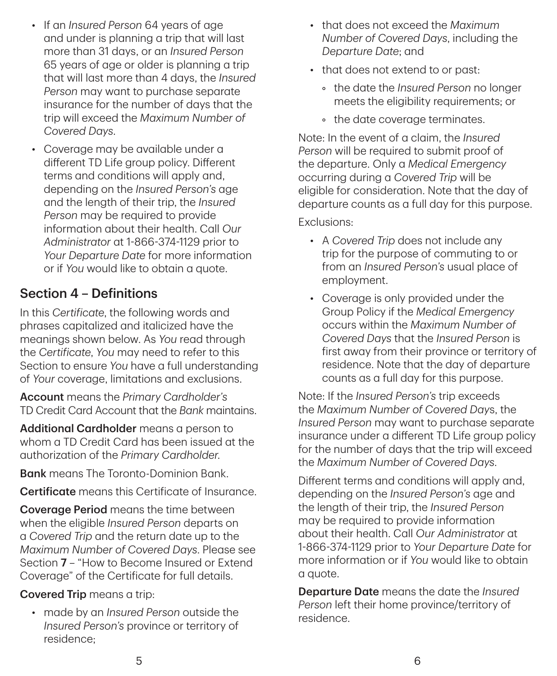- If an *Insured Person* 64 years of age and under is planning a trip that will last more than 31 days, or an *Insured Person* 65 years of age or older is planning a trip that will last more than 4 days, the *Insured Person* may want to purchase separate insurance for the number of days that the trip will exceed the *Maximum Number of Covered Days*.
- Coverage may be available under a different TD Life group policy. Different terms and conditions will apply and, depending on the *Insured Person's* age and the length of their trip, the *Insured Person* may be required to provide information about their health. Call *Our Administrator* at 1‑866‑374‑1129 prior to *Your Departure Date* for more information or if *You* would like to obtain a quote.

## Section 4 – Definitions

In this *Certificate*, the following words and phrases capitalized and italicized have the meanings shown below. As *You* read through the *Certificate*, *You* may need to refer to this Section to ensure *You* have a full understanding of *Your* coverage, limitations and exclusions.

Account means the *Primary Cardholder's* TD Credit Card Account that the *Bank* maintains.

Additional Cardholder means a person to whom a TD Credit Card has been issued at the authorization of the *Primary Cardholder*.

**Bank** means The Toronto-Dominion Bank.

Certificate means this Certificate of Insurance.

**Coverage Period** means the time between when the eligible *Insured Person* departs on a *Covered Trip* and the return date up to the *Maximum Number of Covered Days*. Please see Section 7 – "How to Become Insured or Extend Coverage" of the Certificate for full details.

### Covered Trip means a trip:

• made by an *Insured Person* outside the *Insured Person's* province or territory of residence;

- that does not exceed the *Maximum Number of Covered Days*, including the *Departure Date*; and
- that does not extend to or past:
	- the date the *Insured Person* no longer meets the eligibility requirements; or
	- the date coverage terminates.

Note: In the event of a claim, the *Insured Person* will be required to submit proof of the departure. Only a *Medical Emergency* occurring during a *Covered Trip* will be eligible for consideration. Note that the day of departure counts as a full day for this purpose.

#### Exclusions:

- A *Covered Trip* does not include any trip for the purpose of commuting to or from an *Insured Person's* usual place of employment.
- Coverage is only provided under the Group Policy if the *Medical Emergency* occurs within the *Maximum Number of Covered Days* that the *Insured Person* is first away from their province or territory of residence. Note that the day of departure counts as a full day for this purpose.

Note: If the *Insured Person's* trip exceeds the *Maximum Number of Covered Day*s, the *Insured Person* may want to purchase separate insurance under a different TD Life group policy for the number of days that the trip will exceed the *Maximum Number of Covered Days*.

Different terms and conditions will apply and, depending on the *Insured Person's* age and the length of their trip, the *Insured Person* may be required to provide information about their health. Call *Our Administrator* at 1‑866‑374‑1129 prior to *Your Departure Date* for more information or if *You* would like to obtain a quote.

Departure Date means the date the *Insured Person* left their home province/territory of residence.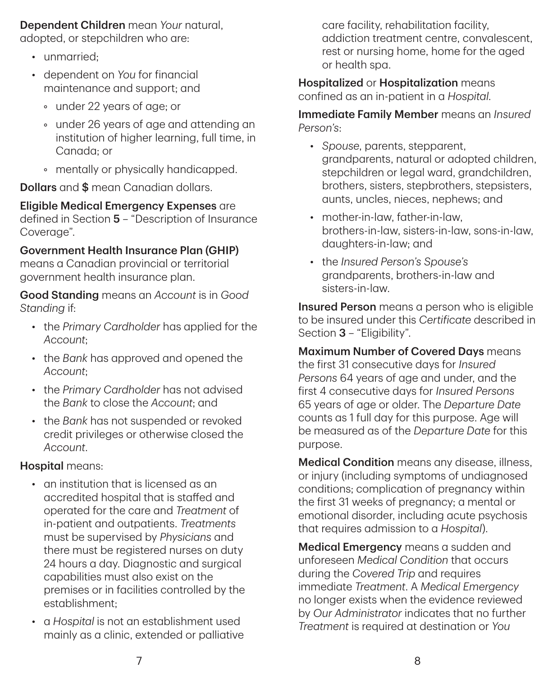Dependent Children mean *Your* natural, adopted, or stepchildren who are:

- unmarried:
- dependent on *You* for financial maintenance and support; and
	- under 22 years of age; or
	- under 26 years of age and attending an institution of higher learning, full time, in Canada; or
	- mentally or physically handicapped.

**Dollars** and \$ mean Canadian dollars.

Eligible Medical Emergency Expenses are defined in Section 5 – "Description of Insurance Coverage".

#### Government Health Insurance Plan (GHIP)

means a Canadian provincial or territorial government health insurance plan.

Good Standing means an *Account* is in *Good Standing* if:

- the *Primary Cardholder* has applied for the *Account*;
- the *Bank* has approved and opened the *Account*;
- the *Primary Cardholder* has not advised the *Bank* to close the *Account*; and
- the *Bank* has not suspended or revoked credit privileges or otherwise closed the *Account*.

#### Hospital means:

- an institution that is licensed as an accredited hospital that is staffed and operated for the care and *Treatment* of in-patient and outpatients. *Treatments* must be supervised by *Physicians* and there must be registered nurses on duty 24 hours a day. Diagnostic and surgical capabilities must also exist on the premises or in facilities controlled by the establishment;
- a *Hospital* is not an establishment used mainly as a clinic, extended or palliative

care facility, rehabilitation facility, addiction treatment centre, convalescent, rest or nursing home, home for the aged or health spa.

Hospitalized or Hospitalization means confined as an in-patient in a *Hospital*.

Immediate Family Member means an *Insured Person's*:

- *Spouse*, parents, stepparent, grandparents, natural or adopted children, stepchildren or legal ward, grandchildren, brothers, sisters, stepbrothers, stepsisters, aunts, uncles, nieces, nephews; and
- mother-in-law, father-in-law, brothers-in-law, sisters-in-law, sons-in-law, daughters-in-law; and
- the *Insured Person's Spouse's* grandparents, brothers-in-law and sisters-in-law.

Insured Person means a person who is eligible to be insured under this *Certificate* described in Section 3 - "Eligibility".

Maximum Number of Covered Days means the first 31 consecutive days for *Insured Persons* 64 years of age and under, and the first 4 consecutive days for *Insured Persons* 65 years of age or older. The *Departure Date* counts as 1 full day for this purpose. Age will be measured as of the *Departure Date* for this purpose.

Medical Condition means any disease, illness, or injury (including symptoms of undiagnosed conditions; complication of pregnancy within the first 31 weeks of pregnancy; a mental or emotional disorder, including acute psychosis that requires admission to a *Hospital*).

Medical Emergency means a sudden and unforeseen *Medical Condition* that occurs during the *Covered Trip* and requires immediate *Treatment*. A *Medical Emergency* no longer exists when the evidence reviewed by *Our Administrator* indicates that no further *Treatment* is required at destination or *You*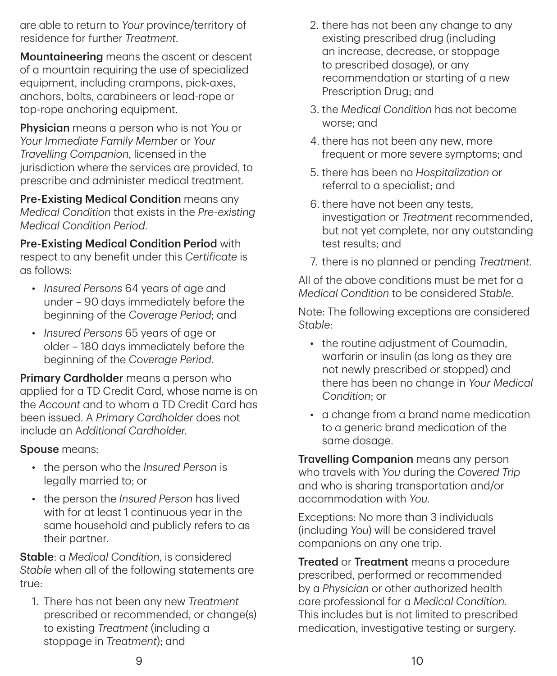are able to return to *Your* province/territory of residence for further *Treatment*.

Mountaineering means the ascent or descent of a mountain requiring the use of specialized equipment, including crampons, pick-axes, anchors, bolts, carabineers or lead-rope or top-rope anchoring equipment.

Physician means a person who is not *You* or *Your Immediate Family Member* or *Your Travelling Companion*, licensed in the jurisdiction where the services are provided, to prescribe and administer medical treatment.

Pre‑Existing Medical Condition means any *Medical Condition* that exists in the *Pre‑existing Medical Condition Period*.

Pre‑Existing Medical Condition Period with respect to any benefit under this *Certificate* is as follows:

- *Insured Persons* 64 years of age and under – 90 days immediately before the beginning of the *Coverage Period*; and
- *Insured Persons* 65 years of age or older – 180 days immediately before the beginning of the *Coverage Period*.

Primary Cardholder means a person who applied for a TD Credit Card, whose name is on the *Account* and to whom a TD Credit Card has been issued. A *Primary Cardholder* does not include an A*dditional Cardholder*.

#### Spouse means:

- the person who the *Insured Person* is legally married to; or
- the person the *Insured Person* has lived with for at least 1 continuous year in the same household and publicly refers to as their partner.

Stable: a *Medical Condition*, is considered *Stable* when all of the following statements are true:

1. There has not been any new *Treatment* prescribed or recommended, or change(s) to existing *Treatment* (including a stoppage in *Treatment*); and

- 2. there has not been any change to any existing prescribed drug (including an increase, decrease, or stoppage to prescribed dosage), or any recommendation or starting of a new Prescription Drug; and
- 3. the *Medical Condition* has not become worse; and
- 4. there has not been any new, more frequent or more severe symptoms; and
- 5. there has been no *Hospitalization* or referral to a specialist; and
- 6. there have not been any tests, investigation or *Treatment* recommended, but not yet complete, nor any outstanding test results; and
- 7. there is no planned or pending *Treatment*.

All of the above conditions must be met for a *Medical Condition* to be considered *Stable*.

Note: The following exceptions are considered *Stable*:

- the routine adjustment of Coumadin, warfarin or insulin (as long as they are not newly prescribed or stopped) and there has been no change in *Your Medical Condition*; or
- a change from a brand name medication to a generic brand medication of the same dosage.

**Travelling Companion** means any person who travels with *You* during the *Covered Trip* and who is sharing transportation and/or accommodation with *You*.

Exceptions: No more than 3 individuals (including *You*) will be considered travel companions on any one trip.

**Treated or Treatment** means a procedure prescribed, performed or recommended by a *Physician* or other authorized health care professional for a *Medical Condition*. This includes but is not limited to prescribed medication, investigative testing or surgery.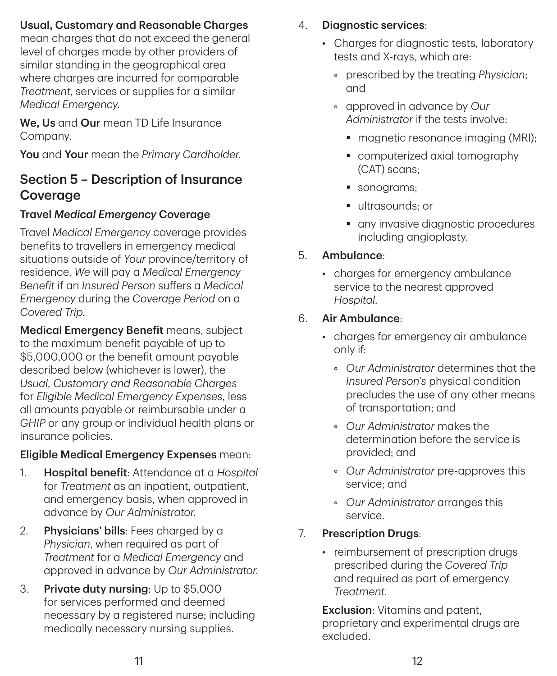### Usual, Customary and Reasonable Charges

mean charges that do not exceed the general level of charges made by other providers of similar standing in the geographical area where charges are incurred for comparable *Treatment*, services or supplies for a similar *Medical Emergency*.

We. Us and Our mean TD Life Insurance Company.

You and Your mean the *Primary Cardholder*.

## Section 5 – Description of Insurance Coverage

### Travel *Medical Emergency* Coverage

Travel *Medical Emergency* coverage provides benefits to travellers in emergency medical situations outside of *Your* province/territory of residence. *We* will pay a *Medical Emergency Benefit* if an *Insured Person* suffers a *Medical Emergency* during the *Coverage Period* on a *Covered Trip*.

Medical Emergency Benefit means, subject to the maximum benefit payable of up to \$5,000,000 or the benefit amount payable described below (whichever is lower), the *Usual, Customary and Reasonable Charges* for *Eligible Medical Emergency Expenses*, less all amounts payable or reimbursable under a *GHIP* or any group or individual health plans or insurance policies.

#### Eligible Medical Emergency Expenses mean:

- 1. Hospital benefit: Attendance at a *Hospital* for *Treatment* as an inpatient, outpatient, and emergency basis, when approved in advance by *Our Administrator*.
- 2. **Physicians' bills**: Fees charged by a *Physician*, when required as part of *Treatment* for a *Medical Emergency* and approved in advance by *Our Administrator*.
- 3. Private duty nursing: Up to \$5,000 for services performed and deemed necessary by a registered nurse; including medically necessary nursing supplies.

### 4. Diagnostic services:

- Charges for diagnostic tests, laboratory tests and X-rays, which are:
	- prescribed by the treating *Physician*; and
	- approved in advance by *Our Administrator* if the tests involve:
		- magnetic resonance imaging (MRI);
		- computerized axial tomography (CAT) scans;
		- sonograms:
		- ultrasounds: or
		- **a** any invasive diagnostic procedures including angioplasty.

### 5. Ambulance:

• charges for emergency ambulance service to the nearest approved *Hospital*.

### 6. Air Ambulance:

- charges for emergency air ambulance only if:
	- *Our Administrator* determines that the *Insured Person's* physical condition precludes the use of any other means of transportation; and
	- *Our Administrator* makes the determination before the service is provided; and
	- *Our Administrator* pre-approves this service; and
	- *Our Administrator* arranges this service.
- 7. Prescription Drugs:
	- reimbursement of prescription drugs prescribed during the *Covered Trip* and required as part of emergency *Treatment*.

**Exclusion**: Vitamins and patent. proprietary and experimental drugs are excluded.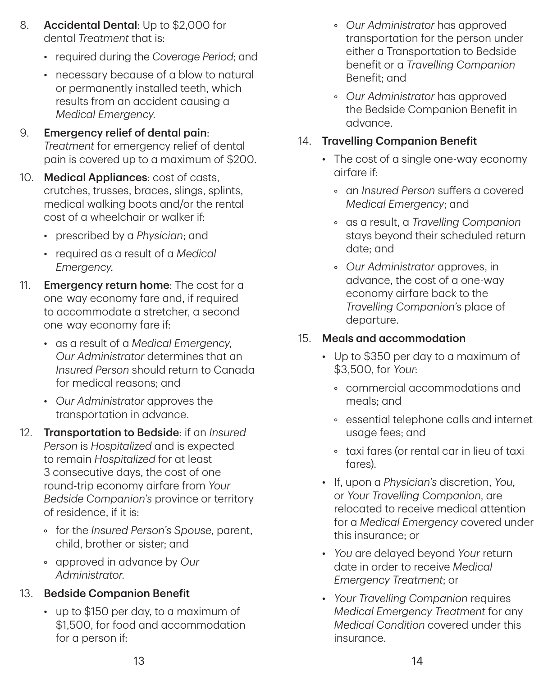- 8. Accidental Dental: Up to \$2,000 for dental *Treatment* that is:
	- required during the *Coverage Period*; and
	- necessary because of a blow to natural or permanently installed teeth, which results from an accident causing a *Medical Emergency*.
- 9. Emergency relief of dental pain: *Treatment* for emergency relief of dental pain is covered up to a maximum of \$200.
- 10. Medical Appliances: cost of casts, crutches, trusses, braces, slings, splints, medical walking boots and/or the rental cost of a wheelchair or walker if:
	- prescribed by a *Physician*; and
	- required as a result of a *Medical Emergency*.
- 11. **Emergency return home**: The cost for a one way economy fare and, if required to accommodate a stretcher, a second one way economy fare if:
	- as a result of a *Medical Emergency*, *Our Administrator* determines that an *Insured Person* should return to Canada for medical reasons; and
	- *Our Administrator* approves the transportation in advance.
- 12. Transportation to Bedside: if an *Insured Person* is *Hospitalized* and is expected to remain *Hospitalized* for at least 3 consecutive days, the cost of one round-trip economy airfare from *Your Bedside Companion's* province or territory of residence, if it is:
	- for the *Insured Person's Spouse*, parent, child, brother or sister; and
	- approved in advance by *Our Administrator*.

### 13. Bedside Companion Benefit

• up to \$150 per day, to a maximum of \$1,500, for food and accommodation for a person if:

- *Our Administrator* has approved transportation for the person under either a Transportation to Bedside benefit or a *Travelling Companion* Benefit; and
- *Our Administrator* has approved the Bedside Companion Benefit in advance.

### 14. Travelling Companion Benefit

- The cost of a single one-way economy airfare if:
	- an *Insured Person* suffers a covered *Medical Emergency*; and
	- as a result, a *Travelling Companion* stays beyond their scheduled return date; and
	- *Our Administrator* approves, in advance, the cost of a one-way economy airfare back to the *Travelling Companion's* place of departure.

### 15. Meals and accommodation

- Up to \$350 per day to a maximum of \$3,500, for *Your*:
	- commercial accommodations and meals; and
	- essential telephone calls and internet usage fees; and
	- taxi fares (or rental car in lieu of taxi fares).
- If, upon a *Physician's* discretion, *You*, or *Your Travelling Companion*, are relocated to receive medical attention for a *Medical Emergency* covered under this insurance; or
- *You* are delayed beyond *Your* return date in order to receive *Medical Emergency Treatment*; or
- *Your Travelling Companion* requires *Medical Emergency Treatment* for any *Medical Condition* covered under this insurance.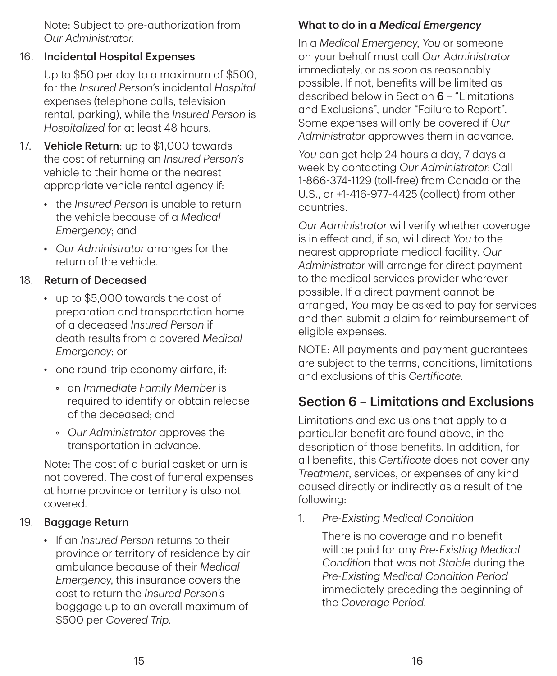Note: Subject to pre-authorization from *Our Administrator*.

#### 16. Incidental Hospital Expenses

Up to \$50 per day to a maximum of \$500, for the *Insured Person's* incidental *Hospital* expenses (telephone calls, television rental, parking), while the *Insured Person* is *Hospitalized* for at least 48 hours.

- 17. **Vehicle Return**: up to \$1,000 towards the cost of returning an *Insured Person's* vehicle to their home or the nearest appropriate vehicle rental agency if:
	- the *Insured Person* is unable to return the vehicle because of a *Medical Emergency*; and
	- *Our Administrator* arranges for the return of the vehicle.

### 18. Return of Deceased

- up to \$5,000 towards the cost of preparation and transportation home of a deceased *Insured Person* if death results from a covered *Medical Emergency*; or
- one round-trip economy airfare, if:
	- an *Immediate Family Member* is required to identify or obtain release of the deceased; and
	- *Our Administrator* approves the transportation in advance.

Note: The cost of a burial casket or urn is not covered. The cost of funeral expenses at home province or territory is also not covered.

### 19. Baggage Return

• If an *Insured Person* returns to their province or territory of residence by air ambulance because of their *Medical Emergency*, this insurance covers the cost to return the *Insured Person's* baggage up to an overall maximum of \$500 per *Covered Trip*.

## What to do in a *Medical Emergency*

In a *Medical Emergency*, *You* or someone on your behalf must call *Our Administrator* immediately, or as soon as reasonably possible. If not, benefits will be limited as described below in Section 6 – "Limitations and Exclusions", under "Failure to Report". Some expenses will only be covered if *Our Administrator* approwves them in advance.

*You* can get help 24 hours a day, 7 days a week by contacting *Our Administrator*: Call 1‑866‑374‑1129 (toll-free) from Canada or the U.S., or +1‑416‑977‑4425 (collect) from other countries.

*Our Administrator* will verify whether coverage is in effect and, if so, will direct *You* to the nearest appropriate medical facility. *Our Administrator* will arrange for direct payment to the medical services provider wherever possible. If a direct payment cannot be arranged, *You* may be asked to pay for services and then submit a claim for reimbursement of eligible expenses.

NOTE: All payments and payment guarantees are subject to the terms, conditions, limitations and exclusions of this *Certificate*.

## Section 6 – Limitations and Exclusions

Limitations and exclusions that apply to a particular benefit are found above, in the description of those benefits. In addition, for all benefits, this *Certificate* does not cover any *Treatment*, services, or expenses of any kind caused directly or indirectly as a result of the following:

1. *Pre‑Existing Medical Condition*

There is no coverage and no benefit will be paid for any *Pre‑Existing Medical Condition* that was not *Stable* during the *Pre‑Existing Medical Condition Period* immediately preceding the beginning of the *Coverage Period*.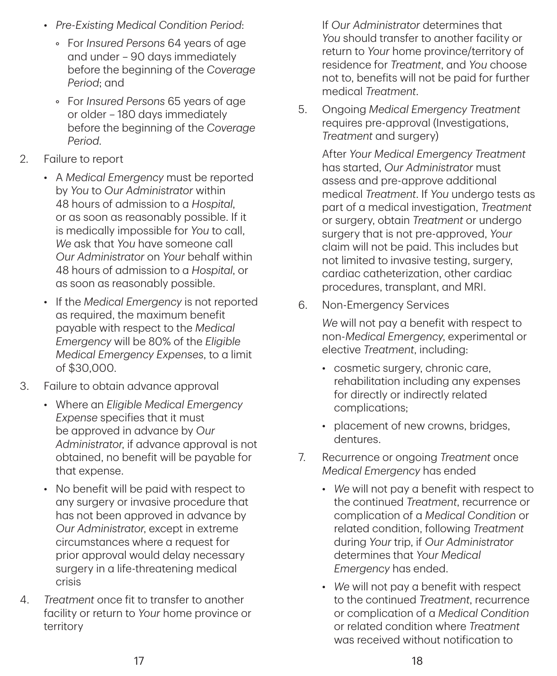- *Pre‑Existing Medical Condition Period*:
	- For *Insured Persons* 64 years of age and under – 90 days immediately before the beginning of the *Coverage Period*; and
	- For *Insured Persons* 65 years of age or older – 180 days immediately before the beginning of the *Coverage Period*.
- 2. Failure to report
	- A *Medical Emergency* must be reported by *You* to *Our Administrator* within 48 hours of admission to a *Hospital*, or as soon as reasonably possible. If it is medically impossible for *You* to call, *We* ask that *You* have someone call *Our Administrator* on *Your* behalf within 48 hours of admission to a *Hospital*, or as soon as reasonably possible.
	- If the *Medical Emergency* is not reported as required, the maximum benefit payable with respect to the *Medical Emergency* will be 80% of the *Eligible Medical Emergency Expenses*, to a limit of \$30,000.
- 3. Failure to obtain advance approval
	- Where an *Eligible Medical Emergency Expense* specifies that it must be approved in advance by *Our Administrator*, if advance approval is not obtained, no benefit will be payable for that expense.
	- No benefit will be paid with respect to any surgery or invasive procedure that has not been approved in advance by *Our Administrator*, except in extreme circumstances where a request for prior approval would delay necessary surgery in a life-threatening medical crisis
- 4. *Treatment* once fit to transfer to another facility or return to *Your* home province or territory

If *Our Administrator* determines that *You* should transfer to another facility or return to *Your* home province/territory of residence for *Treatment*, and *You* choose not to, benefits will not be paid for further medical *Treatment*.

5. Ongoing *Medical Emergency Treatment* requires pre-approval (Investigations, *Treatment* and surgery)

> After *Your Medical Emergency Treatment* has started, *Our Administrator* must assess and pre-approve additional medical *Treatment*. If *You* undergo tests as part of a medical investigation, *Treatment* or surgery, obtain *Treatment* or undergo surgery that is not pre-approved, *Your* claim will not be paid. This includes but not limited to invasive testing, surgery, cardiac catheterization, other cardiac procedures, transplant, and MRI.

6. Non-Emergency Services

*We* will not pay a benefit with respect to non-*Medical Emergency*, experimental or elective *Treatment*, including:

- cosmetic surgery, chronic care, rehabilitation including any expenses for directly or indirectly related complications;
- placement of new crowns, bridges, dentures.
- 7. Recurrence or ongoing *Treatment* once *Medical Emergency* has ended
	- *We* will not pay a benefit with respect to the continued *Treatment*, recurrence or complication of a *Medical Condition* or related condition, following *Treatment* during *Your* trip, if *Our Administrator* determines that *Your Medical Emergency* has ended.
	- *We* will not pay a benefit with respect to the continued *Treatment*, recurrence or complication of a *Medical Condition* or related condition where *Treatment* was received without notification to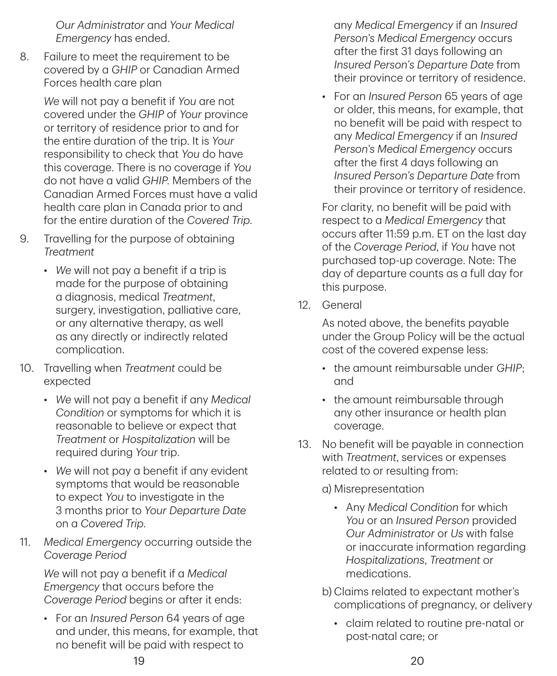*Our Administrator* and *Your Medical Emergency* has ended.

8. Failure to meet the requirement to be covered by a *GHIP* or Canadian Armed Forces health care plan

> *We* will not pay a benefit if *You* are not covered under the *GHIP* of *Your* province or territory of residence prior to and for the entire duration of the trip. It is *Your* responsibility to check that *You* do have this coverage. There is no coverage if *You* do not have a valid *GHIP*. Members of the Canadian Armed Forces must have a valid health care plan in Canada prior to and for the entire duration of the *Covered Trip*.

- 9. Travelling for the purpose of obtaining *Treatment*
	- *We* will not pay a benefit if a trip is made for the purpose of obtaining a diagnosis, medical *Treatment*, surgery, investigation, palliative care, or any alternative therapy, as well as any directly or indirectly related complication.
- 10. Travelling when *Treatment* could be expected
	- *We* will not pay a benefit if any *Medical Condition* or symptoms for which it is reasonable to believe or expect that *Treatment* or *Hospitalization* will be required during *Your* trip.
	- *We* will not pay a benefit if any evident symptoms that would be reasonable to expect *You* to investigate in the 3 months prior to *Your Departure Date* on a *Covered Trip*.
- 11. *Medical Emergency* occurring outside the *Coverage Period*

*We* will not pay a benefit if a *Medical Emergency* that occurs before the *Coverage Period* begins or after it ends:

• For an *Insured Person* 64 years of age and under, this means, for example, that no benefit will be paid with respect to

any *Medical Emergency* if an *Insured Person's Medical Emergency* occurs after the first 31 days following an *Insured Person's Departure Date* from their province or territory of residence.

• For an *Insured Person* 65 years of age or older, this means, for example, that no benefit will be paid with respect to any *Medical Emergency* if an *Insured Person's Medical Emergency* occurs after the first 4 days following an *Insured Person's Departure Date* from their province or territory of residence.

For clarity, no benefit will be paid with respect to a *Medical Emergency* that occurs after 11:59 p.m. ET on the last day of the *Coverage Period*, if *You* have not purchased top-up coverage. Note: The day of departure counts as a full day for this purpose.

12. General

As noted above, the benefits payable under the Group Policy will be the actual cost of the covered expense less:

- the amount reimbursable under *GHIP*; and
- the amount reimbursable through any other insurance or health plan coverage.
- 13. No benefit will be payable in connection with *Treatment*, services or expenses related to or resulting from:

a) Misrepresentation

- Any *Medical Condition* for which *You* or an *Insured Person* provided *Our Administrator* or *Us* with false or inaccurate information regarding *Hospitalizations*, *Treatment* or medications.
- b) Claims related to expectant mother's complications of pregnancy, or delivery
	- claim related to routine pre-natal or post-natal care; or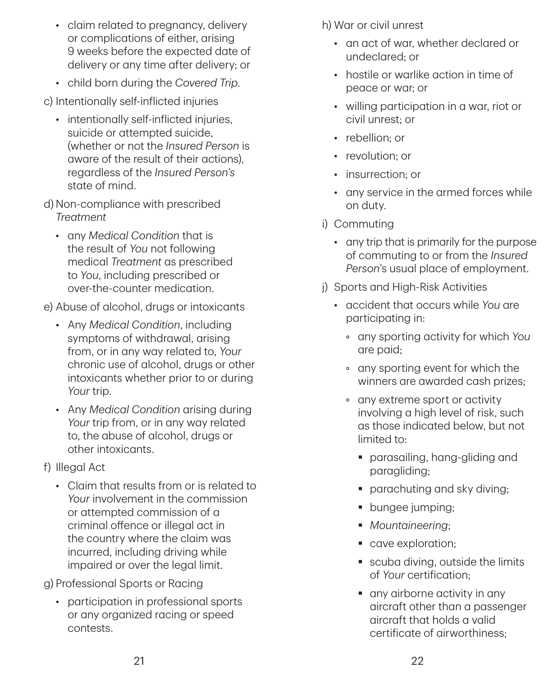- claim related to pregnancy, delivery or complications of either, arising 9 weeks before the expected date of delivery or any time after delivery; or
- child born during the *Covered Trip*.

c) Intentionally self-inflicted injuries

- intentionally self-inflicted injuries, suicide or attempted suicide, (whether or not the *Insured Person* is aware of the result of their actions), regardless of the *Insured Person's* state of mind.
- d) Non-compliance with prescribed *Treatment*
	- any *Medical Condition* that is the result of *You* not following medical *Treatment* as prescribed to *You*, including prescribed or over-the-counter medication.

e) Abuse of alcohol, drugs or intoxicants

- Any *Medical Condition*, including symptoms of withdrawal, arising from, or in any way related to, *Your* chronic use of alcohol, drugs or other intoxicants whether prior to or during *Your* trip.
- Any *Medical Condition* arising during *Your* trip from, or in any way related to, the abuse of alcohol, drugs or other intoxicants.
- f) Illegal Act
	- Claim that results from or is related to *Your* involvement in the commission or attempted commission of a criminal offence or illegal act in the country where the claim was incurred, including driving while impaired or over the legal limit.

g) Professional Sports or Racing

• participation in professional sports or any organized racing or speed contests.

h) War or civil unrest

- an act of war, whether declared or undeclared; or
- hostile or warlike action in time of peace or war; or
- willing participation in a war, riot or civil unrest; or
- rebellion; or
- revolution: or
- insurrection; or
- any service in the armed forces while on duty.
- i) Commuting
	- any trip that is primarily for the purpose of commuting to or from the *Insured Person*'s usual place of employment.
- j) Sports and High-Risk Activities
	- accident that occurs while *You* are participating in:
		- any sporting activity for which *You* are paid;
		- any sporting event for which the winners are awarded cash prizes;
		- any extreme sport or activity involving a high level of risk, such as those indicated below, but not limited to:
			- parasailing, hang-gliding and paragliding;
			- **parachuting and sky diving;**
			- **bungee** jumping;
			- *Mountaineering*;
			- cave exploration;
			- scuba diving, outside the limits of *Your* certification;
			- any airborne activity in any aircraft other than a passenger aircraft that holds a valid certificate of airworthiness;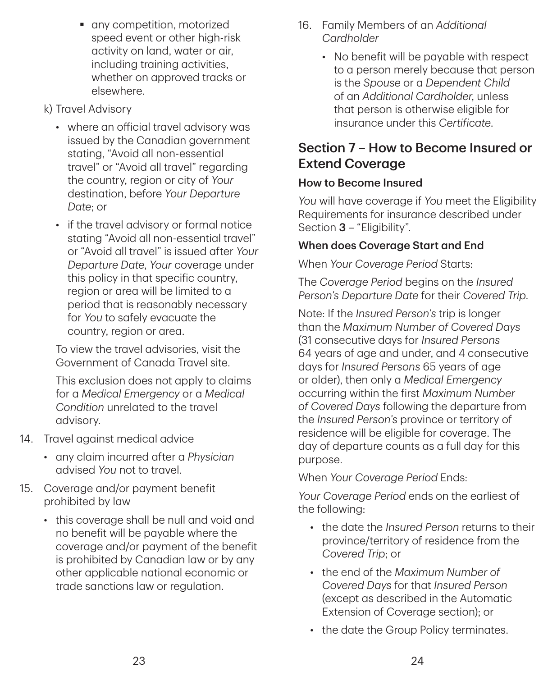- **a** any competition, motorized speed event or other high-risk activity on land, water or air, including training activities, whether on approved tracks or elsewhere.
- k) Travel Advisory
	- where an official travel advisory was issued by the Canadian government stating, "Avoid all non-essential travel" or "Avoid all travel" regarding the country, region or city of *Your* destination, before *Your Departure Date*; or
	- if the travel advisory or formal notice stating "Avoid all non-essential travel" or "Avoid all travel" is issued after *Your Departure Date*, *Your* coverage under this policy in that specific country, region or area will be limited to a period that is reasonably necessary for *You* to safely evacuate the country, region or area.

To view the travel advisories, visit the Government of Canada Travel site.

This exclusion does not apply to claims for a *Medical Emergency* or a *Medical Condition* unrelated to the travel advisory.

- 14. Travel against medical advice
	- any claim incurred after a *Physician* advised *You* not to travel.
- 15. Coverage and/or payment benefit prohibited by law
	- this coverage shall be null and void and no benefit will be payable where the coverage and/or payment of the benefit is prohibited by Canadian law or by any other applicable national economic or trade sanctions law or regulation.
- 16. Family Members of an *Additional Cardholder*
	- No benefit will be payable with respect to a person merely because that person is the *Spouse* or a *Dependent Child* of an *Additional Cardholder*, unless that person is otherwise eligible for insurance under this *Certificate*.

## Section 7 – How to Become Insured or Extend Coverage

#### How to Become Insured

*You* will have coverage if *You* meet the Eligibility Requirements for insurance described under Section 3 – "Eligibility".

#### When does Coverage Start and End

When *Your Coverage Period* Starts:

The *Coverage Period* begins on the *Insured Person's Departure Date* for their *Covered Trip*.

Note: If the *Insured Person's* trip is longer than the *Maximum Number of Covered Days* (31 consecutive days for *Insured Persons* 64 years of age and under, and 4 consecutive days for *Insured Persons* 65 years of age or older), then only a *Medical Emergency* occurring within the first *Maximum Number of Covered Days* following the departure from the *Insured Person's* province or territory of residence will be eligible for coverage. The day of departure counts as a full day for this purpose.

When *Your Coverage Period* Ends:

*Your Coverage Period* ends on the earliest of the following:

- the date the *Insured Person* returns to their province/territory of residence from the *Covered Trip*; or
- the end of the *Maximum Number of Covered Days* for that *Insured Person* (except as described in the Automatic Extension of Coverage section); or
- the date the Group Policy terminates.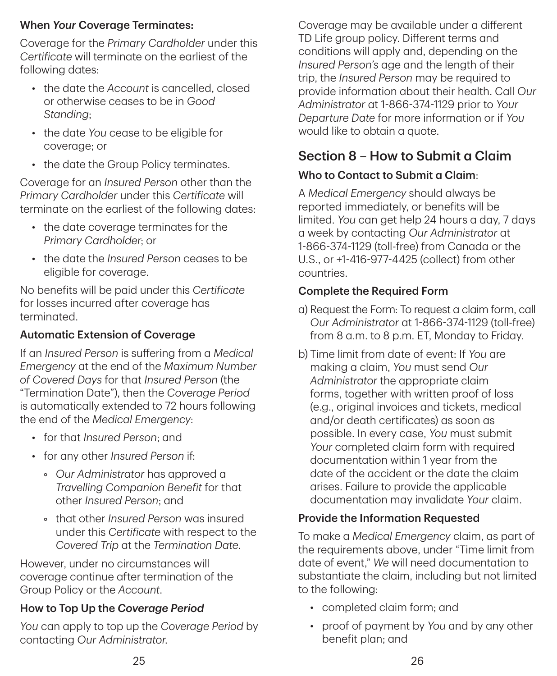### When *Your* Coverage Terminates:

Coverage for the *Primary Cardholder* under this *Certificate* will terminate on the earliest of the following dates:

- the date the *Account* is cancelled, closed or otherwise ceases to be in *Good Standing*;
- the date *You* cease to be eligible for coverage; or
- the date the Group Policy terminates.

Coverage for an *Insured Person* other than the *Primary Cardholder* under this *Certificate* will terminate on the earliest of the following dates:

- the date coverage terminates for the *Primary Cardholder*; or
- the date the *Insured Person* ceases to be eligible for coverage.

No benefits will be paid under this *Certificate* for losses incurred after coverage has terminated.

## Automatic Extension of Coverage

If an *Insured Person* is suffering from a *Medical Emergency* at the end of the *Maximum Number of Covered Days* for that *Insured Person* (the "Termination Date"), then the *Coverage Period* is automatically extended to 72 hours following the end of the *Medical Emergency*:

- for that *Insured Person*; and
- for any other *Insured Person* if:
	- *Our Administrator* has approved a *Travelling Companion Benefit* for that other *Insured Person*; and
	- that other *Insured Person* was insured under this *Certificate* with respect to the *Covered Trip* at the *Termination Date*.

However, under no circumstances will coverage continue after termination of the Group Policy or the *Account*.

## How to Top Up the *Coverage Period*

*You* can apply to top up the *Coverage Period* by contacting *Our Administrator*.

Coverage may be available under a different TD Life group policy. Different terms and conditions will apply and, depending on the *Insured Person's* age and the length of their trip, the *Insured Person* may be required to provide information about their health. Call *Our Administrator* at 1‑866‑374‑1129 prior to *Your Departure Date* for more information or if *You* would like to obtain a quote.

## Section 8 – How to Submit a Claim

## Who to Contact to Submit a Claim:

A *Medical Emergency* should always be reported immediately, or benefits will be limited. *You* can get help 24 hours a day, 7 days a week by contacting *Our Administrator* at 1‑866‑374‑1129 (toll-free) from Canada or the U.S., or +1‑416‑977‑4425 (collect) from other countries.

## Complete the Required Form

- a) Request the Form: To request a claim form, call *Our Administrator* at 1‑866‑374‑1129 (toll-free) from 8 a.m. to 8 p.m. ET, Monday to Friday.
- b) Time limit from date of event: If *You* are making a claim, *You* must send *Our Administrator* the appropriate claim forms, together with written proof of loss (e.g., original invoices and tickets, medical and/or death certificates) as soon as possible. In every case, *You* must submit *Your* completed claim form with required documentation within 1 year from the date of the accident or the date the claim arises. Failure to provide the applicable documentation may invalidate *Your* claim.

## Provide the Information Requested

To make a *Medical Emergency* claim, as part of the requirements above, under "Time limit from date of event," *We* will need documentation to substantiate the claim, including but not limited to the following:

- completed claim form; and
- proof of payment by *You* and by any other benefit plan; and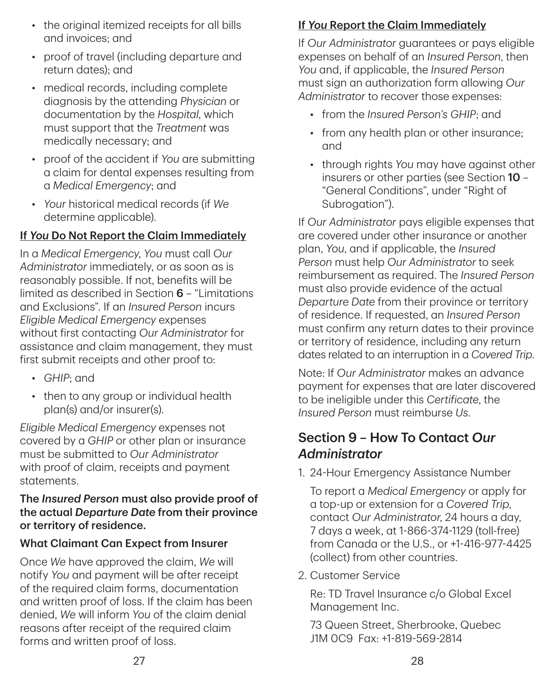- the original itemized receipts for all bills and invoices; and
- proof of travel (including departure and return dates); and
- medical records, including complete diagnosis by the attending *Physician* or documentation by the *Hospital*, which must support that the *Treatment* was medically necessary; and
- proof of the accident if *You* are submitting a claim for dental expenses resulting from a *Medical Emergency*; and
- *Your* historical medical records (if *We* determine applicable).

### If *You* Do Not Report the Claim Immediately

In a *Medical Emergency*, *You* must call *Our Administrator* immediately, or as soon as is reasonably possible. If not, benefits will be limited as described in Section 6 – "Limitations and Exclusions". If an *Insured Person* incurs *Eligible Medical Emergency* expenses without first contacting *Our Administrator* for assistance and claim management, they must first submit receipts and other proof to:

- *GHIP*; and
- then to any group or individual health plan(s) and/or insurer(s).

*Eligible Medical Emergency* expenses not covered by a *GHIP* or other plan or insurance must be submitted to *Our Administrator* with proof of claim, receipts and payment statements.

#### The *Insured Person* must also provide proof of the actual *Departure Date* from their province or territory of residence.

### What Claimant Can Expect from Insurer

Once *We* have approved the claim, *We* will notify *You* and payment will be after receipt of the required claim forms, documentation and written proof of loss. If the claim has been denied, *We* will inform *You* of the claim denial reasons after receipt of the required claim forms and written proof of loss.

## If *You* Report the Claim Immediately

If *Our Administrator* guarantees or pays eligible expenses on behalf of an *Insured Person*, then *You* and, if applicable, the *Insured Person* must sign an authorization form allowing *Our Administrator* to recover those expenses:

- from the *Insured Person's GHIP*; and
- from any health plan or other insurance: and
- through rights *You* may have against other insurers or other parties (see Section 10 – "General Conditions", under "Right of Subrogation").

If *Our Administrator* pays eligible expenses that are covered under other insurance or another plan, *You*, and if applicable, the *Insured Person* must help *Our Administrator* to seek reimbursement as required. The *Insured Person* must also provide evidence of the actual *Departure Date* from their province or territory of residence. If requested, an *Insured Person* must confirm any return dates to their province or territory of residence, including any return dates related to an interruption in a *Covered Trip*.

Note: If *Our Administrator* makes an advance payment for expenses that are later discovered to be ineligible under this *Certificate*, the *Insured Person* must reimburse *Us*.

## Section 9 – How To Contact *Our Administrator*

1. 24‑Hour Emergency Assistance Number

To report a *Medical Emergency* or apply for a top-up or extension for a *Covered Trip*, contact *Our Administrator*, 24 hours a day, 7 days a week, at 1‑866‑374‑1129 (toll-free) from Canada or the U.S., or +1‑416‑977‑4425 (collect) from other countries.

2. Customer Service

Re: TD Travel Insurance c/o Global Excel Management Inc.

73 Queen Street, Sherbrooke, Quebec J1M 0C9 Fax: +1‑819‑569‑2814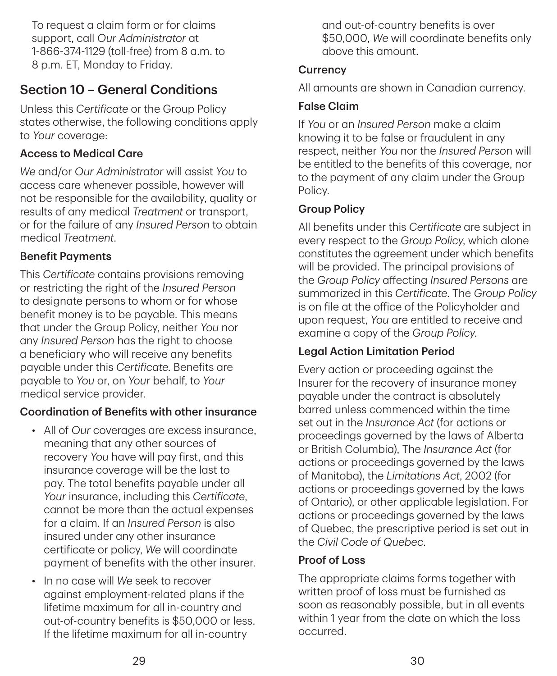To request a claim form or for claims support, call *Our Administrator* at 1‑866‑374‑1129 (toll-free) from 8 a.m. to 8 p.m. ET, Monday to Friday.

## Section 10 – General Conditions

Unless this *Certificate* or the Group Policy states otherwise, the following conditions apply to *Your* coverage:

### Access to Medical Care

*We* and/or *Our Administrator* will assist *You* to access care whenever possible, however will not be responsible for the availability, quality or results of any medical *Treatment* or transport, or for the failure of any *Insured Person* to obtain medical *Treatment*.

#### Benefit Payments

This *Certificate* contains provisions removing or restricting the right of the *Insured Person* to designate persons to whom or for whose benefit money is to be payable. This means that under the Group Policy, neither *You* nor any *Insured Person* has the right to choose a beneficiary who will receive any benefits payable under this *Certificate*. Benefits are payable to *You* or, on *Your* behalf, to *Your* medical service provider.

### Coordination of Benefits with other insurance

- All of *Our* coverages are excess insurance, meaning that any other sources of recovery *You* have will pay first, and this insurance coverage will be the last to pay. The total benefits payable under all *Your* insurance, including this *Certificate*, cannot be more than the actual expenses for a claim. If an *Insured Person* is also insured under any other insurance certificate or policy, *We* will coordinate payment of benefits with the other insurer.
- In no case will *We* seek to recover against employment-related plans if the lifetime maximum for all in-country and out-of-country benefits is \$50,000 or less. If the lifetime maximum for all in-country

and out-of-country benefits is over \$50,000, *We* will coordinate benefits only above this amount.

#### **Currency**

All amounts are shown in Canadian currency.

#### False Claim

If *You* or an *Insured Person* make a claim knowing it to be false or fraudulent in any respect, neither *You* nor the *Insured Perso*n will be entitled to the benefits of this coverage, nor to the payment of any claim under the Group Policy.

#### Group Policy

All benefits under this *Certificate* are subject in every respect to the *Group Policy*, which alone constitutes the agreement under which benefits will be provided. The principal provisions of the *Group Policy* affecting *Insured Persons* are summarized in this *Certificate*. The *Group Policy* is on file at the office of the Policyholder and upon request, *You* are entitled to receive and examine a copy of the *Group Policy*.

### Legal Action Limitation Period

Every action or proceeding against the Insurer for the recovery of insurance money payable under the contract is absolutely barred unless commenced within the time set out in the *Insurance Act* (for actions or proceedings governed by the laws of Alberta or British Columbia), The *Insurance Act* (for actions or proceedings governed by the laws of Manitoba), the *Limitations Act*, 2002 (for actions or proceedings governed by the laws of Ontario), or other applicable legislation. For actions or proceedings governed by the laws of Quebec, the prescriptive period is set out in the *Civil Code of Quebec*.

### Proof of Loss

The appropriate claims forms together with written proof of loss must be furnished as soon as reasonably possible, but in all events within 1 year from the date on which the loss occurred.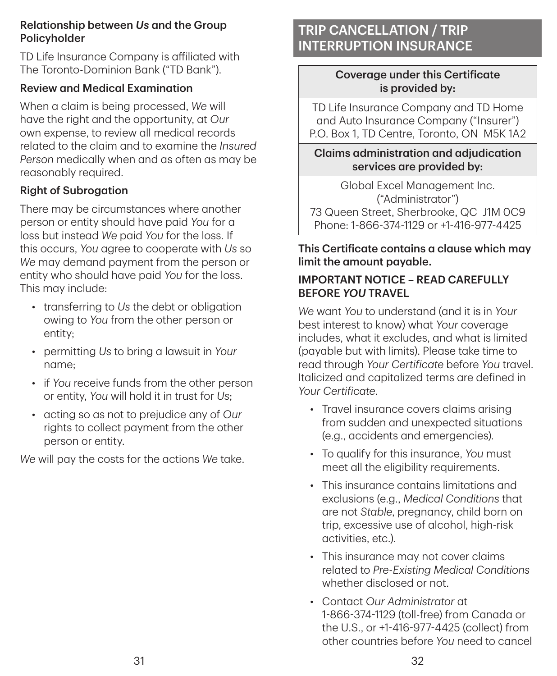#### Relationship between *Us* and the Group Policyholder

TD Life Insurance Company is affiliated with The Toronto-Dominion Bank ("TD Bank").

#### Review and Medical Examination

When a claim is being processed, *We* will have the right and the opportunity, at *Our* own expense, to review all medical records related to the claim and to examine the *Insured Person* medically when and as often as may be reasonably required.

#### Right of Subrogation

There may be circumstances where another person or entity should have paid *You* for a loss but instead *We* paid *You* for the loss. If this occurs, *You* agree to cooperate with *Us* so *We* may demand payment from the person or entity who should have paid *You* for the loss. This may include:

- transferring to *Us* the debt or obligation owing to *You* from the other person or entity;
- permitting *Us* to bring a lawsuit in *Your* name;
- if *You* receive funds from the other person or entity, *You* will hold it in trust for *Us*;
- acting so as not to prejudice any of *Our* rights to collect payment from the other person or entity.

*We* will pay the costs for the actions *We* take.

## TRIP CANCELLATION / TRIP INTERRUPTION INSURANCE

#### Coverage under this Certificate is provided by:

TD Life Insurance Company and TD Home and Auto Insurance Company ("Insurer") P.O. Box 1, TD Centre, Toronto, ON M5K 1A2

Claims administration and adjudication services are provided by:

Global Excel Management Inc. ("Administrator") 73 Queen Street, Sherbrooke, QC J1M 0C9 Phone: 1‑866‑374‑1129 or +1‑416‑977‑4425

### This Certificate contains a clause which may limit the amount payable.

### IMPORTANT NOTICE – READ CAREFULLY BEFORE *YOU* TRAVEL

*We* want *You* to understand (and it is in *Your* best interest to know) what *Your* coverage includes, what it excludes, and what is limited (payable but with limits). Please take time to read through *Your Certificate* before *You* travel. Italicized and capitalized terms are defined in *Your Certificate*.

- Travel insurance covers claims arising from sudden and unexpected situations (e.g., accidents and emergencies).
- To qualify for this insurance, *You* must meet all the eligibility requirements.
- This insurance contains limitations and exclusions (e.g., *Medical Conditions* that are not *Stable*, pregnancy, child born on trip, excessive use of alcohol, high-risk activities, etc.).
- This insurance may not cover claims related to *Pre‑Existing Medical Conditions* whether disclosed or not.
- Contact *Our Administrator* at 1‑866‑374‑1129 (toll-free) from Canada or the U.S., or +1‑416‑977‑4425 (collect) from other countries before *You* need to cancel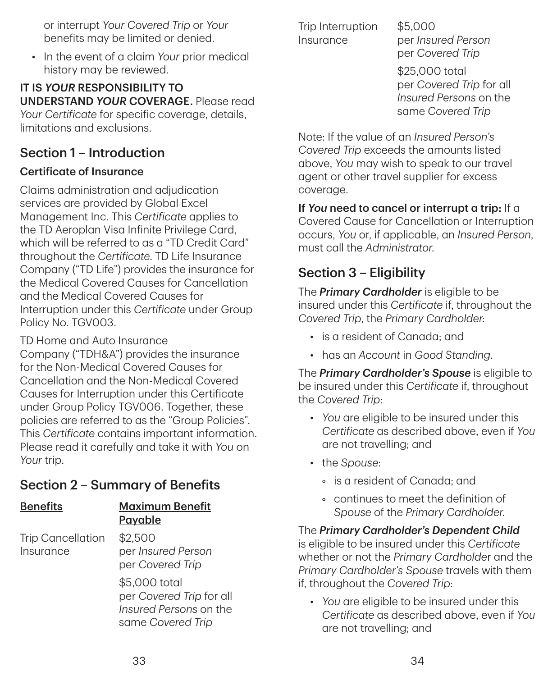or interrupt *Your Covered Trip* or *Your* benefits may be limited or denied.

• In the event of a claim *Your* prior medical history may be reviewed.

IT IS *YOUR* RESPONSIBILITY TO UNDERSTAND *YOUR* COVERAGE. Please read *Your Certificate* for specific coverage, details, limitations and exclusions.

## Section 1 – Introduction

### Certificate of Insurance

Claims administration and adjudication services are provided by Global Excel Management Inc. This *Certificate* applies to the TD Aeroplan Visa Infinite Privilege Card, which will be referred to as a "TD Credit Card" throughout the *Certificate*. TD Life Insurance Company ("TD Life") provides the insurance for the Medical Covered Causes for Cancellation and the Medical Covered Causes for Interruption under this *Certificate* under Group Policy No. TGV003.

TD Home and Auto Insurance Company ("TDH&A") provides the insurance for the Non-Medical Covered Causes for Cancellation and the Non-Medical Covered Causes for Interruption under this Certificate under Group Policy TGV006. Together, these policies are referred to as the "Group Policies". This *Certificate* contains important information. Please read it carefully and take it with *You* on *Your* trip.

## Section 2 – Summary of Benefits

| <b>Benefits</b>                       | <b>Maximum Benefit</b><br>Payable                                                        |
|---------------------------------------|------------------------------------------------------------------------------------------|
| <b>Trip Cancellation</b><br>Insurance | \$2,500<br>per Insured Person<br>per Covered Trip                                        |
|                                       | \$5,000 total<br>per Covered Trip for all<br>Insured Persons on the<br>same Covered Trip |

Trip Interruption Insurance

\$5,000 per *Insured Person* per *Covered Trip*

\$25,000 total per *Covered Trip* for all *Insured Persons* on the same *Covered Trip*

Note: If the value of an *Insured Person's Covered Trip* exceeds the amounts listed above, *You* may wish to speak to our travel agent or other travel supplier for excess coverage.

If *You* need to cancel or interrupt a trip: If a Covered Cause for Cancellation or Interruption occurs, *You* or, if applicable, an *Insured Person*, must call the *Administrator*.

## Section 3 – Eligibility

The *Primary Cardholder* is eligible to be insured under this *Certificate* if, throughout the *Covered Trip*, the *Primary Cardholder*:

- is a resident of Canada; and
- has an *Account* in *Good Standing*.

The *Primary Cardholder's Spouse* is eligible to be insured under this *Certificate* if, throughout the *Covered Trip*:

- *You* are eligible to be insured under this *Certificate* as described above, even if *You* are not travelling; and
- the *Spouse*:
	- is a resident of Canada; and
	- continues to meet the definition of *Spouse* of the *Primary Cardholder*.

The *Primary Cardholder's Dependent Child* is eligible to be insured under this *Certificate* whether or not the *Primary Cardholde*r and the *Primary Cardholder's Spouse* travels with them if, throughout the *Covered Trip*:

• *You* are eligible to be insured under this *Certificate* as described above, even if *You* are not travelling; and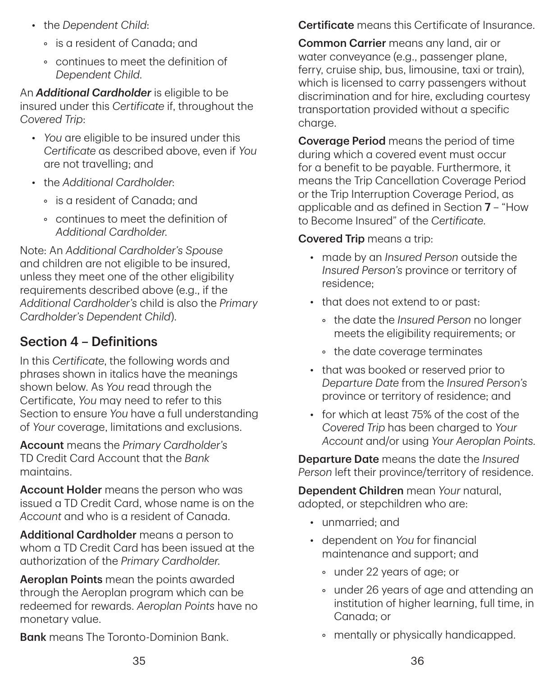- the *Dependent Child*:
	- is a resident of Canada; and
	- continues to meet the definition of *Dependent Child*.

An *Additional Cardholder* is eligible to be insured under this *Certificate* if, throughout the *Covered Trip*:

- *You* are eligible to be insured under this *Certificate* as described above, even if *You* are not travelling; and
- the *Additional Cardholder*:
	- is a resident of Canada; and
	- continues to meet the definition of *Additional Cardholder*.

Note: An *Additional Cardholder's Spouse* and children are not eligible to be insured, unless they meet one of the other eligibility requirements described above (e.g., if the *Additional Cardholder's* child is also the *Primary Cardholder's Dependent Child*).

## Section 4 – Definitions

In this *Certificate*, the following words and phrases shown in italics have the meanings shown below. As *You* read through the Certificate, *You* may need to refer to this Section to ensure *You* have a full understanding of *Your* coverage, limitations and exclusions.

Account means the *Primary Cardholder's* TD Credit Card Account that the *Bank* maintains.

Account Holder means the person who was issued a TD Credit Card, whose name is on the *Account* and who is a resident of Canada.

Additional Cardholder means a person to whom a TD Credit Card has been issued at the authorization of the *Primary Cardholder*.

Aeroplan Points mean the points awarded through the Aeroplan program which can be redeemed for rewards. *Aeroplan Points* have no monetary value.

**Bank** means The Toronto-Dominion Bank.

Certificate means this Certificate of Insurance.

Common Carrier means any land, air or water conveyance (e.g., passenger plane, ferry, cruise ship, bus, limousine, taxi or train), which is licensed to carry passengers without discrimination and for hire, excluding courtesy transportation provided without a specific charge.

Coverage Period means the period of time during which a covered event must occur for a benefit to be payable. Furthermore, it means the Trip Cancellation Coverage Period or the Trip Interruption Coverage Period, as applicable and as defined in Section 7 – "How to Become Insured" of the *Certificate*.

### Covered Trip means a trip:

- made by an *Insured Person* outside the *Insured Person's* province or territory of residence;
- that does not extend to or past:
	- the date the *Insured Person* no longer meets the eligibility requirements; or
	- the date coverage terminates
- that was booked or reserved prior to *Departure Date* from the *Insured Person's* province or territory of residence; and
- for which at least 75% of the cost of the *Covered Trip* has been charged to *Your Account* and/or using *Your Aeroplan Points*.

Departure Date means the date the *Insured Person* left their province/territory of residence.

Dependent Children mean *Your* natural, adopted, or stepchildren who are:

- unmarried; and
- dependent on *You* for financial maintenance and support; and
	- under 22 years of age; or
	- under 26 years of age and attending an institution of higher learning, full time, in Canada; or
	- mentally or physically handicapped.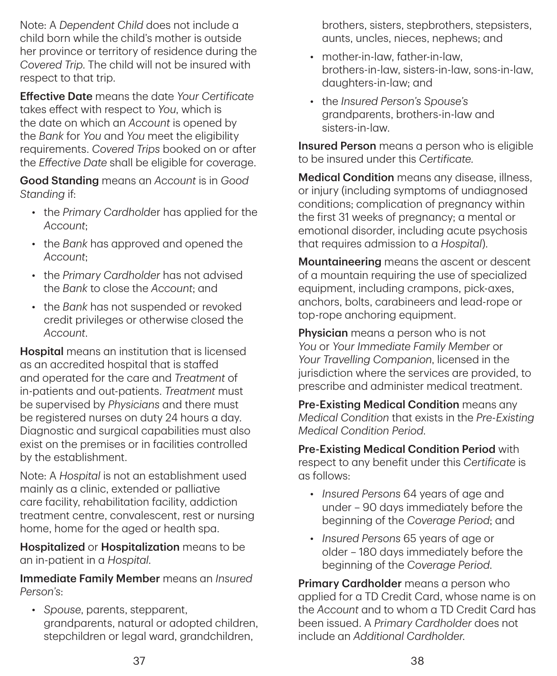Note: A *Dependent Child* does not include a child born while the child's mother is outside her province or territory of residence during the *Covered Trip*. The child will not be insured with respect to that trip.

Effective Date means the date *Your Certificate* takes effect with respect to *You*, which is the date on which an *Account* is opened by the *Bank* for *You* and *You* meet the eligibility requirements. *Covered Trips* booked on or after the *Effective Date* shall be eligible for coverage.

Good Standing means an *Account* is in *Good Standing* if:

- the *Primary Cardhold*er has applied for the *Account*;
- the *Bank* has approved and opened the *Account*;
- the *Primary Cardholder* has not advised the *Bank* to close the *Account*; and
- the *Bank* has not suspended or revoked credit privileges or otherwise closed the *Account*.

**Hospital** means an institution that is licensed as an accredited hospital that is staffed and operated for the care and *Treatment* of in-patients and out-patients. *Treatment* must be supervised by *Physicians* and there must be registered nurses on duty 24 hours a day. Diagnostic and surgical capabilities must also exist on the premises or in facilities controlled by the establishment.

Note: A *Hospital* is not an establishment used mainly as a clinic, extended or palliative care facility, rehabilitation facility, addiction treatment centre, convalescent, rest or nursing home, home for the aged or health spa.

Hospitalized or Hospitalization means to be an in-patient in a *Hospital*.

Immediate Family Member means an *Insured Person's*:

• *Spouse*, parents, stepparent, grandparents, natural or adopted children, stepchildren or legal ward, grandchildren,

brothers, sisters, stepbrothers, stepsisters, aunts, uncles, nieces, nephews; and

- mother-in-law, father-in-law, brothers-in-law, sisters-in-law, sons-in-law, daughters-in-law; and
- the *Insured Person's Spouse's* grandparents, brothers-in-law and sisters-in-law.

Insured Person means a person who is eligible to be insured under this *Certificate.*

**Medical Condition** means any disease, illness, or injury (including symptoms of undiagnosed conditions; complication of pregnancy within the first 31 weeks of pregnancy; a mental or emotional disorder, including acute psychosis that requires admission to a *Hospital*).

Mountaineering means the ascent or descent of a mountain requiring the use of specialized equipment, including crampons, pick-axes, anchors, bolts, carabineers and lead-rope or top-rope anchoring equipment.

**Physician** means a person who is not *You* or *Your Immediate Family Member* or *Your Travelling Companion*, licensed in the jurisdiction where the services are provided, to prescribe and administer medical treatment.

Pre-Existing Medical Condition means any *Medical Condition* that exists in the *Pre‑Existing Medical Condition Period*.

Pre‑Existing Medical Condition Period with respect to any benefit under this *Certificate* is as follows:

- *Insured Persons* 64 years of age and under – 90 days immediately before the beginning of the *Coverage Period*; and
- *Insured Persons* 65 years of age or older – 180 days immediately before the beginning of the *Coverage Period*.

Primary Cardholder means a person who applied for a TD Credit Card, whose name is on the *Account* and to whom a TD Credit Card has been issued. A *Primary Cardholder* does not include an *Additional Cardholder*.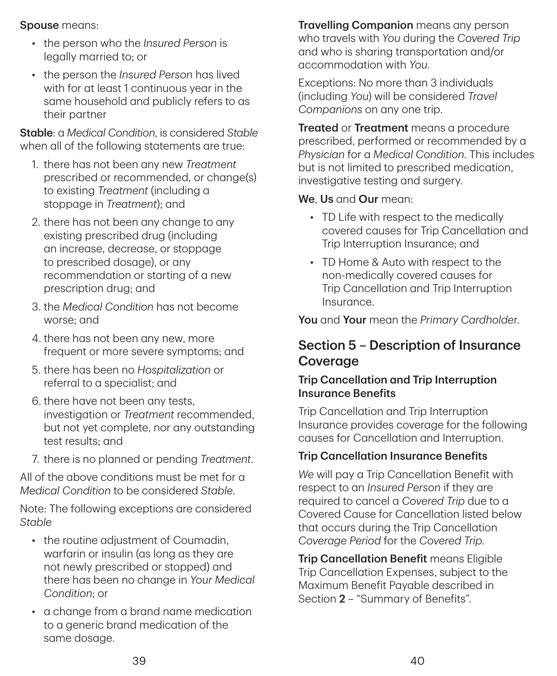Spouse means:

- the person who the *Insured Person* is legally married to; or
- the person the *Insured Person* has lived with for at least 1 continuous year in the same household and publicly refers to as their partner

Stable: a *Medical Condition*, is considered *Stable* when all of the following statements are true:

- 1. there has not been any new *Treatment* prescribed or recommended, or change(s) to existing *Treatment* (including a stoppage in *Treatment*); and
- 2. there has not been any change to any existing prescribed drug (including an increase, decrease, or stoppage to prescribed dosage), or any recommendation or starting of a new prescription drug; and
- 3. the *Medical Condition* has not become worse; and
- 4. there has not been any new, more frequent or more severe symptoms; and
- 5. there has been no *Hospitalization* or referral to a specialist; and
- 6. there have not been any tests, investigation or *Treatment* recommended, but not yet complete, nor any outstanding test results; and
- 7. there is no planned or pending *Treatment*.

All of the above conditions must be met for a *Medical Condition* to be considered *Stable*.

Note: The following exceptions are considered *Stable*

- the routine adjustment of Coumadin, warfarin or insulin (as long as they are not newly prescribed or stopped) and there has been no change in *Your Medical Condition*; or
- a change from a brand name medication to a generic brand medication of the same dosage.

**Travelling Companion** means any person who travels with *You* during the *Covered Trip* and who is sharing transportation and/or accommodation with *You*.

Exceptions: No more than 3 individuals (including *You*) will be considered *Travel Companions* on any one trip.

**Treated or Treatment** means a procedure prescribed, performed or recommended by a *Physician* for a *Medical Condition*. This includes but is not limited to prescribed medication, investigative testing and surgery.

We. Us and Our mean:

- TD Life with respect to the medically covered causes for Trip Cancellation and Trip Interruption Insurance; and
- TD Home & Auto with respect to the non-medically covered causes for Trip Cancellation and Trip Interruption Insurance.

You and Your mean the *Primary Cardholde*r.

## Section 5 – Description of Insurance Coverage

### Trip Cancellation and Trip Interruption Insurance Benefits

Trip Cancellation and Trip Interruption Insurance provides coverage for the following causes for Cancellation and Interruption.

### Trip Cancellation Insurance Benefits

*We* will pay a Trip Cancellation Benefit with respect to an *Insured Person* if they are required to cancel a *Covered Trip* due to a Covered Cause for Cancellation listed below that occurs during the Trip Cancellation *Coverage Period* for the *Covered Trip*.

**Trip Cancellation Benefit means Eligible** Trip Cancellation Expenses, subject to the Maximum Benefit Payable described in Section 2 – "Summary of Benefits".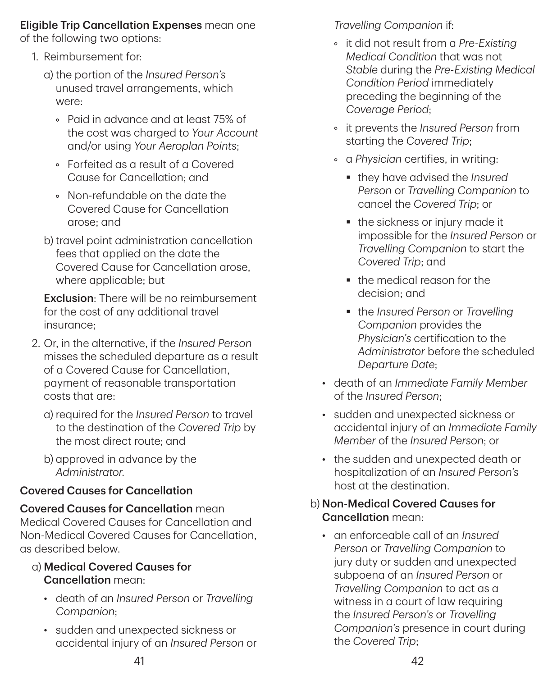## Eligible Trip Cancellation Expenses mean one

of the following two options:

- 1. Reimbursement for:
	- a) the portion of the *Insured Person's* unused travel arrangements, which were:
		- Paid in advance and at least 75% of the cost was charged to *Your Account* and/or using *Your Aeroplan Points*;
		- Forfeited as a result of a Covered Cause for Cancellation; and
		- Non-refundable on the date the Covered Cause for Cancellation arose; and
	- b) travel point administration cancellation fees that applied on the date the Covered Cause for Cancellation arose, where applicable; but

Exclusion: There will be no reimbursement for the cost of any additional travel insurance;

- 2. Or, in the alternative, if the *Insured Person* misses the scheduled departure as a result of a Covered Cause for Cancellation, payment of reasonable transportation costs that are:
	- a) required for the *Insured Person* to travel to the destination of the *Covered Trip* by the most direct route; and
	- b) approved in advance by the *Administrator*.

## Covered Causes for Cancellation

Covered Causes for Cancellation mean Medical Covered Causes for Cancellation and Non-Medical Covered Causes for Cancellation, as described below.

- a) Medical Covered Causes for Cancellation mean:
	- death of an *Insured Person* or *Travelling Companion*;
	- sudden and unexpected sickness or accidental injury of an *Insured Person* or

*Travelling Companion* if:

- it did not result from a *Pre‑Existing Medical Condition* that was not *Stable* during the *Pre‑Existing Medical Condition Period* immediately preceding the beginning of the *Coverage Period*;
- it prevents the *Insured Person* from starting the *Covered Trip*;
- a *Physician* certifies, in writing:
	- they have advised the *Insured Person* or *Travelling Companion* to cancel the *Covered Trip*; or
	- the sickness or injury made it impossible for the *Insured Person* or *Travelling Companion* to start the *Covered Trip*; and
	- the medical reason for the decision; and
	- the *Insured Person* or *Travelling Companion* provides the *Physician's* certification to the *Administrator* before the scheduled *Departure Date*;
- death of an *Immediate Family Member* of the *Insured Person*;
- sudden and unexpected sickness or accidental injury of an *Immediate Family Member* of the *Insured Person*; or
- the sudden and unexpected death or hospitalization of an *Insured Person's* host at the destination.

### b) Non‑Medical Covered Causes for Cancellation mean:

• an enforceable call of an *Insured Person* or *Travelling Companion* to jury duty or sudden and unexpected subpoena of an *Insured Person* or *Travelling Companion* to act as a witness in a court of law requiring the *Insured Person's* or *Travelling Companion's* presence in court during the *Covered Trip*;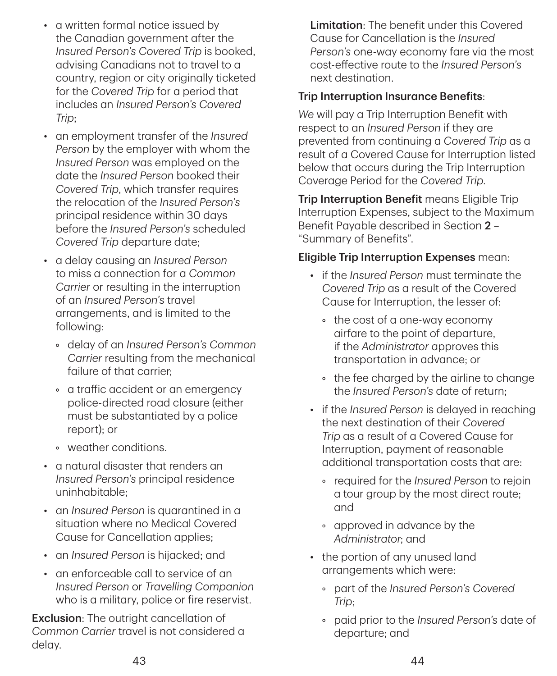- a written formal notice issued by the Canadian government after the *Insured Person's Covered Trip* is booked, advising Canadians not to travel to a country, region or city originally ticketed for the *Covered Trip* for a period that includes an *Insured Person's Covered Trip*;
- an employment transfer of the *Insured Person* by the employer with whom the *Insured Person* was employed on the date the *Insured Person* booked their *Covered Trip*, which transfer requires the relocation of the *Insured Person's* principal residence within 30 days before the *Insured Person's* scheduled *Covered Trip* departure date;
- a delay causing an *Insured Person* to miss a connection for a *Common Carrier* or resulting in the interruption of an *Insured Person's* travel arrangements, and is limited to the following:
	- delay of an *Insured Person's Common Carrier* resulting from the mechanical failure of that carrier;
	- a traffic accident or an emergency police-directed road closure (either must be substantiated by a police report); or
	- weather conditions.
- a natural disaster that renders an *Insured Person's* principal residence uninhabitable;
- an *Insured Person* is quarantined in a situation where no Medical Covered Cause for Cancellation applies;
- an *Insured Person* is hijacked; and
- an enforceable call to service of an *Insured Person* or *Travelling Companion* who is a military, police or fire reservist.

Exclusion: The outright cancellation of *Common Carrier* travel is not considered a delay.

Limitation: The benefit under this Covered Cause for Cancellation is the *Insured Person's* one-way economy fare via the most cost-effective route to the *Insured Person's* next destination.

#### Trip Interruption Insurance Benefits:

*We* will pay a Trip Interruption Benefit with respect to an *Insured Person* if they are prevented from continuing a *Covered Trip* as a result of a Covered Cause for Interruption listed below that occurs during the Trip Interruption Coverage Period for the *Covered Trip*.

**Trip Interruption Benefit means Eligible Trip** Interruption Expenses, subject to the Maximum Benefit Payable described in Section 2 – "Summary of Benefits".

#### Eligible Trip Interruption Expenses mean:

- if the *Insured Person* must terminate the *Covered Trip* as a result of the Covered Cause for Interruption, the lesser of:
	- the cost of a one-way economy airfare to the point of departure, if the *Administrator* approves this transportation in advance; or
	- the fee charged by the airline to change the *Insured Person's* date of return;
- if the *Insured Person* is delayed in reaching the next destination of their *Covered Trip* as a result of a Covered Cause for Interruption, payment of reasonable additional transportation costs that are:
	- required for the *Insured Person* to rejoin a tour group by the most direct route; and
	- approved in advance by the *Administrator*; and
- the portion of any unused land arrangements which were:
	- part of the *Insured Person's Covered Trip*;
	- paid prior to the *Insured Person's* date of departure; and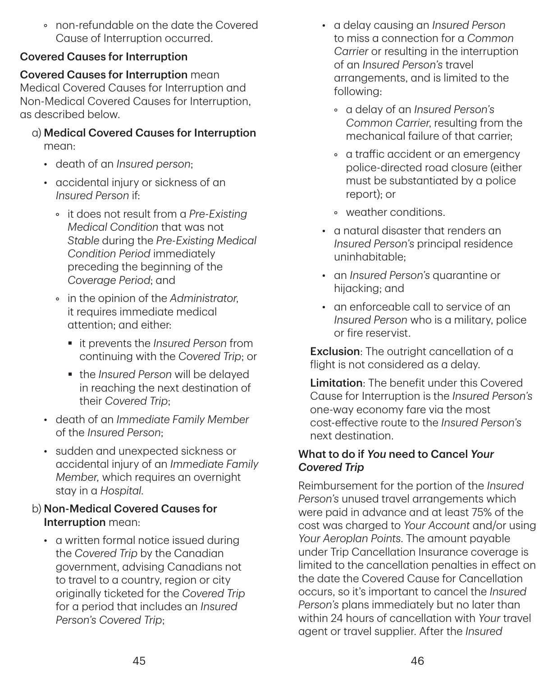• non-refundable on the date the Covered Cause of Interruption occurred.

#### Covered Causes for Interruption

Covered Causes for Interruption mean Medical Covered Causes for Interruption and Non-Medical Covered Causes for Interruption, as described below.

- a) Medical Covered Causes for Interruption mean:
	- death of an *Insured person*;
	- accidental injury or sickness of an *Insured Person* if:
		- it does not result from a *Pre‑Existing Medical Condition* that was not *Stable* during the *Pre‑Existing Medical Condition Period* immediately preceding the beginning of the *Coverage Period*; and
		- in the opinion of the *Administrator*, it requires immediate medical attention; and either:
			- it prevents the *Insured Person* from continuing with the *Covered Trip*; or
			- the *Insured Person* will be delayed in reaching the next destination of their *Covered Trip*;
	- death of an *Immediate Family Member* of the *Insured Person*;
	- sudden and unexpected sickness or accidental injury of an *Immediate Family Member,* which requires an overnight stay in a *Hospital*.

#### b) Non‑Medical Covered Causes for Interruption mean:

• a written formal notice issued during the *Covered Trip* by the Canadian government, advising Canadians not to travel to a country, region or city originally ticketed for the *Covered Trip* for a period that includes an *Insured Person's Covered Trip*;

- a delay causing an *Insured Person* to miss a connection for a *Common Carrier* or resulting in the interruption of an *Insured Person's* travel arrangements, and is limited to the following:
	- a delay of an *Insured Person's Common Carrier*, resulting from the mechanical failure of that carrier;
	- a traffic accident or an emergency police-directed road closure (either must be substantiated by a police report); or
	- weather conditions.
- a natural disaster that renders an *Insured Person's* principal residence uninhabitable;
- an *Insured Person's* quarantine or hijacking; and
- an enforceable call to service of an *Insured Person* who is a military, police or fire reservist.

**Exclusion:** The outright cancellation of a flight is not considered as a delay.

Limitation: The benefit under this Covered Cause for Interruption is the *Insured Person's* one-way economy fare via the most cost-effective route to the *Insured Person's* next destination.

#### What to do if *You* need to Cancel *Your Covered Trip*

Reimbursement for the portion of the *Insured Person's* unused travel arrangements which were paid in advance and at least 75% of the cost was charged to *Your Account* and/or using *Your Aeroplan Points*. The amount payable under Trip Cancellation Insurance coverage is limited to the cancellation penalties in effect on the date the Covered Cause for Cancellation occurs, so it's important to cancel the *Insured Person's* plans immediately but no later than within 24 hours of cancellation with *Your* travel agent or travel supplier. After the *Insured*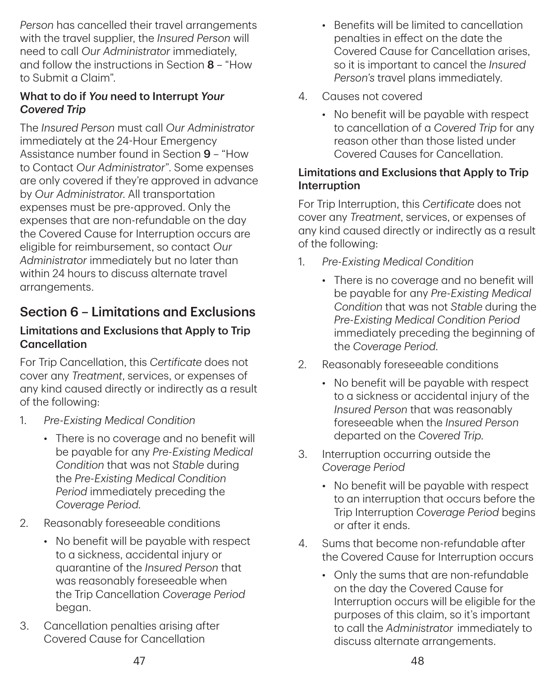*Person* has cancelled their travel arrangements with the travel supplier, the *Insured Person* will need to call *Our Administrator* immediately, and follow the instructions in Section 8 – "How to Submit a Claim".

### What to do if *You* need to Interrupt *Your Covered Trip*

The *Insured Person* must call *Our Administrator* immediately at the 24‑Hour Emergency Assistance number found in Section 9 – "How to Contact *Our Administrator*". Some expenses are only covered if they're approved in advance by *Our Administrator*. All transportation expenses must be pre-approved. Only the expenses that are non-refundable on the day the Covered Cause for Interruption occurs are eligible for reimbursement, so contact *Our Administrator* immediately but no later than within 24 hours to discuss alternate travel arrangements.

## Section 6 – Limitations and Exclusions

#### Limitations and Exclusions that Apply to Trip **Cancellation**

For Trip Cancellation, this *Certificate* does not cover any *Treatment*, services, or expenses of any kind caused directly or indirectly as a result of the following:

- 1. *Pre‑Existing Medical Condition*
	- There is no coverage and no benefit will be payable for any *Pre‑Existing Medical Condition* that was not *Stable* during the *Pre‑Existing Medical Condition Period* immediately preceding the *Coverage Period*.
- 2. Reasonably foreseeable conditions
	- No benefit will be payable with respect to a sickness, accidental injury or quarantine of the *Insured Person* that was reasonably foreseeable when the Trip Cancellation *Coverage Period* began.
- 3. Cancellation penalties arising after Covered Cause for Cancellation
- Benefits will be limited to cancellation penalties in effect on the date the Covered Cause for Cancellation arises, so it is important to cancel the *Insured Person's* travel plans immediately.
- 4. Causes not covered
	- No benefit will be payable with respect to cancellation of a *Covered Trip* for any reason other than those listed under Covered Causes for Cancellation.

#### Limitations and Exclusions that Apply to Trip Interruption

For Trip Interruption, this *Certificate* does not cover any *Treatment*, services, or expenses of any kind caused directly or indirectly as a result of the following:

- 1. *Pre‑Existing Medical Condition*
	- There is no coverage and no benefit will be payable for any *Pre‑Existing Medical Condition* that was not *Stable* during the *Pre‑Existing Medical Condition Period* immediately preceding the beginning of the *Coverage Period*.
- 2. Reasonably foreseeable conditions
	- No benefit will be payable with respect to a sickness or accidental injury of the *Insured Person* that was reasonably foreseeable when the *Insured Person* departed on the *Covered Trip*.
- 3. Interruption occurring outside the *Coverage Period*
	- No benefit will be payable with respect to an interruption that occurs before the Trip Interruption *Coverage Period* begins or after it ends.
- 4. Sums that become non-refundable after the Covered Cause for Interruption occurs
	- Only the sums that are non-refundable on the day the Covered Cause for Interruption occurs will be eligible for the purposes of this claim, so it's important to call the *Administrator* immediately to discuss alternate arrangements.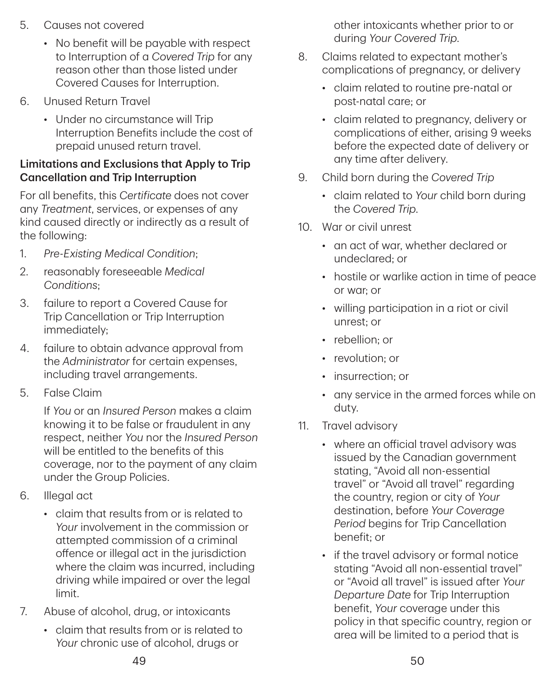- 5. Causes not covered
	- No benefit will be payable with respect to Interruption of a *Covered Trip* for any reason other than those listed under Covered Causes for Interruption.
- 6. Unused Return Travel
	- Under no circumstance will Trip Interruption Benefits include the cost of prepaid unused return travel.

#### Limitations and Exclusions that Apply to Trip Cancellation and Trip Interruption

For all benefits, this *Certificate* does not cover any *Treatment*, services, or expenses of any kind caused directly or indirectly as a result of the following:

- 1. *Pre‑Existing Medical Condition*;
- 2. reasonably foreseeable *Medical Conditions*;
- 3. failure to report a Covered Cause for Trip Cancellation or Trip Interruption immediately;
- 4. failure to obtain advance approval from the *Administrator* for certain expenses, including travel arrangements.
- 5. False Claim

If *You* or an *Insured Person* makes a claim knowing it to be false or fraudulent in any respect, neither *You* nor the *Insured Person* will be entitled to the benefits of this coverage, nor to the payment of any claim under the Group Policies.

- 6. Illegal act
	- claim that results from or is related to *Your* involvement in the commission or attempted commission of a criminal offence or illegal act in the jurisdiction where the claim was incurred, including driving while impaired or over the legal limit.
- 7. Abuse of alcohol, drug, or intoxicants
	- claim that results from or is related to *Your* chronic use of alcohol, drugs or

other intoxicants whether prior to or during *Your Covered Trip*.

- 8. Claims related to expectant mother's complications of pregnancy, or delivery
	- claim related to routine pre-natal or post-natal care; or
	- claim related to pregnancy, delivery or complications of either, arising 9 weeks before the expected date of delivery or any time after delivery.
- 9. Child born during the *Covered Trip*
	- claim related to *Your* child born during the *Covered Trip*.
- 10. War or civil unrest
	- an act of war, whether declared or undeclared; or
	- hostile or warlike action in time of peace or war; or
	- willing participation in a riot or civil unrest; or
	- rebellion: or
	- revolution: or
	- insurrection; or
	- any service in the armed forces while on duty.
- 11. Travel advisory
	- where an official travel advisory was issued by the Canadian government stating, "Avoid all non-essential travel" or "Avoid all travel" regarding the country, region or city of *Your* destination, before *Your Coverage Period* begins for Trip Cancellation benefit; or
	- if the travel advisory or formal notice stating "Avoid all non-essential travel" or "Avoid all travel" is issued after *Your Departure Date* for Trip Interruption benefit, *Your* coverage under this policy in that specific country, region or area will be limited to a period that is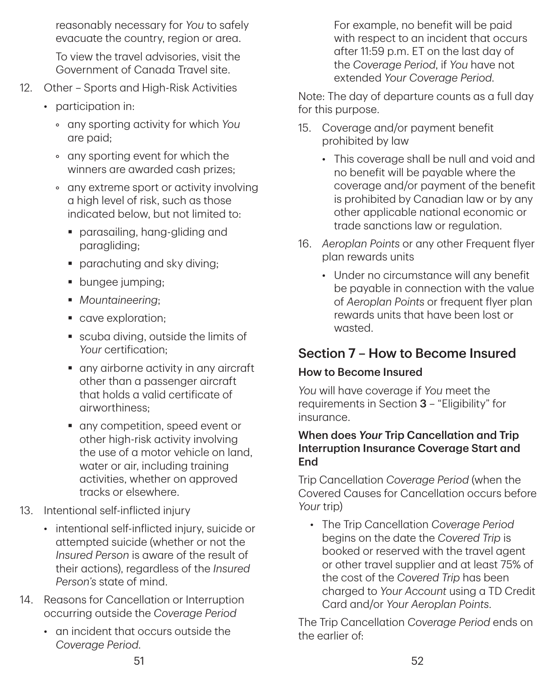reasonably necessary for *You* to safely evacuate the country, region or area.

To view the travel advisories, visit the Government of Canada Travel site.

- 12. Other Sports and High-Risk Activities
	- participation in:
		- any sporting activity for which *You* are paid;
		- any sporting event for which the winners are awarded cash prizes;
		- any extreme sport or activity involving a high level of risk, such as those indicated below, but not limited to:
			- parasailing, hang-gliding and paragliding;
			- **•** parachuting and sky diving;
			- **bungee jumping;**
			- *Mountaineering*;
			- cave exploration;
			- scuba diving, outside the limits of *Your* certification;
			- any airborne activity in any aircraft other than a passenger aircraft that holds a valid certificate of airworthiness;
			- any competition, speed event or other high-risk activity involving the use of a motor vehicle on land, water or air, including training activities, whether on approved tracks or elsewhere.
- 13. Intentional self-inflicted injury
	- intentional self-inflicted injury, suicide or attempted suicide (whether or not the *Insured Person* is aware of the result of their actions), regardless of the *Insured Person's* state of mind.
- 14. Reasons for Cancellation or Interruption occurring outside the *Coverage Period*
	- an incident that occurs outside the *Coverage Period*.

For example, no benefit will be paid with respect to an incident that occurs after 11:59 p.m. ET on the last day of the *Coverage Period*, if *You* have not extended *Your Coverage Period*.

Note: The day of departure counts as a full day for this purpose.

- 15. Coverage and/or payment benefit prohibited by law
	- This coverage shall be null and void and no benefit will be payable where the coverage and/or payment of the benefit is prohibited by Canadian law or by any other applicable national economic or trade sanctions law or regulation.
- 16. *Aeroplan Points* or any other Frequent flyer plan rewards units
	- Under no circumstance will any benefit be payable in connection with the value of *Aeroplan Points* or frequent flyer plan rewards units that have been lost or wasted.

## Section 7 – How to Become Insured

### How to Become Insured

*You* will have coverage if *You* meet the requirements in Section 3 – "Eligibility" for insurance.

#### When does *Your* Trip Cancellation and Trip Interruption Insurance Coverage Start and **End**

Trip Cancellation *Coverage Period* (when the Covered Causes for Cancellation occurs before *Your* trip)

• The Trip Cancellation *Coverage Period* begins on the date the *Covered Trip* is booked or reserved with the travel agent or other travel supplier and at least 75% of the cost of the *Covered Trip* has been charged to *Your Account* using a TD Credit Card and/or *Your Aeroplan Points*.

The Trip Cancellation *Coverage Period* ends on the earlier of: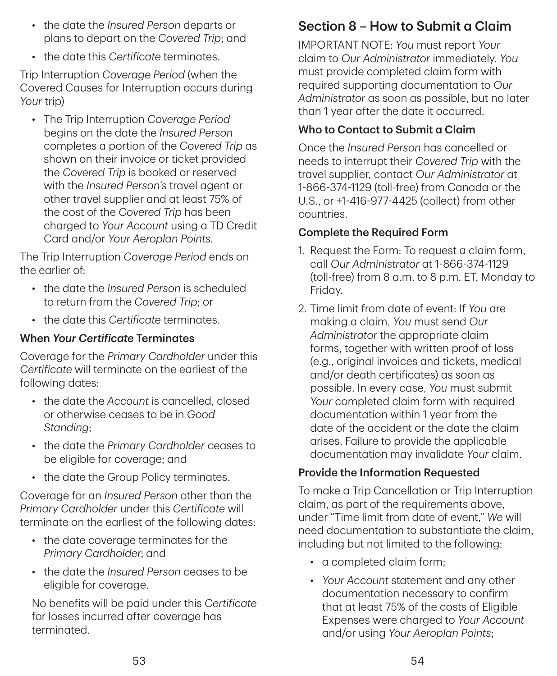- the date the *Insured Person* departs or plans to depart on the *Covered Trip*; and
- the date this *Certificate* terminates.

Trip Interruption *Coverage Period* (when the Covered Causes for Interruption occurs during *Your* trip)

• The Trip Interruption *Coverage Period* begins on the date the *Insured Person* completes a portion of the *Covered Trip* as shown on their invoice or ticket provided the *Covered Trip* is booked or reserved with the *Insured Person's* travel agent or other travel supplier and at least 75% of the cost of the *Covered Trip* has been charged to *Your Account* using a TD Credit Card and/or *Your Aeroplan Points*.

The Trip Interruption *Coverage Period* ends on the earlier of:

- the date the *Insured Person* is scheduled to return from the *Covered Trip*; or
- the date this *Certificate* terminates.

### When *Your Certificate* Terminates

Coverage for the *Primary Cardholder* under this *Certificate* will terminate on the earliest of the following dates:

- the date the *Account* is cancelled, closed or otherwise ceases to be in *Good Standing*;
- the date the *Primary Cardholder* ceases to be eligible for coverage; and
- the date the Group Policy terminates.

Coverage for an *Insured Person* other than the *Primary Cardholder* under this *Certificate* will terminate on the earliest of the following dates:

- the date coverage terminates for the *Primary Cardholder*; and
- the date the *Insured Person* ceases to be eligible for coverage.

No benefits will be paid under this *Certificate* for losses incurred after coverage has terminated.

## Section 8 – How to Submit a Claim

IMPORTANT NOTE: *You* must report *Your* claim to *Our Administrator* immediately. *You* must provide completed claim form with required supporting documentation to *Our Administrator* as soon as possible, but no later than 1 year after the date it occurred.

### Who to Contact to Submit a Claim

Once the *Insured Person* has cancelled or needs to interrupt their *Covered Trip* with the travel supplier, contact *Our Administrator* at 1‑866‑374‑1129 (toll-free) from Canada or the U.S., or +1‑416‑977‑4425 (collect) from other countries.

### Complete the Required Form

- 1. Request the Form: To request a claim form, call *Our Administrator* at 1‑866‑374‑1129 (toll-free) from 8 a.m. to 8 p.m. ET, Monday to Friday.
- 2. Time limit from date of event: If *You* are making a claim, *You* must send *Our Administrator* the appropriate claim forms, together with written proof of loss (e.g., original invoices and tickets, medical and/or death certificates) as soon as possible. In every case, *You* must submit *Your* completed claim form with required documentation within 1 year from the date of the accident or the date the claim arises. Failure to provide the applicable documentation may invalidate *Your* claim.

### Provide the Information Requested

To make a Trip Cancellation or Trip Interruption claim, as part of the requirements above, under "Time limit from date of event," *We* will need documentation to substantiate the claim, including but not limited to the following:

- a completed claim form;
- *Your Account* statement and any other documentation necessary to confirm that at least 75% of the costs of Eligible Expenses were charged to *Your Account* and/or using *Your Aeroplan Points*;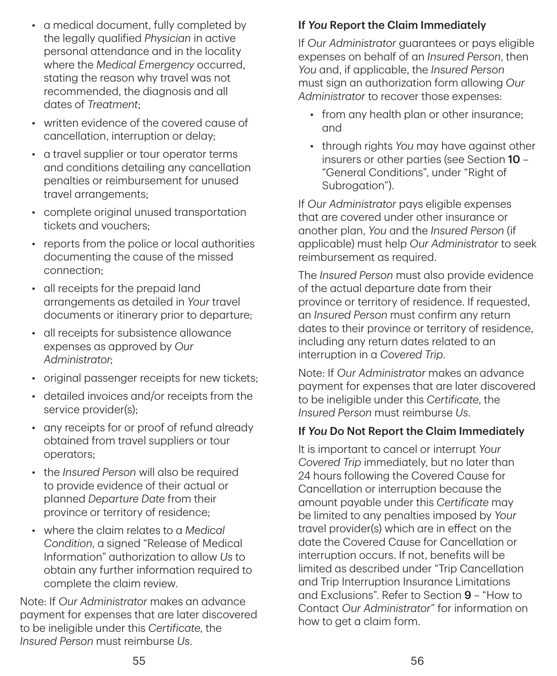- a medical document, fully completed by the legally qualified *Physician* in active personal attendance and in the locality where the *Medical Emergency* occurred, stating the reason why travel was not recommended, the diagnosis and all dates of *Treatment*;
- written evidence of the covered cause of cancellation, interruption or delay;
- a travel supplier or tour operator terms and conditions detailing any cancellation penalties or reimbursement for unused travel arrangements;
- complete original unused transportation tickets and vouchers;
- reports from the police or local authorities documenting the cause of the missed connection;
- all receipts for the prepaid land arrangements as detailed in *Your* travel documents or itinerary prior to departure;
- all receipts for subsistence allowance expenses as approved by *Our Administrator*;
- original passenger receipts for new tickets;
- detailed invoices and/or receipts from the service provider(s);
- any receipts for or proof of refund already obtained from travel suppliers or tour operators;
- the *Insured Person* will also be required to provide evidence of their actual or planned *Departure Date* from their province or territory of residence;
- where the claim relates to a *Medical Condition*, a signed "Release of Medical Information" authorization to allow *Us* to obtain any further information required to complete the claim review.

Note: If *Our Administrator* makes an advance payment for expenses that are later discovered to be ineligible under this *Certificate*, the *Insured Person* must reimburse *Us*.

### If *You* Report the Claim Immediately

If *Our Administrator* guarantees or pays eligible expenses on behalf of an *Insured Person*, then *You* and, if applicable, the *Insured Person* must sign an authorization form allowing *Our Administrator* to recover those expenses:

- from any health plan or other insurance; and
- through rights *You* may have against other insurers or other parties (see Section 10 – "General Conditions", under "Right of Subrogation").

If *Our Administrator* pays eligible expenses that are covered under other insurance or another plan, *You* and the *Insured Person* (if applicable) must help *Our Administrator* to seek reimbursement as required.

The *Insured Person* must also provide evidence of the actual departure date from their province or territory of residence. If requested, an *Insured Person* must confirm any return dates to their province or territory of residence, including any return dates related to an interruption in a *Covered Trip*.

Note: If *Our Administrator* makes an advance payment for expenses that are later discovered to be ineligible under this *Certificate*, the *Insured Person* must reimburse *Us*.

#### If *You* Do Not Report the Claim Immediately

It is important to cancel or interrupt *Your Covered Trip* immediately, but no later than 24 hours following the Covered Cause for Cancellation or interruption because the amount payable under this *Certificate* may be limited to any penalties imposed by *Your* travel provider(s) which are in effect on the date the Covered Cause for Cancellation or interruption occurs. If not, benefits will be limited as described under "Trip Cancellation and Trip Interruption Insurance Limitations and Exclusions". Refer to Section 9 – "How to Contact *Our Administrator*" for information on how to get a claim form.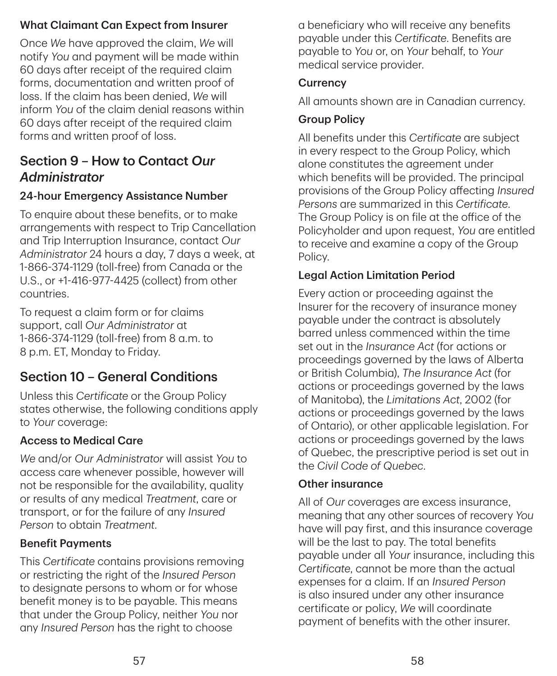### What Claimant Can Expect from Insurer

Once *We* have approved the claim, *We* will notify *You* and payment will be made within 60 days after receipt of the required claim forms, documentation and written proof of loss. If the claim has been denied, *We* will inform *You* of the claim denial reasons within 60 days after receipt of the required claim forms and written proof of loss.

## Section 9 – How to Contact *Our Administrator*

### 24‑hour Emergency Assistance Number

To enquire about these benefits, or to make arrangements with respect to Trip Cancellation and Trip Interruption Insurance, contact *Our Administrator* 24 hours a day, 7 days a week, at 1‑866‑374‑1129 (toll-free) from Canada or the U.S., or +1‑416‑977‑4425 (collect) from other countries.

To request a claim form or for claims support, call *Our Administrator* at 1‑866‑374‑1129 (toll-free) from 8 a.m. to 8 p.m. ET, Monday to Friday.

## Section 10 – General Conditions

Unless this *Certificate* or the Group Policy states otherwise, the following conditions apply to *Your* coverage:

### Access to Medical Care

*We* and/or *Our Administrator* will assist *You* to access care whenever possible, however will not be responsible for the availability, quality or results of any medical *Treatment*, care or transport, or for the failure of any *Insured Person* to obtain *Treatment*.

#### Benefit Payments

This *Certificate* contains provisions removing or restricting the right of the *Insured Person* to designate persons to whom or for whose benefit money is to be payable. This means that under the Group Policy, neither *You* nor any *Insured Person* has the right to choose

a beneficiary who will receive any benefits payable under this *Certificate*. Benefits are payable to *You* or, on *Your* behalf, to *Your* medical service provider.

#### **Currency**

All amounts shown are in Canadian currency.

### Group Policy

All benefits under this *Certificate* are subject in every respect to the Group Policy, which alone constitutes the agreement under which benefits will be provided. The principal provisions of the Group Policy affecting *Insured Persons* are summarized in this *Certificate*. The Group Policy is on file at the office of the Policyholder and upon request, *You* are entitled to receive and examine a copy of the Group Policy.

### Legal Action Limitation Period

Every action or proceeding against the Insurer for the recovery of insurance money payable under the contract is absolutely barred unless commenced within the time set out in the *Insurance Act* (for actions or proceedings governed by the laws of Alberta or British Columbia), *The Insurance Act* (for actions or proceedings governed by the laws of Manitoba), the *Limitations Act*, 2002 (for actions or proceedings governed by the laws of Ontario), or other applicable legislation. For actions or proceedings governed by the laws of Quebec, the prescriptive period is set out in the *Civil Code of Quebec*.

#### Other insurance

All of *Our* coverages are excess insurance, meaning that any other sources of recovery *You* have will pay first, and this insurance coverage will be the last to pay. The total benefits payable under all *Your* insurance, including this *Certificate*, cannot be more than the actual expenses for a claim. If an *Insured Person* is also insured under any other insurance certificate or policy, *We* will coordinate payment of benefits with the other insurer.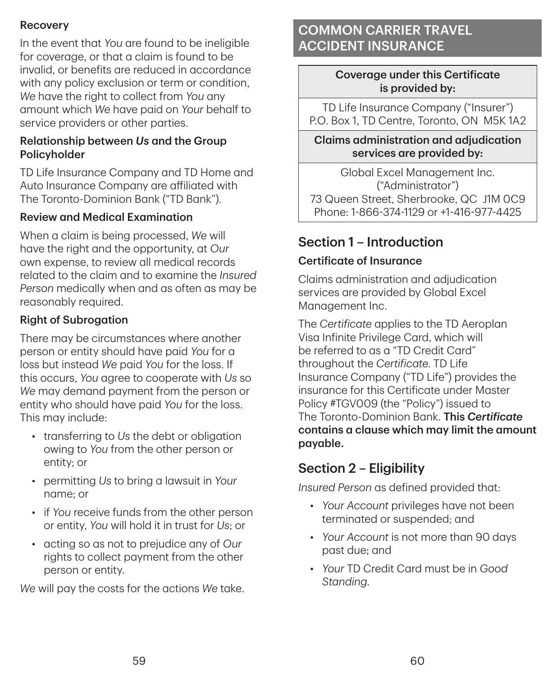### **Recovery**

In the event that *You* are found to be ineligible for coverage, or that a claim is found to be invalid, or benefits are reduced in accordance with any policy exclusion or term or condition. *We* have the right to collect from *You* any amount which *We* have paid on *Your* behalf to service providers or other parties.

#### Relationship between *Us* and the Group Policyholder

TD Life Insurance Company and TD Home and Auto Insurance Company are affiliated with The Toronto-Dominion Bank ("TD Bank").

#### Review and Medical Examination

When a claim is being processed, *We* will have the right and the opportunity, at *Our* own expense, to review all medical records related to the claim and to examine the *Insured Person* medically when and as often as may be reasonably required.

#### Right of Subrogation

There may be circumstances where another person or entity should have paid *You* for a loss but instead *We* paid *You* for the loss. If this occurs, *You* agree to cooperate with *Us* so *We* may demand payment from the person or entity who should have paid *You* for the loss. This may include:

- transferring to *Us* the debt or obligation owing to *You* from the other person or entity; or
- permitting *Us* to bring a lawsuit in *Your* name; or
- if *You* receive funds from the other person or entity, *You* will hold it in trust for *Us*; or
- acting so as not to prejudice any of *Our* rights to collect payment from the other person or entity.

*We* will pay the costs for the actions *We* take.

## COMMON CARRIER TRAVEL ACCIDENT INSURANCE

#### Coverage under this Certificate is provided by:

TD Life Insurance Company ("Insurer") P.O. Box 1, TD Centre, Toronto, ON M5K 1A2

Claims administration and adjudication services are provided by:

Global Excel Management Inc. ("Administrator") 73 Queen Street, Sherbrooke, QC J1M 0C9 Phone: 1‑866‑374‑1129 or +1‑416‑977‑4425

## Section 1 – Introduction

### Certificate of Insurance

Claims administration and adjudication services are provided by Global Excel Management Inc.

The *Certificate* applies to the TD Aeroplan Visa Infinite Privilege Card, which will be referred to as a "TD Credit Card" throughout the *Certificate*. TD Life Insurance Company ("TD Life") provides the insurance for this Certificate under Master Policy #TGV009 (the "Policy") issued to The Toronto-Dominion Bank. This *Certificate* contains a clause which may limit the amount payable.

## Section 2 – Eligibility

*Insured Person* as defined provided that:

- *Your Account* privileges have not been terminated or suspended; and
- *Your Account* is not more than 90 days past due; and
- *Your* TD Credit Card must be in *Good Standing*.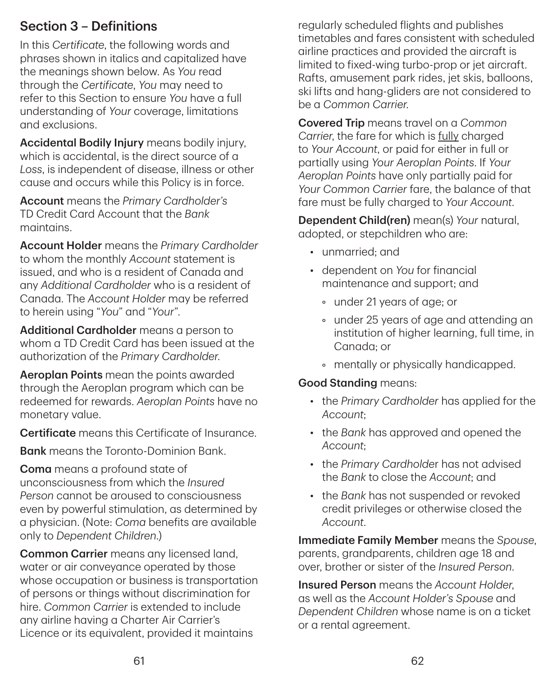## Section 3 – Definitions

In this *Certificate*, the following words and phrases shown in italics and capitalized have the meanings shown below. As *You* read through the *Certificate*, *You* may need to refer to this Section to ensure *You* have a full understanding of *Your* coverage, limitations and exclusions.

Accidental Bodily Injury means bodily injury, which is accidental, is the direct source of a *Loss*, is independent of disease, illness or other cause and occurs while this Policy is in force.

Account means the *Primary Cardholder's* TD Credit Card Account that the *Bank* maintains.

Account Holder means the *Primary Cardholder* to whom the monthly *Account* statement is issued, and who is a resident of Canada and any *Additional Cardholder* who is a resident of Canada. The *Account Holder* may be referred to herein using "*You*" and "*Your*".

Additional Cardholder means a person to whom a TD Credit Card has been issued at the authorization of the *Primary Cardholder*.

Aeroplan Points mean the points awarded through the Aeroplan program which can be redeemed for rewards. *Aeroplan Points* have no monetary value.

Certificate means this Certificate of Insurance.

Bank means the Toronto-Dominion Bank.

Coma means a profound state of unconsciousness from which the *Insured Person* cannot be aroused to consciousness even by powerful stimulation, as determined by a physician. (Note: *Coma* benefits are available only to *Dependent Children*.)

Common Carrier means any licensed land, water or air conveyance operated by those whose occupation or business is transportation of persons or things without discrimination for hire. *Common Carrier* is extended to include any airline having a Charter Air Carrier's Licence or its equivalent, provided it maintains

regularly scheduled flights and publishes timetables and fares consistent with scheduled airline practices and provided the aircraft is limited to fixed-wing turbo-prop or jet aircraft. Rafts, amusement park rides, jet skis, balloons, ski lifts and hang-gliders are not considered to be a *Common Carrier*.

Covered Trip means travel on a *Common Carrier*, the fare for which is fully charged to *Your Account*, or paid for either in full or partially using *Your Aeroplan Points*. If *Your Aeroplan Points* have only partially paid for *Your Common Carrier* fare, the balance of that fare must be fully charged to *Your Account*.

Dependent Child(ren) mean(s) *Your* natural, adopted, or stepchildren who are:

- unmarried; and
- dependent on *You* for financial maintenance and support; and
	- under 21 years of age; or
	- under 25 years of age and attending an institution of higher learning, full time, in Canada; or
	- mentally or physically handicapped.

### Good Standing means:

- the *Primary Cardholder* has applied for the *Account*;
- the *Bank* has approved and opened the *Account*;
- the *Primary Cardholde*r has not advised the *Bank* to close the *Account*; and
- the *Bank* has not suspended or revoked credit privileges or otherwise closed the *Account*.

Immediate Family Member means the *Spouse*, parents, grandparents, children age 18 and over, brother or sister of the *Insured Person*.

Insured Person means the *Account Holder*, as well as the *Account Holder's Spouse* and *Dependent Children* whose name is on a ticket or a rental agreement.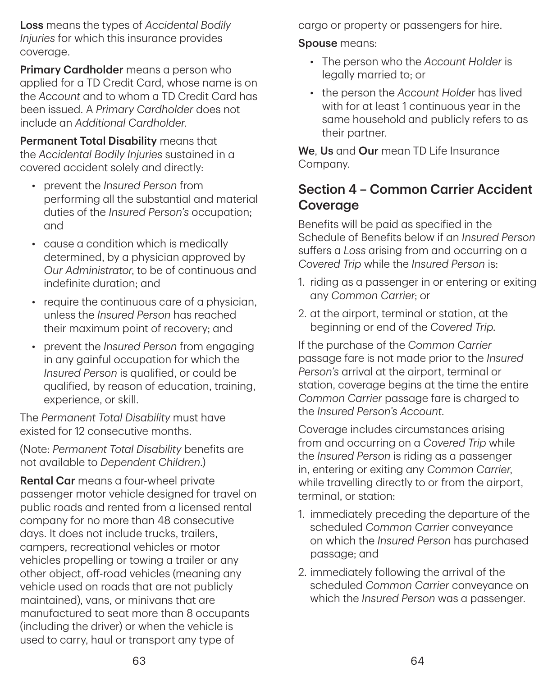Loss means the types of *Accidental Bodily Injuries* for which this insurance provides coverage.

Primary Cardholder means a person who applied for a TD Credit Card, whose name is on the *Account* and to whom a TD Credit Card has been issued. A *Primary Cardholder* does not include an *Additional Cardholder*.

Permanent Total Disability means that the *Accidental Bodily Injuries* sustained in a covered accident solely and directly:

- prevent the *Insured Person* from performing all the substantial and material duties of the *Insured Person's* occupation; and
- cause a condition which is medically determined, by a physician approved by *Our Administrator*, to be of continuous and indefinite duration; and
- require the continuous care of a physician. unless the *Insured Person* has reached their maximum point of recovery; and
- prevent the *Insured Person* from engaging in any gainful occupation for which the *Insured Person* is qualified, or could be qualified, by reason of education, training, experience, or skill.

The *Permanent Total Disability* must have existed for 12 consecutive months.

(Note: *Permanent Total Disability* benefits are not available to *Dependent Children*.)

Rental Car means a four-wheel private passenger motor vehicle designed for travel on public roads and rented from a licensed rental company for no more than 48 consecutive days. It does not include trucks, trailers, campers, recreational vehicles or motor vehicles propelling or towing a trailer or any other object, off-road vehicles (meaning any vehicle used on roads that are not publicly maintained), vans, or minivans that are manufactured to seat more than 8 occupants (including the driver) or when the vehicle is used to carry, haul or transport any type of

cargo or property or passengers for hire.

#### Spouse means:

- The person who the *Account Holder* is legally married to; or
- the person the *Account Holder* has lived with for at least 1 continuous year in the same household and publicly refers to as their partner.

We, Us and Our mean TD Life Insurance Company.

## Section 4 – Common Carrier Accident **Coverage**

Benefits will be paid as specified in the Schedule of Benefits below if an *Insured Person* suffers a *Loss* arising from and occurring on a *Covered Trip* while the *Insured Person* is:

- 1. riding as a passenger in or entering or exiting any *Common Carrier*; or
- 2. at the airport, terminal or station, at the beginning or end of the *Covered Trip*.

If the purchase of the *Common Carrier* passage fare is not made prior to the *Insured Person's* arrival at the airport, terminal or station, coverage begins at the time the entire *Common Carrier* passage fare is charged to the *Insured Person's Account*.

Coverage includes circumstances arising from and occurring on a *Covered Trip* while the *Insured Person* is riding as a passenger in, entering or exiting any *Common Carrier*, while travelling directly to or from the airport, terminal, or station:

- 1. immediately preceding the departure of the scheduled *Common Carrier* conveyance on which the *Insured Person* has purchased passage; and
- 2. immediately following the arrival of the scheduled *Common Carrier* conveyance on which the *Insured Person* was a passenger.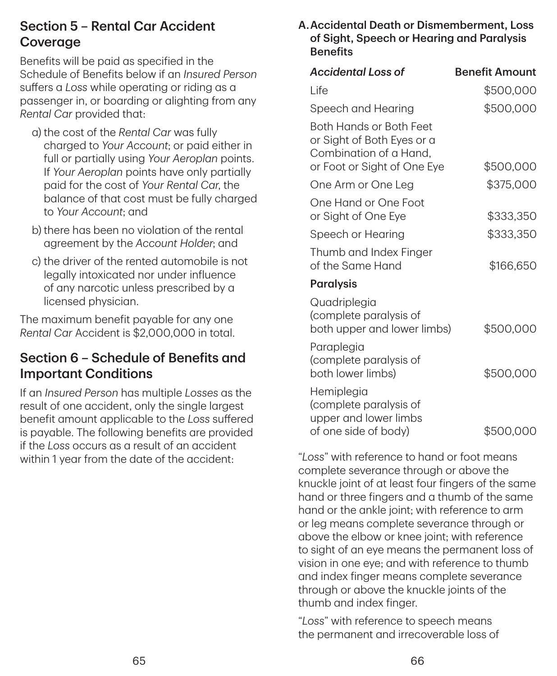## Section 5 – Rental Car Accident Coverage

Benefits will be paid as specified in the Schedule of Benefits below if an *Insured Person* suffers a *Loss* while operating or riding as a passenger in, or boarding or alighting from any *Rental Car* provided that:

- a) the cost of the *Rental Car* was fully charged to *Your Account*; or paid either in full or partially using *Your Aeroplan* points. If *Your Aeroplan* points have only partially paid for the cost of *Your Rental Car*, the balance of that cost must be fully charged to *Your Account*; and
- b) there has been no violation of the rental agreement by the *Account Holder*; and
- c) the driver of the rented automobile is not legally intoxicated nor under influence of any narcotic unless prescribed by a licensed physician.

The maximum benefit payable for any one *Rental Car* Accident is \$2,000,000 in total.

## Section 6 – Schedule of Benefits and Important Conditions

If an *Insured Person* has multiple *Losses* as the result of one accident, only the single largest benefit amount applicable to the *Loss* suffered is payable. The following benefits are provided if the *Loss* occurs as a result of an accident within 1 year from the date of the accident:

#### A.Accidental Death or Dismemberment, Loss of Sight, Speech or Hearing and Paralysis **Benefits**

| <b>Accidental Loss of</b>                                                                                      | <b>Benefit Amount</b> |
|----------------------------------------------------------------------------------------------------------------|-----------------------|
| Life                                                                                                           | \$500,000             |
| Speech and Hearing                                                                                             | \$500,000             |
| Both Hands or Both Feet<br>or Sight of Both Eyes or a<br>Combination of a Hand,<br>or Foot or Sight of One Eye | \$500,000             |
| One Arm or One Leg                                                                                             | \$375,000             |
| One Hand or One Foot<br>or Sight of One Eye                                                                    | \$333,350             |
| Speech or Hearing                                                                                              | \$333,350             |
| Thumb and Index Finger<br>of the Same Hand                                                                     | \$166,650             |
| <b>Paralysis</b>                                                                                               |                       |
| Quadriplegia<br>(complete paralysis of<br>both upper and lower limbs)                                          | \$500,000             |
| Paraplegia<br>(complete paralysis of<br>both lower limbs)                                                      | \$500,000             |
| Hemiplegia<br>(complete paralysis of<br>upper and lower limbs<br>of one side of body)                          | \$500,000             |

"*Loss*" with reference to hand or foot means complete severance through or above the knuckle joint of at least four fingers of the same hand or three fingers and a thumb of the same hand or the ankle joint; with reference to arm or leg means complete severance through or above the elbow or knee joint; with reference to sight of an eye means the permanent loss of vision in one eye; and with reference to thumb and index finger means complete severance through or above the knuckle joints of the thumb and index finger.

"*Loss*" with reference to speech means the permanent and irrecoverable loss of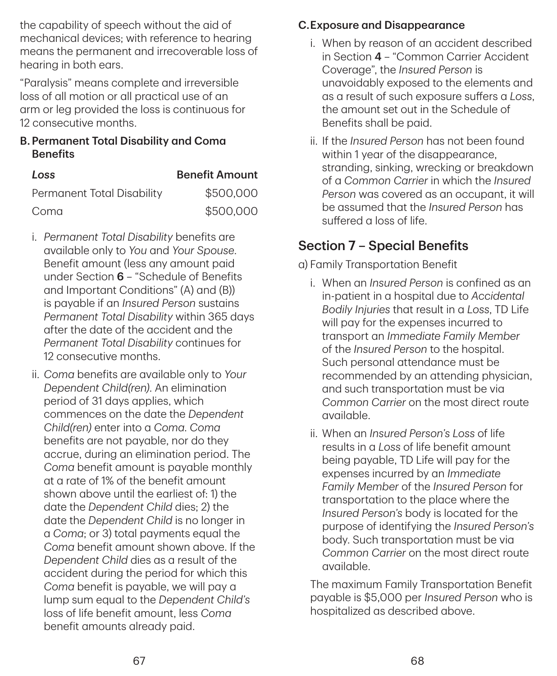the capability of speech without the aid of mechanical devices; with reference to hearing means the permanent and irrecoverable loss of hearing in both ears.

"Paralysis" means complete and irreversible loss of all motion or all practical use of an arm or leg provided the loss is continuous for 12 consecutive months.

#### B.Permanent Total Disability and Coma **Benefits**

| Loss                       | <b>Benefit Amount</b> |  |
|----------------------------|-----------------------|--|
| Permanent Total Disability | \$500,000             |  |
| Coma                       | \$500,000             |  |

- i. *Permanent Total Disability* benefits are available only to *You* and *Your Spouse*. Benefit amount (less any amount paid under Section 6 – "Schedule of Benefits and Important Conditions" (A) and (B)) is payable if an *Insured Person* sustains *Permanent Total Disability* within 365 days after the date of the accident and the *Permanent Total Disability* continues for 12 consecutive months.
- ii. *Coma* benefits are available only to *Your Dependent Child(ren)*. An elimination period of 31 days applies, which commences on the date the *Dependent Child(ren)* enter into a *Coma*. *Coma* benefits are not payable, nor do they accrue, during an elimination period. The *Coma* benefit amount is payable monthly at a rate of 1% of the benefit amount shown above until the earliest of: 1) the date the *Dependent Child* dies; 2) the date the *Dependent Child* is no longer in a *Coma*; or 3) total payments equal the *Coma* benefit amount shown above. If the *Dependent Child* dies as a result of the accident during the period for which this *Coma* benefit is payable, we will pay a lump sum equal to the *Dependent Child's* loss of life benefit amount, less *Coma* benefit amounts already paid.

### C.Exposure and Disappearance

- i. When by reason of an accident described in Section 4 – "Common Carrier Accident Coverage", the *Insured Person* is unavoidably exposed to the elements and as a result of such exposure suffers a *Loss*, the amount set out in the Schedule of Benefits shall be paid.
- ii. If the *Insured Person* has not been found within 1 year of the disappearance, stranding, sinking, wrecking or breakdown of a *Common Carrier* in which the *Insured Person* was covered as an occupant, it will be assumed that the *Insured Person* has suffered a loss of life.

## Section 7 – Special Benefits

a) Family Transportation Benefit

- i. When an *Insured Person* is confined as an in-patient in a hospital due to *Accidental Bodily Injuries* that result in a *Loss*, TD Life will pay for the expenses incurred to transport an *Immediate Family Member* of the *Insured Person* to the hospital. Such personal attendance must be recommended by an attending physician, and such transportation must be via *Common Carrier* on the most direct route available.
- ii. When an *Insured Person's Loss* of life results in a *Loss* of life benefit amount being payable, TD Life will pay for the expenses incurred by an *Immediate Family Member* of the *Insured Person* for transportation to the place where the *Insured Person's* body is located for the purpose of identifying the *Insured Person's* body. Such transportation must be via *Common Carrier* on the most direct route available.

The maximum Family Transportation Benefit payable is \$5,000 per *Insured Person* who is hospitalized as described above.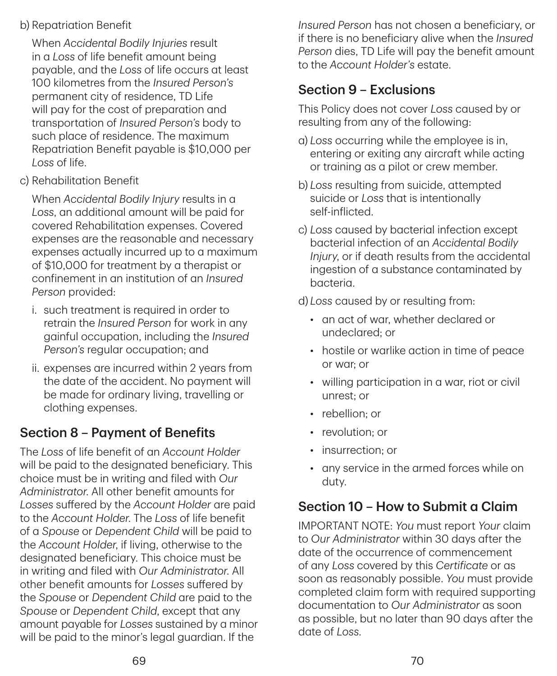#### b) Repatriation Benefit

When *Accidental Bodily Injuries* result in a *Loss* of life benefit amount being payable, and the *Loss* of life occurs at least 100 kilometres from the *Insured Person's* permanent city of residence, TD Life will pay for the cost of preparation and transportation of *Insured Person's* body to such place of residence. The maximum Repatriation Benefit payable is \$10,000 per *Loss* of life.

c) Rehabilitation Benefit

When *Accidental Bodily Injury* results in a *Loss*, an additional amount will be paid for covered Rehabilitation expenses. Covered expenses are the reasonable and necessary expenses actually incurred up to a maximum of \$10,000 for treatment by a therapist or confinement in an institution of an *Insured Person* provided:

- i. such treatment is required in order to retrain the *Insured Person* for work in any gainful occupation, including the *Insured Person's* regular occupation; and
- ii. expenses are incurred within 2 years from the date of the accident. No payment will be made for ordinary living, travelling or clothing expenses.

## Section 8 – Payment of Benefits

The *Loss* of life benefit of an *Account Holder* will be paid to the designated beneficiary. This choice must be in writing and filed with *Our Administrator*. All other benefit amounts for *Losses* suffered by the *Account Holder* are paid to the *Account Holder*. The *Loss* of life benefit of a *Spouse* or *Dependent Child* will be paid to the *Account Holder*, if living, otherwise to the designated beneficiary. This choice must be in writing and filed with *Our Administrator*. All other benefit amounts for *Losses* suffered by the *Spouse* or *Dependent Child* are paid to the *Spouse* or *Dependent Child*, except that any amount payable for *Losses* sustained by a minor will be paid to the minor's legal guardian. If the

*Insured Person* has not chosen a beneficiary, or if there is no beneficiary alive when the *Insured Person* dies, TD Life will pay the benefit amount to the *Account Holder's* estate.

## Section 9 – Exclusions

This Policy does not cover *Loss* caused by or resulting from any of the following:

- a) *Loss* occurring while the employee is in, entering or exiting any aircraft while acting or training as a pilot or crew member.
- b) *Loss* resulting from suicide, attempted suicide or *Loss* that is intentionally self-inflicted.
- c) *Loss* caused by bacterial infection except bacterial infection of an *Accidental Bodily Injury*, or if death results from the accidental ingestion of a substance contaminated by bacteria.

d) *Loss* caused by or resulting from:

- an act of war, whether declared or undeclared; or
- hostile or warlike action in time of peace or war; or
- willing participation in a war, riot or civil unrest; or
- rebellion; or
- revolution: or
- insurrection; or
- any service in the armed forces while on duty.

## Section 10 – How to Submit a Claim

IMPORTANT NOTE: *You* must report *Your* claim to *Our Administrator* within 30 days after the date of the occurrence of commencement of any *Loss* covered by this *Certificate* or as soon as reasonably possible. *You* must provide completed claim form with required supporting documentation to *Our Administrator* as soon as possible, but no later than 90 days after the date of *Loss*.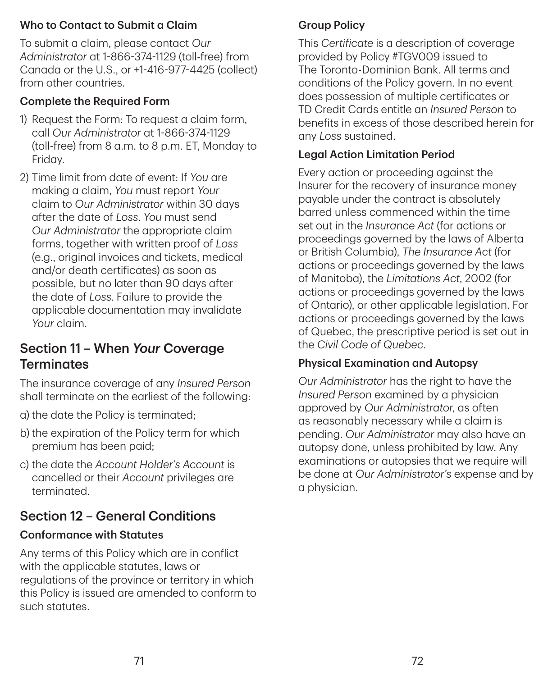#### Who to Contact to Submit a Claim

To submit a claim, please contact *Our Administrator* at 1‑866‑374‑1129 (toll-free) from Canada or the U.S., or +1‑416‑977‑4425 (collect) from other countries.

### Complete the Required Form

- 1) Request the Form: To request a claim form, call *Our Administrator* at 1‑866‑374‑1129 (toll-free) from 8 a.m. to 8 p.m. ET, Monday to Friday.
- 2) Time limit from date of event: If *You* are making a claim, *You* must report *Your* claim to *Our Administrator* within 30 days after the date of *Loss*. *You* must send *Our Administrator* the appropriate claim forms, together with written proof of *Loss* (e.g., original invoices and tickets, medical and/or death certificates) as soon as possible, but no later than 90 days after the date of *Loss*. Failure to provide the applicable documentation may invalidate *Your* claim.

## Section 11 – When *Your* Coverage **Terminates**

The insurance coverage of any *Insured Person* shall terminate on the earliest of the following:

- a) the date the Policy is terminated;
- b) the expiration of the Policy term for which premium has been paid;
- c) the date the *Account Holder's Account* is cancelled or their *Account* privileges are terminated.

## Section 12 – General Conditions

## Conformance with Statutes

Any terms of this Policy which are in conflict with the applicable statutes, laws or regulations of the province or territory in which this Policy is issued are amended to conform to such statutes.

### Group Policy

This *Certificate* is a description of coverage provided by Policy #TGV009 issued to The Toronto-Dominion Bank. All terms and conditions of the Policy govern. In no event does possession of multiple certificates or TD Credit Cards entitle an *Insured Person* to benefits in excess of those described herein for any *Loss* sustained.

### Legal Action Limitation Period

Every action or proceeding against the Insurer for the recovery of insurance money payable under the contract is absolutely barred unless commenced within the time set out in the *Insurance Act* (for actions or proceedings governed by the laws of Alberta or British Columbia), *The Insurance Act* (for actions or proceedings governed by the laws of Manitoba), the *Limitations Act*, 2002 (for actions or proceedings governed by the laws of Ontario), or other applicable legislation. For actions or proceedings governed by the laws of Quebec, the prescriptive period is set out in the *Civil Code of Quebec*.

## Physical Examination and Autopsy

*Our Administrator* has the right to have the *Insured Person* examined by a physician approved by *Our Administrator*, as often as reasonably necessary while a claim is pending. *Our Administrator* may also have an autopsy done, unless prohibited by law. Any examinations or autopsies that we require will be done at *Our Administrator's* expense and by a physician.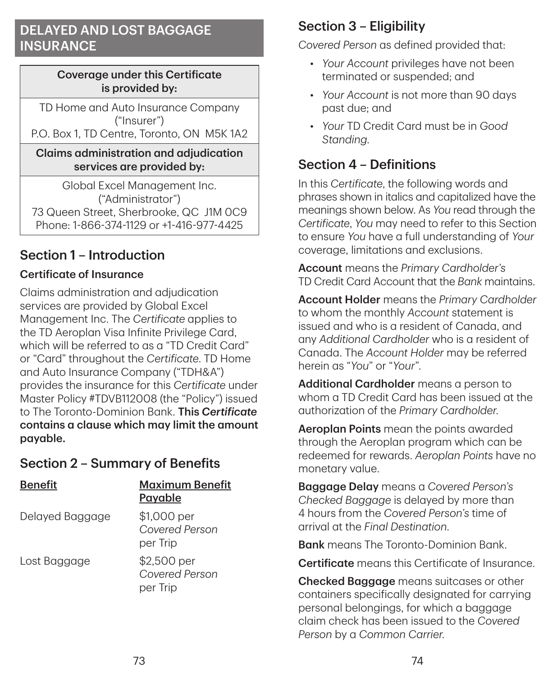## DELAYED AND LOST BAGGAGE **INSURANCE**

#### Coverage under this Certificate is provided by:

TD Home and Auto Insurance Company ("Insurer") P.O. Box 1, TD Centre, Toronto, ON M5K 1A2

#### Claims administration and adjudication services are provided by:

Global Excel Management Inc. ("Administrator") 73 Queen Street, Sherbrooke, QC J1M 0C9 Phone: 1‑866‑374‑1129 or +1‑416‑977‑4425

## Section 1 – Introduction

### Certificate of Insurance

Claims administration and adjudication services are provided by Global Excel Management Inc. The *Certificate* applies to the TD Aeroplan Visa Infinite Privilege Card, which will be referred to as a "TD Credit Card" or "Card" throughout the *Certificate*. TD Home and Auto Insurance Company ("TDH&A") provides the insurance for this *Certificate* under Master Policy #TDVB112008 (the "Policy") issued to The Toronto-Dominion Bank. This *Certificate* contains a clause which may limit the amount payable.

## Section 2 – Summary of Benefits

| <b>Benefit</b>  | <b>Maximum Benefit</b><br><b>Payable</b>  |
|-----------------|-------------------------------------------|
| Delayed Baggage | \$1,000 per<br>Covered Person<br>per Trip |
| Lost Baggage    | \$2,500 per<br>Covered Person<br>per Trip |

## Section 3 – Eligibility

*Covered Person* as defined provided that:

- *Your Account* privileges have not been terminated or suspended; and
- *Your Account* is not more than 90 days past due; and
- *Your* TD Credit Card must be in *Good Standing*.

## Section 4 – Definitions

In this *Certificate*, the following words and phrases shown in italics and capitalized have the meanings shown below. As *You* read through the *Certificate*, *You* may need to refer to this Section to ensure *You* have a full understanding of *Your* coverage, limitations and exclusions.

Account means the *Primary Cardholder's* TD Credit Card Account that the *Bank* maintains.

Account Holder means the *Primary Cardholder* to whom the monthly *Account* statement is issued and who is a resident of Canada, and any *Additional Cardholder* who is a resident of Canada. The *Account Holder* may be referred herein as "*You*" or "*Your*".

Additional Cardholder means a person to whom a TD Credit Card has been issued at the authorization of the *Primary Cardholder*.

Aeroplan Points mean the points awarded through the Aeroplan program which can be redeemed for rewards. *Aeroplan Points* have no monetary value.

Baggage Delay means a *Covered Person's Checked Baggage* is delayed by more than 4 hours from the *Covered Person's* time of arrival at the *Final Destination*.

**Bank** means The Toronto-Dominion Bank

Certificate means this Certificate of Insurance.

Checked Baggage means suitcases or other containers specifically designated for carrying personal belongings, for which a baggage claim check has been issued to the *Covered Person* by a *Common Carrier*.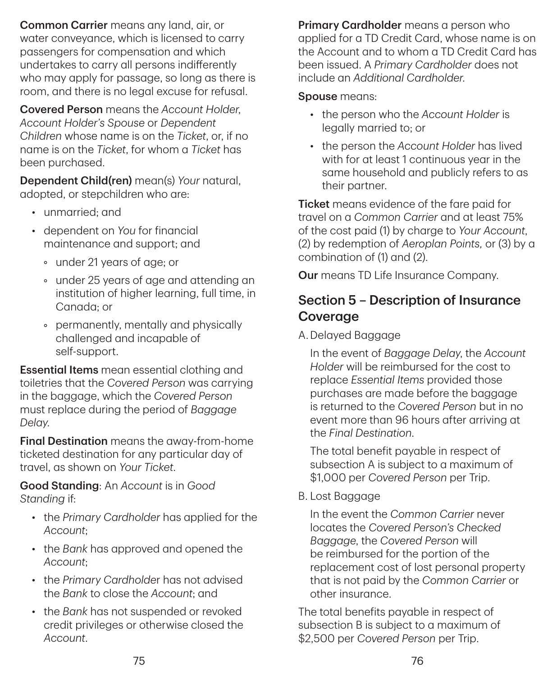Common Carrier means any land, air, or water conveyance, which is licensed to carry passengers for compensation and which undertakes to carry all persons indifferently who may apply for passage, so long as there is room, and there is no legal excuse for refusal.

Covered Person means the *Account Holder*, *Account Holder's Spouse* or *Dependent Children* whose name is on the *Ticket*, or, if no name is on the *Ticket*, for whom a *Ticket* has been purchased.

Dependent Child(ren) mean(s) *Your* natural, adopted, or stepchildren who are:

- unmarried; and
- dependent on *You* for financial maintenance and support; and
	- under 21 years of age; or
	- under 25 years of age and attending an institution of higher learning, full time, in Canada; or
	- permanently, mentally and physically challenged and incapable of self-support.

**Essential Items** mean essential clothing and toiletries that the *Covered Person* was carrying in the baggage, which the *Covered Person* must replace during the period of *Baggage Delay*.

Final Destination means the away-from-home ticketed destination for any particular day of travel, as shown on *Your Ticket*.

Good Standing: An *Account* is in *Good Standing* if:

- the *Primary Cardholder* has applied for the *Account*;
- the *Bank* has approved and opened the *Account*;
- the *Primary Cardholde*r has not advised the *Bank* to close the *Account*; and
- the *Bank* has not suspended or revoked credit privileges or otherwise closed the *Account*.

Primary Cardholder means a person who applied for a TD Credit Card, whose name is on the Account and to whom a TD Credit Card has been issued. A *Primary Cardholder* does not include an *Additional Cardholder*.

#### Spouse means:

- the person who the *Account Holder* is legally married to; or
- the person the *Account Holder* has lived with for at least 1 continuous year in the same household and publicly refers to as their partner.

**Ticket** means evidence of the fare paid for travel on a *Common Carrier* and at least 75% of the cost paid (1) by charge to *Your Account*, (2) by redemption of *Aeroplan Points,* or (3) by a combination of (1) and (2).

Our means TD Life Insurance Company.

## Section 5 – Description of Insurance Coverage

A.Delayed Baggage

In the event of *Baggage Delay*, the *Account Holder* will be reimbursed for the cost to replace *Essential Items* provided those purchases are made before the baggage is returned to the *Covered Person* but in no event more than 96 hours after arriving at the *Final Destination*.

The total benefit payable in respect of subsection A is subject to a maximum of \$1,000 per *Covered Person* per Trip.

B. Lost Baggage

In the event the *Common Carrier* never locates the *Covered Person's Checked Baggage*, the *Covered Person* will be reimbursed for the portion of the replacement cost of lost personal property that is not paid by the *Common Carrier* or other insurance.

The total benefits payable in respect of subsection B is subject to a maximum of \$2,500 per *Covered Person* per Trip.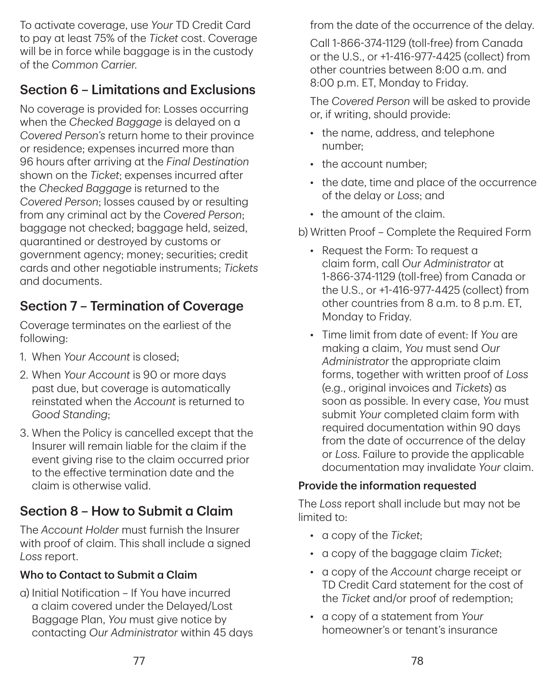To activate coverage, use *Your* TD Credit Card to pay at least 75% of the *Ticket* cost. Coverage will be in force while baggage is in the custody of the *Common Carrier*.

## Section 6 – Limitations and Exclusions

No coverage is provided for: Losses occurring when the *Checked Baggage* is delayed on a *Covered Person's* return home to their province or residence; expenses incurred more than 96 hours after arriving at the *Final Destination* shown on the *Ticket*; expenses incurred after the *Checked Baggage* is returned to the *Covered Person*; losses caused by or resulting from any criminal act by the *Covered Person*; baggage not checked; baggage held, seized, quarantined or destroyed by customs or government agency; money; securities; credit cards and other negotiable instruments; *Tickets* and documents.

## Section 7 – Termination of Coverage

Coverage terminates on the earliest of the following:

- 1. When *Your Account* is closed;
- 2. When *Your Account* is 90 or more days past due, but coverage is automatically reinstated when the *Account* is returned to *Good Standing*;
- 3. When the Policy is cancelled except that the Insurer will remain liable for the claim if the event giving rise to the claim occurred prior to the effective termination date and the claim is otherwise valid.

## Section 8 – How to Submit a Claim

The *Account Holder* must furnish the Insurer with proof of claim. This shall include a signed *Loss* report.

### Who to Contact to Submit a Claim

a) Initial Notification – If You have incurred a claim covered under the Delayed/Lost Baggage Plan, *You* must give notice by contacting *Our Administrator* within 45 days from the date of the occurrence of the delay.

Call 1‑866‑374‑1129 (toll-free) from Canada or the U.S., or +1‑416‑977‑4425 (collect) from other countries between 8:00 a.m. and 8:00 p.m. ET, Monday to Friday.

The *Covered Person* will be asked to provide or, if writing, should provide:

- the name, address, and telephone number;
- the account number:
- the date, time and place of the occurrence of the delay or *Loss*; and
- the amount of the claim.

### b) Written Proof – Complete the Required Form

- Request the Form: To request a claim form, call *Our Administrator* at 1‑866‑374‑1129 (toll-free) from Canada or the U.S., or +1‑416‑977‑4425 (collect) from other countries from 8 a.m. to 8 p.m. ET, Monday to Friday.
- Time limit from date of event: If *You* are making a claim, *You* must send *Our Administrator* the appropriate claim forms, together with written proof of *Loss* (e.g., original invoices and *Tickets*) as soon as possible. In every case, *You* must submit *Your* completed claim form with required documentation within 90 days from the date of occurrence of the delay or *Loss*. Failure to provide the applicable documentation may invalidate *Your* claim.

### Provide the information requested

The *Loss* report shall include but may not be limited to:

- a copy of the *Ticket*;
- a copy of the baggage claim *Ticket*;
- a copy of the *Account* charge receipt or TD Credit Card statement for the cost of the *Ticket* and/or proof of redemption;
- a copy of a statement from *Your* homeowner's or tenant's insurance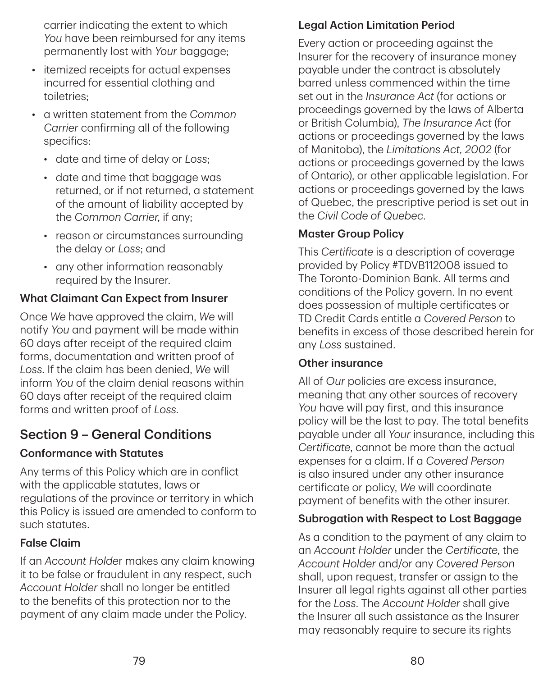carrier indicating the extent to which *You* have been reimbursed for any items permanently lost with *Your* baggage;

- itemized receipts for actual expenses incurred for essential clothing and toiletries;
- a written statement from the *Common Carrier* confirming all of the following specifics:
	- date and time of delay or *Loss*;
	- date and time that baggage was returned, or if not returned, a statement of the amount of liability accepted by the *Common Carrier*, if any;
	- reason or circumstances surrounding the delay or *Loss*; and
	- any other information reasonably required by the Insurer.

#### What Claimant Can Expect from Insurer

Once *We* have approved the claim, *We* will notify *You* and payment will be made within 60 days after receipt of the required claim forms, documentation and written proof of *Loss*. If the claim has been denied, *We* will inform *You* of the claim denial reasons within 60 days after receipt of the required claim forms and written proof of *Loss*.

## Section 9 – General Conditions

#### Conformance with Statutes

Any terms of this Policy which are in conflict with the applicable statutes, laws or regulations of the province or territory in which this Policy is issued are amended to conform to such statutes.

#### False Claim

If an *Account Holde*r makes any claim knowing it to be false or fraudulent in any respect, such *Account Holder* shall no longer be entitled to the benefits of this protection nor to the payment of any claim made under the Policy.

#### Legal Action Limitation Period

Every action or proceeding against the Insurer for the recovery of insurance money payable under the contract is absolutely barred unless commenced within the time set out in the *Insurance Act* (for actions or proceedings governed by the laws of Alberta or British Columbia), *The Insurance Act* (for actions or proceedings governed by the laws of Manitoba), the *Limitations Act, 2002* (for actions or proceedings governed by the laws of Ontario), or other applicable legislation. For actions or proceedings governed by the laws of Quebec, the prescriptive period is set out in the *Civil Code of Quebec*.

#### Master Group Policy

This *Certificate* is a description of coverage provided by Policy #TDVB112008 issued to The Toronto-Dominion Bank. All terms and conditions of the Policy govern. In no event does possession of multiple certificates or TD Credit Cards entitle a *Covered Person* to benefits in excess of those described herein for any *Loss* sustained.

#### Other insurance

All of *Our* policies are excess insurance, meaning that any other sources of recovery *You* have will pay first, and this insurance policy will be the last to pay. The total benefits payable under all *Your* insurance, including this *Certificate*, cannot be more than the actual expenses for a claim. If a *Covered Person* is also insured under any other insurance certificate or policy, *We* will coordinate payment of benefits with the other insurer.

#### Subrogation with Respect to Lost Baggage

As a condition to the payment of any claim to an *Account Holder* under the *Certificate*, the *Account Holder* and/or any *Covered Person* shall, upon request, transfer or assign to the Insurer all legal rights against all other parties for the *Loss*. The *Account Holder* shall give the Insurer all such assistance as the Insurer may reasonably require to secure its rights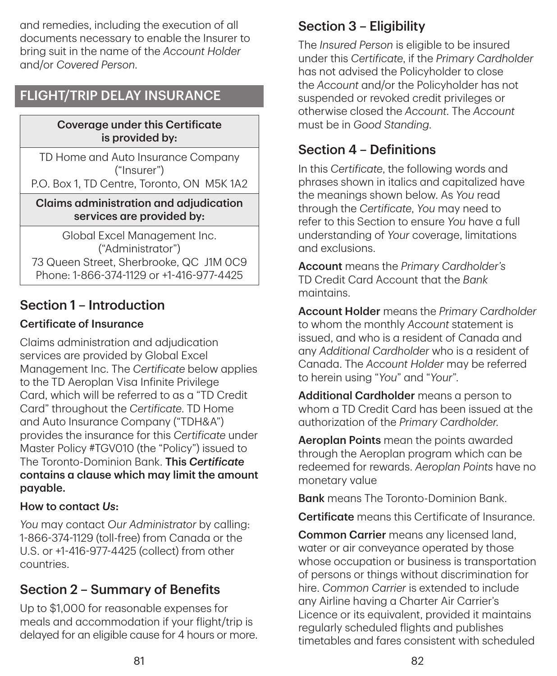and remedies, including the execution of all documents necessary to enable the Insurer to bring suit in the name of the *Account Holder* and/or *Covered Person*.

## FLIGHT/TRIP DELAY INSURANCE

#### Coverage under this Certificate is provided by:

TD Home and Auto Insurance Company ("Insurer") P.O. Box 1, TD Centre, Toronto, ON M5K 1A2

#### Claims administration and adjudication services are provided by:

Global Excel Management Inc. ("Administrator") 73 Queen Street, Sherbrooke, QC J1M 0C9 Phone: 1‑866‑374‑1129 or +1‑416‑977‑4425

## Section 1 – Introduction

#### Certificate of Insurance

Claims administration and adjudication services are provided by Global Excel Management Inc. The *Certificate* below applies to the TD Aeroplan Visa Infinite Privilege Card, which will be referred to as a "TD Credit Card" throughout the *Certificate*. TD Home and Auto Insurance Company ("TDH&A") provides the insurance for this *Certificate* under Master Policy #TGV010 (the "Policy") issued to The Toronto-Dominion Bank. This *Certificate* contains a clause which may limit the amount payable.

### How to contact *Us*:

*You* may contact *Our Administrator* by calling: 1‑866‑374‑1129 (toll-free) from Canada or the U.S. or +1‑416‑977‑4425 (collect) from other countries.

## Section 2 – Summary of Benefits

Up to \$1,000 for reasonable expenses for meals and accommodation if your flight/trip is delayed for an eligible cause for 4 hours or more.

## Section 3 – Eligibility

The *Insured Person* is eligible to be insured under this *Certificate*, if the *Primary Cardholder* has not advised the Policyholder to close the *Account* and/or the Policyholder has not suspended or revoked credit privileges or otherwise closed the *Account*. The *Account* must be in *Good Standing*.

## Section  $\mathbf{\Lambda}$  – Definitions

In this *Certificate*, the following words and phrases shown in italics and capitalized have the meanings shown below. As *You* read through the *Certificate*, *You* may need to refer to this Section to ensure *You* have a full understanding of *Your* coverage, limitations and exclusions.

Account means the *Primary Cardholder's* TD Credit Card Account that the *Bank* maintains.

Account Holder means the *Primary Cardholder*  to whom the monthly *Account* statement is issued, and who is a resident of Canada and any *Additional Cardholder* who is a resident of Canada. The *Account Holder* may be referred to herein using "*You*" and "*Your*".

Additional Cardholder means a person to whom a TD Credit Card has been issued at the authorization of the *Primary Cardholder*.

Aeroplan Points mean the points awarded through the Aeroplan program which can be redeemed for rewards. *Aeroplan Points* have no monetary value

**Bank** means The Toronto-Dominion Bank

Certificate means this Certificate of Insurance.

Common Carrier means any licensed land, water or air conveyance operated by those whose occupation or business is transportation of persons or things without discrimination for hire. *Common Carrier* is extended to include any Airline having a Charter Air Carrier's Licence or its equivalent, provided it maintains regularly scheduled flights and publishes timetables and fares consistent with scheduled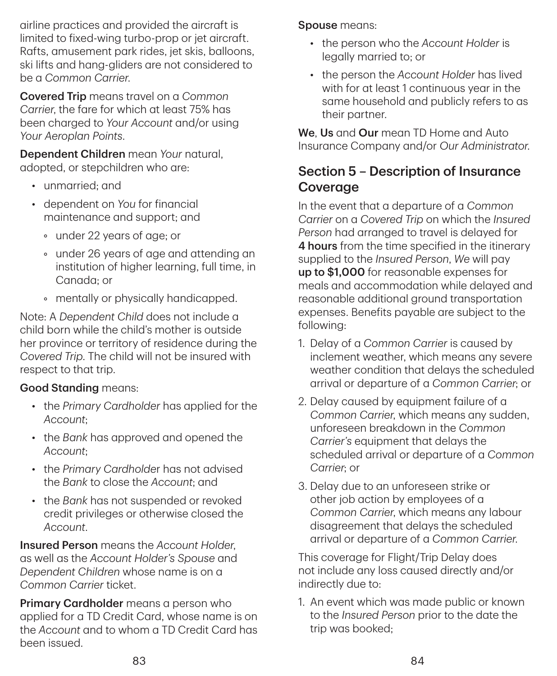airline practices and provided the aircraft is limited to fixed-wing turbo-prop or jet aircraft. Rafts, amusement park rides, jet skis, balloons, ski lifts and hang-gliders are not considered to be a *Common Carrier*.

Covered Trip means travel on a *Common Carrier*, the fare for which at least 75% has been charged to *Your Account* and/or using *Your Aeroplan Points*.

Dependent Children mean *Your* natural, adopted, or stepchildren who are:

- unmarried; and
- dependent on *You* for financial maintenance and support; and
	- under 22 years of age; or
	- under 26 years of age and attending an institution of higher learning, full time, in Canada; or
	- mentally or physically handicapped.

Note: A *Dependent Child* does not include a child born while the child's mother is outside her province or territory of residence during the *Covered Trip*. The child will not be insured with respect to that trip.

### Good Standing means:

- the *Primary Cardholder* has applied for the *Account*;
- the *Bank* has approved and opened the *Account*;
- the *Primary Cardholde*r has not advised the *Bank* to close the *Account*; and
- the *Bank* has not suspended or revoked credit privileges or otherwise closed the *Account*.

Insured Person means the *Account Holder*, as well as the *Account Holder's Spouse* and *Dependent Children* whose name is on a *Common Carrier* ticket.

Primary Cardholder means a person who applied for a TD Credit Card, whose name is on the *Account* and to whom a TD Credit Card has been issued.

Spouse means:

- the person who the *Account Holder* is legally married to; or
- the person the *Account Holder* has lived with for at least 1 continuous year in the same household and publicly refers to as their partner.

We. Us and Our mean TD Home and Auto Insurance Company and/or *Our Administrator*.

## Section 5 – Description of Insurance **Coverage**

In the event that a departure of a *Common Carrier* on a *Covered Trip* on which the *Insured Person* had arranged to travel is delayed for 4 hours from the time specified in the itinerary supplied to the *Insured Person*, *We* will pay up to \$1,000 for reasonable expenses for meals and accommodation while delayed and reasonable additional ground transportation expenses. Benefits payable are subject to the following:

- 1. Delay of a *Common Carrier* is caused by inclement weather, which means any severe weather condition that delays the scheduled arrival or departure of a *Common Carrier*; or
- 2. Delay caused by equipment failure of a *Common Carrier*, which means any sudden, unforeseen breakdown in the *Common Carrier's* equipment that delays the scheduled arrival or departure of a *Common Carrier*; or
- 3. Delay due to an unforeseen strike or other job action by employees of a *Common Carrier*, which means any labour disagreement that delays the scheduled arrival or departure of a *Common Carrier*.

This coverage for Flight/Trip Delay does not include any loss caused directly and/or indirectly due to:

1. An event which was made public or known to the *Insured Person* prior to the date the trip was booked;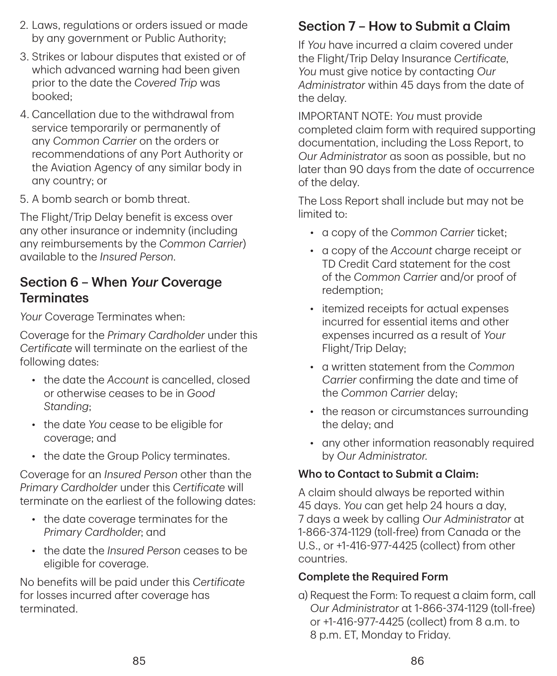- 2. Laws, regulations or orders issued or made by any government or Public Authority;
- 3. Strikes or labour disputes that existed or of which advanced warning had been given prior to the date the *Covered Trip* was booked;
- 4. Cancellation due to the withdrawal from service temporarily or permanently of any *Common Carrier* on the orders or recommendations of any Port Authority or the Aviation Agency of any similar body in any country; or
- 5. A bomb search or bomb threat.

The Flight/Trip Delay benefit is excess over any other insurance or indemnity (including any reimbursements by the *Common Carrier*) available to the *Insured Person*.

### Section 6 – When *Your* Coverage **Terminates**

*Your* Coverage Terminates when:

Coverage for the *Primary Cardholder* under this *Certificate* will terminate on the earliest of the following dates:

- the date the *Account* is cancelled, closed or otherwise ceases to be in *Good Standing*;
- the date *You* cease to be eligible for coverage; and
- the date the Group Policy terminates.

Coverage for an *Insured Person* other than the *Primary Cardholder* under this *Certificate* will terminate on the earliest of the following dates:

- the date coverage terminates for the *Primary Cardholder*; and
- the date the *Insured Person* ceases to be eligible for coverage.

No benefits will be paid under this *Certificate* for losses incurred after coverage has terminated.

## Section 7 – How to Submit a Claim

If *You* have incurred a claim covered under the Flight/Trip Delay Insurance *Certificate*, *You* must give notice by contacting *Our Administrator* within 45 days from the date of the delay.

IMPORTANT NOTE: *You* must provide completed claim form with required supporting documentation, including the Loss Report, to *Our Administrator* as soon as possible, but no later than 90 days from the date of occurrence of the delay.

The Loss Report shall include but may not be limited to:

- a copy of the *Common Carrier* ticket;
- a copy of the *Account* charge receipt or TD Credit Card statement for the cost of the *Common Carrier* and/or proof of redemption;
- itemized receipts for actual expenses incurred for essential items and other expenses incurred as a result of *Your* Flight/Trip Delay;
- a written statement from the *Common Carrier* confirming the date and time of the *Common Carrier* delay;
- the reason or circumstances surrounding the delay; and
- any other information reasonably required by *Our Administrator*.

#### Who to Contact to Submit a Claim:

A claim should always be reported within 45 days. *You* can get help 24 hours a day, 7 days a week by calling *Our Administrator* at 1‑866‑374‑1129 (toll-free) from Canada or the U.S., or +1‑416‑977‑4425 (collect) from other countries.

#### Complete the Required Form

a) Request the Form: To request a claim form, call *Our Administrator* at 1‑866‑374‑1129 (toll-free) or +1‑416‑977‑4425 (collect) from 8 a.m. to 8 p.m. ET, Monday to Friday.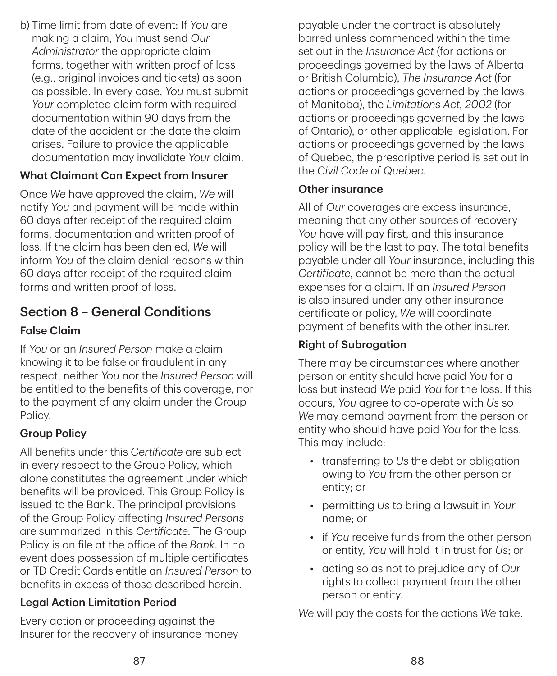b) Time limit from date of event: If *You* are making a claim, *You* must send *Our Administrator* the appropriate claim forms, together with written proof of loss (e.g., original invoices and tickets) as soon as possible. In every case, *You* must submit *Your* completed claim form with required documentation within 90 days from the date of the accident or the date the claim arises. Failure to provide the applicable documentation may invalidate *Your* claim.

### What Claimant Can Expect from Insurer

Once *We* have approved the claim, *We* will notify *You* and payment will be made within 60 days after receipt of the required claim forms, documentation and written proof of loss. If the claim has been denied, *We* will inform *You* of the claim denial reasons within 60 days after receipt of the required claim forms and written proof of loss.

## Section 8 – General Conditions

#### False Claim

If *You* or an *Insured Person* make a claim knowing it to be false or fraudulent in any respect, neither *You* nor the *Insured Person* will be entitled to the benefits of this coverage, nor to the payment of any claim under the Group Policy.

#### Group Policy

All benefits under this *Certificate* are subject in every respect to the Group Policy, which alone constitutes the agreement under which benefits will be provided. This Group Policy is issued to the Bank. The principal provisions of the Group Policy affecting *Insured Persons* are summarized in this *Certificate*. The Group Policy is on file at the office of the *Bank*. In no event does possession of multiple certificates or TD Credit Cards entitle an *Insured Person* to benefits in excess of those described herein.

### Legal Action Limitation Period

Every action or proceeding against the Insurer for the recovery of insurance money

payable under the contract is absolutely barred unless commenced within the time set out in the *Insurance Act* (for actions or proceedings governed by the laws of Alberta or British Columbia), *The Insurance Act* (for actions or proceedings governed by the laws of Manitoba), the *Limitations Act, 2002* (for actions or proceedings governed by the laws of Ontario), or other applicable legislation. For actions or proceedings governed by the laws of Quebec, the prescriptive period is set out in the *Civil Code of Quebec*.

#### Other insurance

All of *Our* coverages are excess insurance, meaning that any other sources of recovery *You* have will pay first, and this insurance policy will be the last to pay. The total benefits payable under all *Your* insurance, including this *Certificate*, cannot be more than the actual expenses for a claim. If an *Insured Person* is also insured under any other insurance certificate or policy, *We* will coordinate payment of benefits with the other insurer.

#### Right of Subrogation

There may be circumstances where another person or entity should have paid *You* for a loss but instead *We* paid *You* for the loss. If this occurs, *You* agree to co-operate with *Us* so *We* may demand payment from the person or entity who should have paid *You* for the loss. This may include:

- transferring to *Us* the debt or obligation owing to *You* from the other person or entity; or
- permitting *Us* to bring a lawsuit in *Your* name; or
- if *You* receive funds from the other person or entity, *You* will hold it in trust for *Us*; or
- acting so as not to prejudice any of *Our* rights to collect payment from the other person or entity.

*We* will pay the costs for the actions *We* take.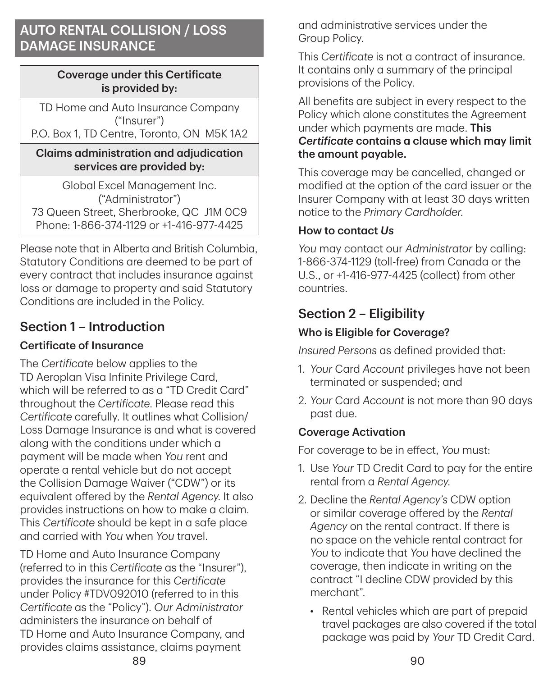## AUTO RENTAL COLLISION / LOSS DAMAGE INSURANCE

#### Coverage under this Certificate is provided by:

TD Home and Auto Insurance Company ("Insurer") P.O. Box 1, TD Centre, Toronto, ON M5K 1A2

#### Claims administration and adjudication services are provided by:

Global Excel Management Inc. ("Administrator") 73 Queen Street, Sherbrooke, QC J1M 0C9 Phone: 1‑866‑374‑1129 or +1‑416‑977‑4425

Please note that in Alberta and British Columbia, Statutory Conditions are deemed to be part of every contract that includes insurance against loss or damage to property and said Statutory Conditions are included in the Policy.

## Section 1 – Introduction

### Certificate of Insurance

The *Certificate* below applies to the TD Aeroplan Visa Infinite Privilege Card, which will be referred to as a "TD Credit Card" throughout the *Certificate*. Please read this *Certificate* carefully. It outlines what Collision/ Loss Damage Insurance is and what is covered along with the conditions under which a payment will be made when *You* rent and operate a rental vehicle but do not accept the Collision Damage Waiver ("CDW") or its equivalent offered by the *Rental Agency*. It also provides instructions on how to make a claim. This *Certificate* should be kept in a safe place and carried with *You* when *You* travel.

TD Home and Auto Insurance Company (referred to in this *Certificate* as the "Insurer"), provides the insurance for this *Certificate* under Policy #TDV092010 (referred to in this *Certificate* as the "Policy"). *Our Administrator* administers the insurance on behalf of TD Home and Auto Insurance Company, and provides claims assistance, claims payment

and administrative services under the Group Policy.

This *Certificate* is not a contract of insurance. It contains only a summary of the principal provisions of the Policy.

All benefits are subject in every respect to the Policy which alone constitutes the Agreement under which payments are made. This *Certificate* contains a clause which may limit the amount payable.

This coverage may be cancelled, changed or modified at the option of the card issuer or the Insurer Company with at least 30 days written notice to the *Primary Cardholder*.

### How to contact *Us*

*You* may contact our *Administrator* by calling: 1‑866‑374‑1129 (toll-free) from Canada or the U.S., or +1‑416‑977‑4425 (collect) from other countries.

## Section 2 – Eligibility

### Who is Eligible for Coverage?

*Insured Persons* as defined provided that:

- 1. *Your* Card *Account* privileges have not been terminated or suspended; and
- 2. *Your* Card *Account* is not more than 90 days past due.

### Coverage Activation

For coverage to be in effect, *You* must:

- 1. Use *Your* TD Credit Card to pay for the entire rental from a *Rental Agency*.
- 2. Decline the *Rental Agency's* CDW option or similar coverage offered by the *Rental Agency* on the rental contract. If there is no space on the vehicle rental contract for *You* to indicate that *You* have declined the coverage, then indicate in writing on the contract "I decline CDW provided by this merchant".
	- Rental vehicles which are part of prepaid travel packages are also covered if the total package was paid by *Your* TD Credit Card.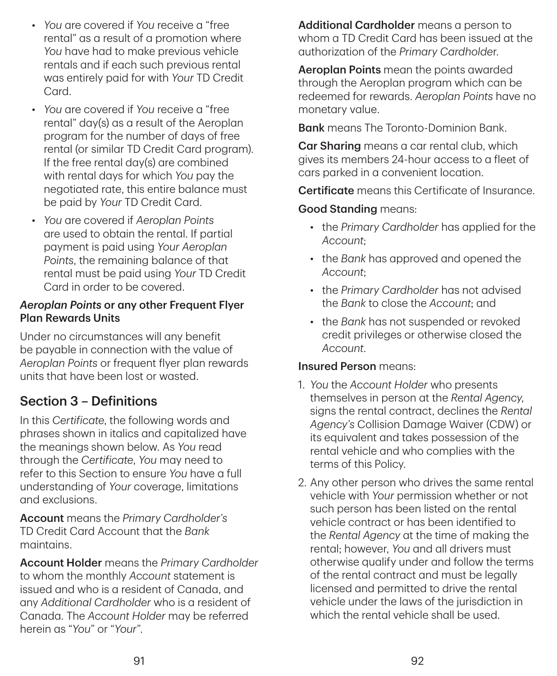- *You* are covered if *You* receive a "free rental" as a result of a promotion where *You* have had to make previous vehicle rentals and if each such previous rental was entirely paid for with *Your* TD Credit Card.
- *You* are covered if *You* receive a "free rental" day(s) as a result of the Aeroplan program for the number of days of free rental (or similar TD Credit Card program). If the free rental day(s) are combined with rental days for which *You* pay the negotiated rate, this entire balance must be paid by *Your* TD Credit Card.
- *You* are covered if *Aeroplan Points* are used to obtain the rental. If partial payment is paid using *Your Aeroplan Points*, the remaining balance of that rental must be paid using *Your* TD Credit Card in order to be covered.

#### *Aeroplan Points* or any other Frequent Flyer Plan Rewards Units

Under no circumstances will any benefit be payable in connection with the value of *Aeroplan Points* or frequent flyer plan rewards units that have been lost or wasted.

## Section 3 – Definitions

In this *Certificate*, the following words and phrases shown in italics and capitalized have the meanings shown below. As *You* read through the *Certificate*, *You* may need to refer to this Section to ensure *You* have a full understanding of *Your* coverage, limitations and exclusions.

Account means the *Primary Cardholder's* TD Credit Card Account that the *Bank* maintains.

Account Holder means the *Primary Cardholder* to whom the monthly *Account* statement is issued and who is a resident of Canada, and any *Additional Cardholder* who is a resident of Canada. The *Account Holder* may be referred herein as "*You*" or "*Your*".

Additional Cardholder means a person to whom a TD Credit Card has been issued at the authorization of the *Primary Cardholde*r.

Aeroplan Points mean the points awarded through the Aeroplan program which can be redeemed for rewards. *Aeroplan Points* have no monetary value.

**Bank** means The Toronto-Dominion Bank.

Car Sharing means a car rental club, which gives its members 24-hour access to a fleet of cars parked in a convenient location.

Certificate means this Certificate of Insurance.

Good Standing means:

- the *Primary Cardholder* has applied for the *Account*;
- the *Bank* has approved and opened the *Account*;
- the *Primary Cardholder* has not advised the *Bank* to close the *Account*; and
- the *Bank* has not suspended or revoked credit privileges or otherwise closed the *Account*.

#### Insured Person means:

- 1. *You* the *Account Holder* who presents themselves in person at the *Rental Agency*, signs the rental contract, declines the *Rental Agency's* Collision Damage Waiver (CDW) or its equivalent and takes possession of the rental vehicle and who complies with the terms of this Policy.
- 2. Any other person who drives the same rental vehicle with *Your* permission whether or not such person has been listed on the rental vehicle contract or has been identified to the *Rental Agency* at the time of making the rental; however, *You* and all drivers must otherwise qualify under and follow the terms of the rental contract and must be legally licensed and permitted to drive the rental vehicle under the laws of the jurisdiction in which the rental vehicle shall be used.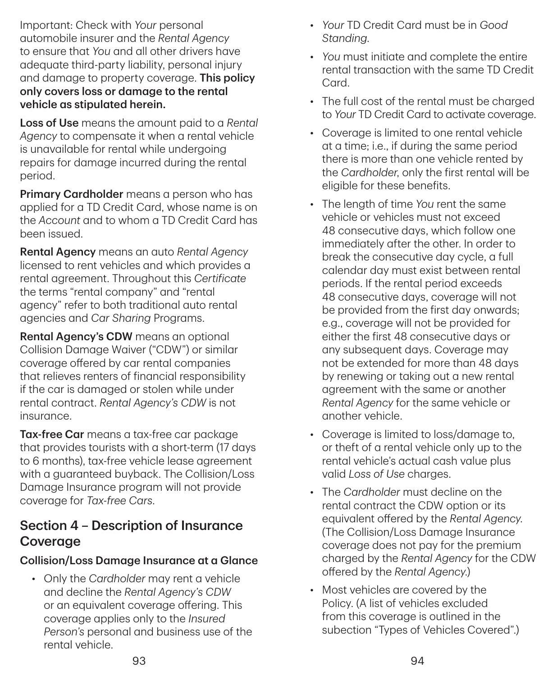Important: Check with *Your* personal automobile insurer and the *Rental Agency* to ensure that *You* and all other drivers have adequate third-party liability, personal injury and damage to property coverage. This policy only covers loss or damage to the rental vehicle as stipulated herein.

Loss of Use means the amount paid to a *Rental Agency* to compensate it when a rental vehicle is unavailable for rental while undergoing repairs for damage incurred during the rental period.

Primary Cardholder means a person who has applied for a TD Credit Card, whose name is on the *Account* and to whom a TD Credit Card has been issued.

Rental Agency means an auto *Rental Agency* licensed to rent vehicles and which provides a rental agreement. Throughout this *Certificate* the terms "rental company" and "rental agency" refer to both traditional auto rental agencies and *Car Sharing* Programs.

Rental Agency's CDW means an optional Collision Damage Waiver ("CDW") or similar coverage offered by car rental companies that relieves renters of financial responsibility if the car is damaged or stolen while under rental contract. *Rental Agency's CDW* is not insurance.

Tax-free Car means a tax-free car package that provides tourists with a short-term (17 days to 6 months), tax-free vehicle lease agreement with a guaranteed buyback. The Collision/Loss Damage Insurance program will not provide coverage for *Tax‑free Cars*.

## Section 4 – Description of Insurance Coverage

### Collision/Loss Damage Insurance at a Glance

• Only the *Cardholder* may rent a vehicle and decline the *Rental Agency's CDW* or an equivalent coverage offering. This coverage applies only to the *Insured Person's* personal and business use of the rental vehicle.

- *Your* TD Credit Card must be in *Good Standing*.
- *You* must initiate and complete the entire rental transaction with the same TD Credit Card.
- The full cost of the rental must be charged to *Your* TD Credit Card to activate coverage.
- Coverage is limited to one rental vehicle at a time; i.e., if during the same period there is more than one vehicle rented by the *Cardholder*, only the first rental will be eligible for these benefits.
- The length of time *You* rent the same vehicle or vehicles must not exceed 48 consecutive days, which follow one immediately after the other. In order to break the consecutive day cycle, a full calendar day must exist between rental periods. If the rental period exceeds 48 consecutive days, coverage will not be provided from the first day onwards; e.g., coverage will not be provided for either the first 48 consecutive days or any subsequent days. Coverage may not be extended for more than 48 days by renewing or taking out a new rental agreement with the same or another *Rental Agency* for the same vehicle or another vehicle.
- Coverage is limited to loss/damage to, or theft of a rental vehicle only up to the rental vehicle's actual cash value plus valid *Loss of Use* charges.
- The *Cardholder* must decline on the rental contract the CDW option or its equivalent offered by the *Rental Agency*. (The Collision/Loss Damage Insurance coverage does not pay for the premium charged by the *Rental Agency* for the CDW offered by the *Rental Agency*.)
- Most vehicles are covered by the Policy. (A list of vehicles excluded from this coverage is outlined in the subection "Types of Vehicles Covered".)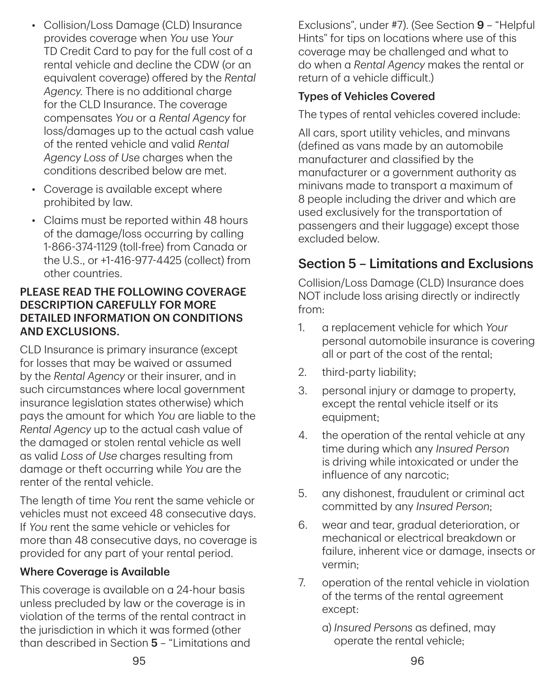- Collision/Loss Damage (CLD) Insurance provides coverage when *You* use *Your* TD Credit Card to pay for the full cost of a rental vehicle and decline the CDW (or an equivalent coverage) offered by the *Rental Agency*. There is no additional charge for the CLD Insurance. The coverage compensates *You* or a *Rental Agency* for loss/damages up to the actual cash value of the rented vehicle and valid *Rental Agency Loss of Use* charges when the conditions described below are met.
- Coverage is available except where prohibited by law.
- Claims must be reported within 48 hours of the damage/loss occurring by calling 1‑866‑374‑1129 (toll-free) from Canada or the U.S., or +1‑416‑977‑4425 (collect) from other countries.

#### PLEASE READ THE FOLLOWING COVERAGE DESCRIPTION CAREFULLY FOR MORE DETAILED INFORMATION ON CONDITIONS AND EXCLUSIONS.

CLD Insurance is primary insurance (except for losses that may be waived or assumed by the *Rental Agency* or their insurer, and in such circumstances where local government insurance legislation states otherwise) which pays the amount for which *You* are liable to the *Rental Agency* up to the actual cash value of the damaged or stolen rental vehicle as well as valid *Loss of Use* charges resulting from damage or theft occurring while *You* are the renter of the rental vehicle.

The length of time *You* rent the same vehicle or vehicles must not exceed 48 consecutive days. If *You* rent the same vehicle or vehicles for more than 48 consecutive days, no coverage is provided for any part of your rental period.

#### Where Coverage is Available

This coverage is available on a 24-hour basis unless precluded by law or the coverage is in violation of the terms of the rental contract in the jurisdiction in which it was formed (other than described in Section 5 – "Limitations and Exclusions", under #7). (See Section 9 – "Helpful Hints" for tips on locations where use of this coverage may be challenged and what to do when a *Rental Agency* makes the rental or return of a vehicle difficult.)

### Types of Vehicles Covered

The types of rental vehicles covered include:

All cars, sport utility vehicles, and minvans (defined as vans made by an automobile manufacturer and classified by the manufacturer or a government authority as minivans made to transport a maximum of 8 people including the driver and which are used exclusively for the transportation of passengers and their luggage) except those excluded below.

## Section 5 – Limitations and Exclusions

Collision/Loss Damage (CLD) Insurance does NOT include loss arising directly or indirectly from:

- 1. a replacement vehicle for which *Your* personal automobile insurance is covering all or part of the cost of the rental;
- 2. third-party liability;
- 3. personal injury or damage to property, except the rental vehicle itself or its equipment;
- 4. the operation of the rental vehicle at any time during which any *Insured Person* is driving while intoxicated or under the influence of any narcotic;
- 5. any dishonest, fraudulent or criminal act committed by any *Insured Person*;
- 6. wear and tear, gradual deterioration, or mechanical or electrical breakdown or failure, inherent vice or damage, insects or vermin;
- 7. operation of the rental vehicle in violation of the terms of the rental agreement except:
	- a) *Insured Persons* as defined, may operate the rental vehicle;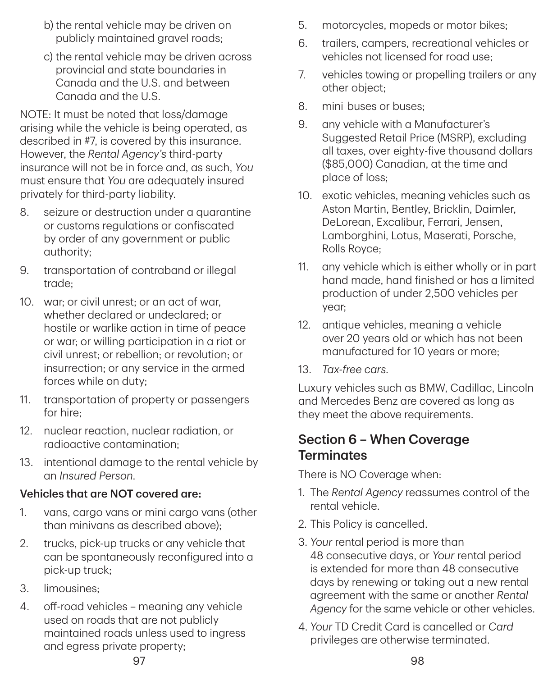- b) the rental vehicle may be driven on publicly maintained gravel roads;
- c) the rental vehicle may be driven across provincial and state boundaries in Canada and the U.S. and between Canada and the U.S.

NOTE: It must be noted that loss/damage arising while the vehicle is being operated, as described in #7, is covered by this insurance. However, the *Rental Agency's* third-party insurance will not be in force and, as such, *You* must ensure that *You* are adequately insured privately for third-party liability.

- 8. seizure or destruction under a quarantine or customs regulations or confiscated by order of any government or public authority;
- 9. transportation of contraband or illegal trade;
- 10. war; or civil unrest; or an act of war, whether declared or undeclared; or hostile or warlike action in time of peace or war; or willing participation in a riot or civil unrest; or rebellion; or revolution; or insurrection; or any service in the armed forces while on duty;
- 11. transportation of property or passengers for hire;
- 12. nuclear reaction, nuclear radiation, or radioactive contamination;
- 13. intentional damage to the rental vehicle by an *Insured Person*.

#### Vehicles that are NOT covered are:

- 1. vans, cargo vans or mini cargo vans (other than minivans as described above);
- 2. trucks, pick-up trucks or any vehicle that can be spontaneously reconfigured into a pick-up truck;
- 3. limousines;
- 4. off-road vehicles meaning any vehicle used on roads that are not publicly maintained roads unless used to ingress and egress private property;
- 5. motorcycles, mopeds or motor bikes;
- 6. trailers, campers, recreational vehicles or vehicles not licensed for road use;
- 7. vehicles towing or propelling trailers or any other object;
- 8. mini buses or buses;
- 9. any vehicle with a Manufacturer's Suggested Retail Price (MSRP), excluding all taxes, over eighty-five thousand dollars (\$85,000) Canadian, at the time and place of loss;
- 10. exotic vehicles, meaning vehicles such as Aston Martin, Bentley, Bricklin, Daimler, DeLorean, Excalibur, Ferrari, Jensen, Lamborghini, Lotus, Maserati, Porsche, Rolls Royce;
- 11. any vehicle which is either wholly or in part hand made, hand finished or has a limited production of under 2,500 vehicles per year;
- 12. antique vehicles, meaning a vehicle over 20 years old or which has not been manufactured for 10 years or more;
- 13. *Tax‑free cars*.

Luxury vehicles such as BMW, Cadillac, Lincoln and Mercedes Benz are covered as long as they meet the above requirements.

### Section 6 – When Coverage **Terminates**

There is NO Coverage when:

- 1. The *Rental Agency* reassumes control of the rental vehicle.
- 2. This Policy is cancelled.
- 3. *Your* rental period is more than 48 consecutive days, or *Your* rental period is extended for more than 48 consecutive days by renewing or taking out a new rental agreement with the same or another *Rental Agency* for the same vehicle or other vehicles.
- 4. *Your* TD Credit Card is cancelled or *Card* privileges are otherwise terminated.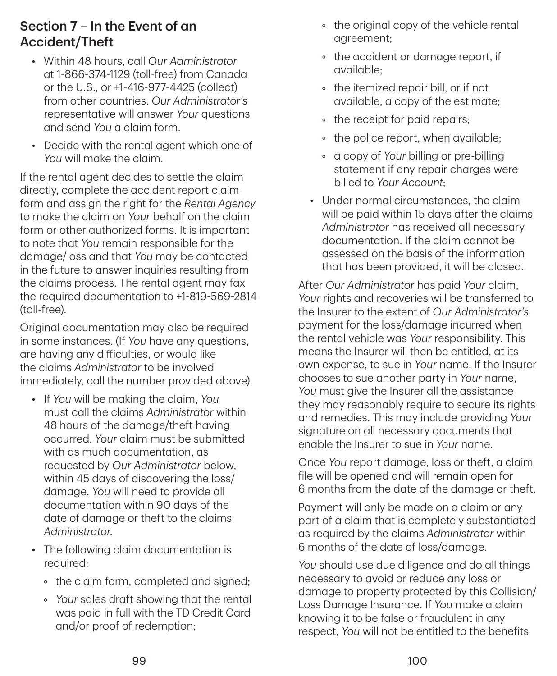## Section 7 – In the Event of an Accident/Theft

- Within 48 hours, call *Our Administrator* at 1‑866‑374‑1129 (toll-free) from Canada or the U.S., or +1‑416‑977‑4425 (collect) from other countries. *Our Administrator's* representative will answer *Your* questions and send *You* a claim form.
- Decide with the rental agent which one of *You* will make the claim.

If the rental agent decides to settle the claim directly, complete the accident report claim form and assign the right for the *Rental Agency* to make the claim on *Your* behalf on the claim form or other authorized forms. It is important to note that *You* remain responsible for the damage/loss and that *You* may be contacted in the future to answer inquiries resulting from the claims process. The rental agent may fax the required documentation to +1‑819‑569‑2814 (toll-free).

Original documentation may also be required in some instances. (If *You* have any questions, are having any difficulties, or would like the claims *Administrator* to be involved immediately, call the number provided above).

- If *You* will be making the claim, *You* must call the claims *Administrator* within 48 hours of the damage/theft having occurred. *Your* claim must be submitted with as much documentation, as requested by *Our Administrator* below, within 45 days of discovering the loss/ damage. *You* will need to provide all documentation within 90 days of the date of damage or theft to the claims *Administrator*.
- The following claim documentation is required:
	- the claim form, completed and signed;
	- *Your* sales draft showing that the rental was paid in full with the TD Credit Card and/or proof of redemption;
- the original copy of the vehicle rental agreement;
- the accident or damage report, if available;
- the itemized repair bill, or if not available, a copy of the estimate;
- the receipt for paid repairs;
- the police report, when available;
- a copy of *Your* billing or pre-billing statement if any repair charges were billed to *Your Account*;
- Under normal circumstances, the claim will be paid within 15 days after the claims *Administrator* has received all necessary documentation. If the claim cannot be assessed on the basis of the information that has been provided, it will be closed.

After *Our Administrator* has paid *Your* claim, *Your* rights and recoveries will be transferred to the Insurer to the extent of *Our Administrator's* payment for the loss/damage incurred when the rental vehicle was *Your* responsibility. This means the Insurer will then be entitled, at its own expense, to sue in *Your* name. If the Insurer chooses to sue another party in *Your* name, *You* must give the Insurer all the assistance they may reasonably require to secure its rights and remedies. This may include providing *Your* signature on all necessary documents that enable the Insurer to sue in *Your* name.

Once *You* report damage, loss or theft, a claim file will be opened and will remain open for 6 months from the date of the damage or theft.

Payment will only be made on a claim or any part of a claim that is completely substantiated as required by the claims *Administrator* within 6 months of the date of loss/damage.

*You* should use due diligence and do all things necessary to avoid or reduce any loss or damage to property protected by this Collision/ Loss Damage Insurance. If *You* make a claim knowing it to be false or fraudulent in any respect, *You* will not be entitled to the benefits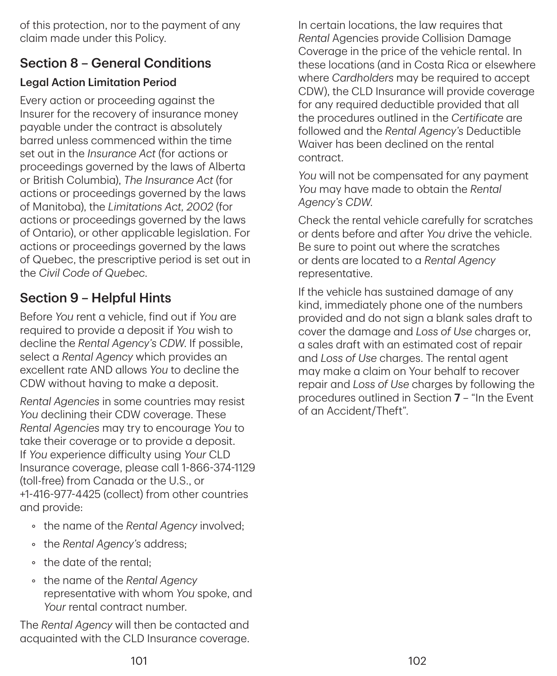of this protection, nor to the payment of any claim made under this Policy.

## Section 8 – General Conditions

### Legal Action Limitation Period

Every action or proceeding against the Insurer for the recovery of insurance money payable under the contract is absolutely barred unless commenced within the time set out in the *Insurance Act* (for actions or proceedings governed by the laws of Alberta or British Columbia), *The Insurance Act* (for actions or proceedings governed by the laws of Manitoba), the *Limitations Act, 2002* (for actions or proceedings governed by the laws of Ontario), or other applicable legislation. For actions or proceedings governed by the laws of Quebec, the prescriptive period is set out in the *Civil Code of Quebec*.

## Section 9 – Helpful Hints

Before *You* rent a vehicle, find out if *You* are required to provide a deposit if *You* wish to decline the *Rental Agency's CDW*. If possible, select a *Rental Agency* which provides an excellent rate AND allows *You* to decline the CDW without having to make a deposit.

*Rental Agencies* in some countries may resist *You* declining their CDW coverage. These *Rental Agencies* may try to encourage *You* to take their coverage or to provide a deposit. If *You* experience difficulty using *Your* CLD Insurance coverage, please call 1‑866‑374‑1129 (toll-free) from Canada or the U.S., or +1‑416‑977‑4425 (collect) from other countries and provide:

- the name of the *Rental Agency* involved;
- the *Rental Agency's* address;
- the date of the rental;
- the name of the *Rental Agency* representative with whom *You* spoke, and *Your* rental contract number.

The *Rental Agency* will then be contacted and acquainted with the CLD Insurance coverage. In certain locations, the law requires that *Rental* Agencies provide Collision Damage Coverage in the price of the vehicle rental. In these locations (and in Costa Rica or elsewhere where *Cardholders* may be required to accept CDW), the CLD Insurance will provide coverage for any required deductible provided that all the procedures outlined in the *Certificate* are followed and the *Rental Agency's* Deductible Waiver has been declined on the rental contract.

*You* will not be compensated for any payment *You* may have made to obtain the *Rental Agency's CDW*.

Check the rental vehicle carefully for scratches or dents before and after *You* drive the vehicle. Be sure to point out where the scratches or dents are located to a *Rental Agency* representative.

If the vehicle has sustained damage of any kind, immediately phone one of the numbers provided and do not sign a blank sales draft to cover the damage and *Loss of Use* charges or, a sales draft with an estimated cost of repair and *Loss of Use* charges. The rental agent may make a claim on Your behalf to recover repair and *Loss of Use* charges by following the procedures outlined in Section 7 – "In the Event of an Accident/Theft".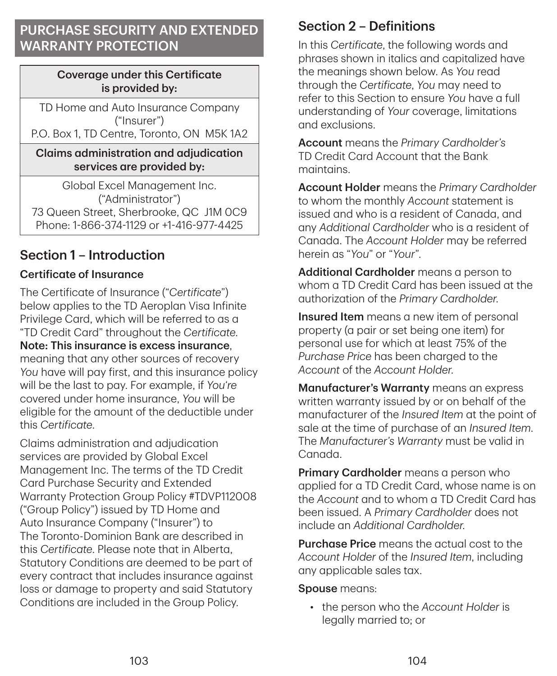## PURCHASE SECURITY AND EXTENDED WARRANTY PROTECTION

#### Coverage under this Certificate is provided by:

TD Home and Auto Insurance Company ("Insurer") P.O. Box 1, TD Centre, Toronto, ON M5K 1A2

#### Claims administration and adjudication services are provided by:

Global Excel Management Inc. ("Administrator") 73 Queen Street, Sherbrooke, QC J1M 0C9 Phone: 1‑866‑374‑1129 or +1‑416‑977‑4425

## Section 1 – Introduction

### Certificate of Insurance

The Certificate of Insurance ("*Certificate*") below applies to the TD Aeroplan Visa Infinite Privilege Card, which will be referred to as a "TD Credit Card" throughout the *Certificate*. Note: This insurance is excess insurance, meaning that any other sources of recovery *You* have will pay first, and this insurance policy will be the last to pay. For example, if *You're* covered under home insurance, *You* will be eligible for the amount of the deductible under this *Certificate*.

Claims administration and adjudication services are provided by Global Excel Management Inc. The terms of the TD Credit Card Purchase Security and Extended Warranty Protection Group Policy #TDVP112008 ("Group Policy") issued by TD Home and Auto Insurance Company ("Insurer") to The Toronto-Dominion Bank are described in this *Certificate*. Please note that in Alberta, Statutory Conditions are deemed to be part of every contract that includes insurance against loss or damage to property and said Statutory Conditions are included in the Group Policy.

## Section 2 – Definitions

In this *Certificate*, the following words and phrases shown in italics and capitalized have the meanings shown below. As *You* read through the *Certificate*, *You* may need to refer to this Section to ensure *You* have a full understanding of *Your* coverage, limitations and exclusions.

Account means the *Primary Cardholder's* TD Credit Card Account that the Bank maintains.

Account Holder means the *Primary Cardholder* to whom the monthly *Account* statement is issued and who is a resident of Canada, and any *Additional Cardholder* who is a resident of Canada. The *Account Holder* may be referred herein as "*You*" or "*Your*".

Additional Cardholder means a person to whom a TD Credit Card has been issued at the authorization of the *Primary Cardholder*.

**Insured Item** means a new item of personal property (a pair or set being one item) for personal use for which at least 75% of the *Purchase Price* has been charged to the *Account* of the *Account Holder*.

**Manufacturer's Warranty** means an express written warranty issued by or on behalf of the manufacturer of the *Insured Item* at the point of sale at the time of purchase of an *Insured Item*. The *Manufacturer's Warranty* must be valid in Canada.

**Primary Cardholder** means a person who applied for a TD Credit Card, whose name is on the *Account* and to whom a TD Credit Card has been issued. A *Primary Cardholder* does not include an *Additional Cardholder*.

Purchase Price means the actual cost to the *Account Holder* of the *Insured Item*, including any applicable sales tax.

Spouse means:

• the person who the *Account Holder* is legally married to; or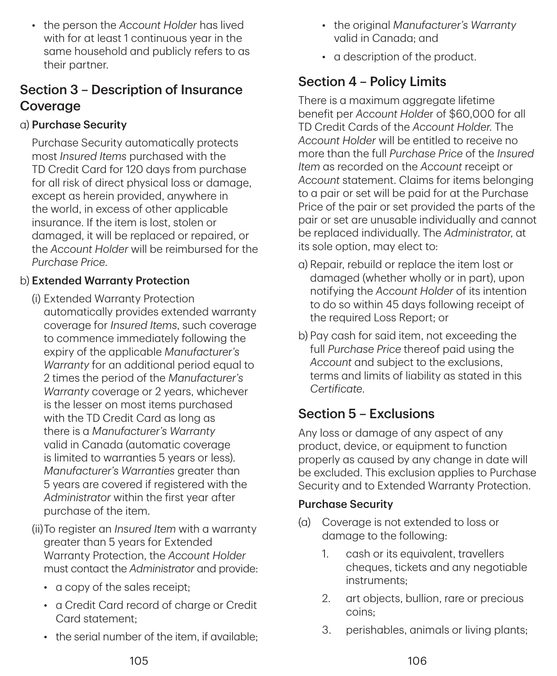• the person the *Account Holder* has lived with for at least 1 continuous year in the same household and publicly refers to as their partner.

## Section 3 – Description of Insurance **Coverage**

### a) Purchase Security

Purchase Security automatically protects most *Insured Items* purchased with the TD Credit Card for 120 days from purchase for all risk of direct physical loss or damage, except as herein provided, anywhere in the world, in excess of other applicable insurance. If the item is lost, stolen or damaged, it will be replaced or repaired, or the *Account Holder* will be reimbursed for the *Purchase Price*.

### b) Extended Warranty Protection

- (i) Extended Warranty Protection automatically provides extended warranty coverage for *Insured Items*, such coverage to commence immediately following the expiry of the applicable *Manufacturer's Warranty* for an additional period equal to 2 times the period of the *Manufacturer's Warranty* coverage or 2 years, whichever is the lesser on most items purchased with the TD Credit Card as long as there is a *Manufacturer's Warranty* valid in Canada (automatic coverage is limited to warranties 5 years or less). *Manufacturer's Warranties* greater than 5 years are covered if registered with the *Administrator* within the first year after purchase of the item.
- (ii)To register an *Insured Item* with a warranty greater than 5 years for Extended Warranty Protection, the *Account Holder* must contact the *Administrator* and provide:
	- a copy of the sales receipt;
	- a Credit Card record of charge or Credit Card statement;
	- the serial number of the item, if available;
- the original *Manufacturer's Warranty* valid in Canada; and
- a description of the product.

## Section 4 – Policy Limits

There is a maximum aggregate lifetime benefit per *Account Holde*r of \$60,000 for all TD Credit Cards of the *Account Holder*. The *Account Holder* will be entitled to receive no more than the full *Purchase Price* of the *Insured Item* as recorded on the *Account* receipt or *Account* statement. Claims for items belonging to a pair or set will be paid for at the Purchase Price of the pair or set provided the parts of the pair or set are unusable individually and cannot be replaced individually. The *Administrator*, at its sole option, may elect to:

- a) Repair, rebuild or replace the item lost or damaged (whether wholly or in part), upon notifying the *Account Holder* of its intention to do so within 45 days following receipt of the required Loss Report; or
- b) Pay cash for said item, not exceeding the full *Purchase Price* thereof paid using the *Account* and subject to the exclusions, terms and limits of liability as stated in this *Certificate*.

## Section 5 – Exclusions

Any loss or damage of any aspect of any product, device, or equipment to function properly as caused by any change in date will be excluded. This exclusion applies to Purchase Security and to Extended Warranty Protection.

#### Purchase Security

- (a) Coverage is not extended to loss or damage to the following:
	- 1. cash or its equivalent, travellers cheques, tickets and any negotiable instruments;
	- 2. art objects, bullion, rare or precious coins;
	- 3. perishables, animals or living plants;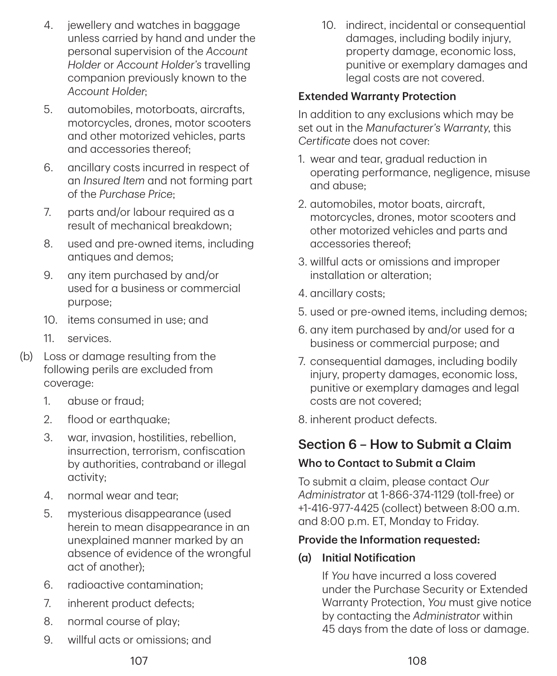- 4. jewellery and watches in baggage unless carried by hand and under the personal supervision of the *Account Holder* or *Account Holder's* travelling companion previously known to the *Account Holder*;
- 5. automobiles, motorboats, aircrafts, motorcycles, drones, motor scooters and other motorized vehicles, parts and accessories thereof;
- 6. ancillary costs incurred in respect of an *Insured Item* and not forming part of the *Purchase Price*;
- 7. parts and/or labour required as a result of mechanical breakdown;
- 8. used and pre-owned items, including antiques and demos;
- 9. any item purchased by and/or used for a business or commercial purpose;
- 10. items consumed in use; and
- 11. services.
- (b) Loss or damage resulting from the following perils are excluded from coverage:
	- 1. abuse or fraud;
	- 2. flood or earthquake;
	- 3. war, invasion, hostilities, rebellion, insurrection, terrorism, confiscation by authorities, contraband or illegal activity;
	- 4. normal wear and tear;
	- 5. mysterious disappearance (used herein to mean disappearance in an unexplained manner marked by an absence of evidence of the wrongful act of another);
	- 6. radioactive contamination;
	- 7. inherent product defects;
	- 8. normal course of play;
	- 9. willful acts or omissions; and

10. indirect, incidental or consequential damages, including bodily injury, property damage, economic loss, punitive or exemplary damages and legal costs are not covered.

#### Extended Warranty Protection

In addition to any exclusions which may be set out in the *Manufacturer's Warranty*, this *Certificate* does not cover:

- 1. wear and tear, gradual reduction in operating performance, negligence, misuse and abuse;
- 2. automobiles, motor boats, aircraft, motorcycles, drones, motor scooters and other motorized vehicles and parts and accessories thereof;
- 3. willful acts or omissions and improper installation or alteration;
- 4. ancillary costs;
- 5. used or pre-owned items, including demos;
- 6. any item purchased by and/or used for a business or commercial purpose; and
- 7. consequential damages, including bodily injury, property damages, economic loss, punitive or exemplary damages and legal costs are not covered;
- 8. inherent product defects.

### Section 6 – How to Submit a Claim

#### Who to Contact to Submit a Claim

To submit a claim, please contact *Our Administrator* at 1‑866‑374‑1129 (toll-free) or +1‑416‑977‑4425 (collect) between 8:00 a.m. and 8:00 p.m. ET, Monday to Friday.

#### Provide the Information requested:

(a) Initial Notification

If *You* have incurred a loss covered under the Purchase Security or Extended Warranty Protection, *You* must give notice by contacting the *Administrator* within 45 days from the date of loss or damage.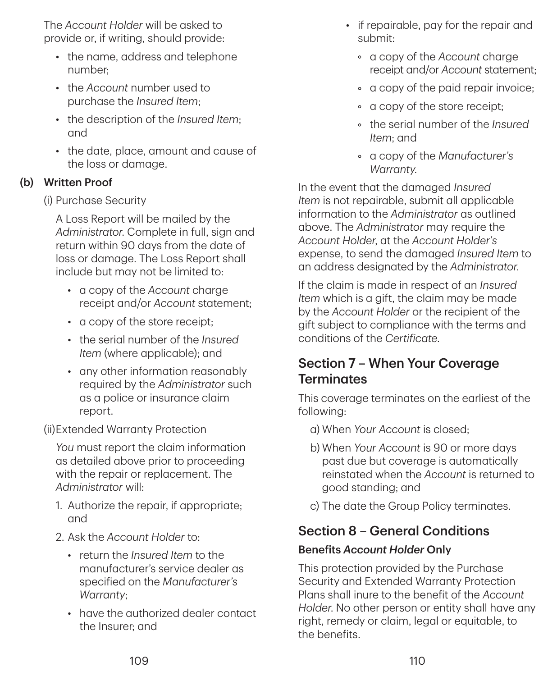The *Account Holder* will be asked to provide or, if writing, should provide:

- the name, address and telephone number;
- the *Account* number used to purchase the *Insured Item*;
- the description of the *Insured Item*; and
- the date, place, amount and cause of the loss or damage.

### (b) Written Proof

(i) Purchase Security

A Loss Report will be mailed by the *Administrator*. Complete in full, sign and return within 90 days from the date of loss or damage. The Loss Report shall include but may not be limited to:

- a copy of the *Account* charge receipt and/or *Account* statement;
- a copy of the store receipt;
- the serial number of the *Insured Item* (where applicable); and
- any other information reasonably required by the *Administrator* such as a police or insurance claim report.

(ii)Extended Warranty Protection

*You* must report the claim information as detailed above prior to proceeding with the repair or replacement. The *Administrator* will:

- 1. Authorize the repair, if appropriate; and
- 2. Ask the *Account Holder* to:
	- return the *Insured Item* to the manufacturer's service dealer as specified on the *Manufacturer's Warranty*;
	- have the authorized dealer contact the Insurer; and
- if repairable, pay for the repair and submit:
	- a copy of the *Account* charge receipt and/or *Account* statement;
	- a copy of the paid repair invoice;
	- a copy of the store receipt;
	- the serial number of the *Insured Item*; and
	- a copy of the *Manufacturer's Warranty*.

In the event that the damaged *Insured Item* is not repairable, submit all applicable information to the *Administrator* as outlined above. The *Administrator* may require the *Account Holder*, at the *Account Holder's* expense, to send the damaged *Insured Item* to an address designated by the *Administrator*.

If the claim is made in respect of an *Insured Item* which is a gift, the claim may be made by the *Account Holder* or the recipient of the gift subject to compliance with the terms and conditions of the *Certificate*.

## Section 7 – When Your Coverage **Terminates**

This coverage terminates on the earliest of the following:

- a) When *Your Account* is closed;
- b) When *Your Account* is 90 or more days past due but coverage is automatically reinstated when the *Account* is returned to good standing; and
- c) The date the Group Policy terminates.

## Section 8 – General Conditions

### Benefits *Account Holder* Only

This protection provided by the Purchase Security and Extended Warranty Protection Plans shall inure to the benefit of the *Account Holder*. No other person or entity shall have any right, remedy or claim, legal or equitable, to the benefits.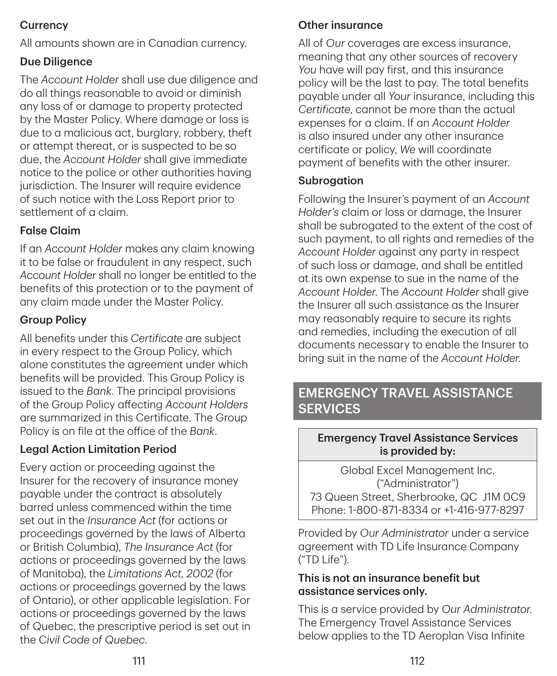### **Currency**

All amounts shown are in Canadian currency.

### Due Diligence

The *Account Holder* shall use due diligence and do all things reasonable to avoid or diminish any loss of or damage to property protected by the Master Policy. Where damage or loss is due to a malicious act, burglary, robbery, theft or attempt thereat, or is suspected to be so due, the *Account Holder* shall give immediate notice to the police or other authorities having jurisdiction. The Insurer will require evidence of such notice with the Loss Report prior to settlement of a claim.

### False Claim

If an *Account Holder* makes any claim knowing it to be false or fraudulent in any respect, such *Account Holder* shall no longer be entitled to the benefits of this protection or to the payment of any claim made under the Master Policy.

### Group Policy

All benefits under this *Certificate* are subject in every respect to the Group Policy, which alone constitutes the agreement under which benefits will be provided. This Group Policy is issued to the *Bank*. The principal provisions of the Group Policy affecting *Account Holders* are summarized in this Certificate. The Group Policy is on file at the office of the *Bank*.

### Legal Action Limitation Period

Every action or proceeding against the Insurer for the recovery of insurance money payable under the contract is absolutely barred unless commenced within the time set out in the *Insurance Act* (for actions or proceedings governed by the laws of Alberta or British Columbia), *The Insurance Act* (for actions or proceedings governed by the laws of Manitoba), the *Limitations Act, 2002* (for actions or proceedings governed by the laws of Ontario), or other applicable legislation. For actions or proceedings governed by the laws of Quebec, the prescriptive period is set out in the C*ivil Code of Quebec*.

### Other insurance

All of *Our* coverages are excess insurance, meaning that any other sources of recovery *You* have will pay first, and this insurance policy will be the last to pay. The total benefits payable under all *Your* insurance, including this *Certificate*, cannot be more than the actual expenses for a claim. If an *Account Holder* is also insured under any other insurance certificate or policy, *We* will coordinate payment of benefits with the other insurer.

#### Subrogation

Following the Insurer's payment of an *Account Holder's* claim or loss or damage, the Insurer shall be subrogated to the extent of the cost of such payment, to all rights and remedies of the *Account Holder* against any party in respect of such loss or damage, and shall be entitled at its own expense to sue in the name of the *Account Holder*. The *Account Holder* shall give the Insurer all such assistance as the Insurer may reasonably require to secure its rights and remedies, including the execution of all documents necessary to enable the Insurer to bring suit in the name of the *Account Holder*.

## EMERGENCY TRAVEL ASSISTANCE **SERVICES**

#### Emergency Travel Assistance Services is provided by:

Global Excel Management Inc. ("Administrator") 73 Queen Street, Sherbrooke, QC J1M 0C9 Phone: 1‑800‑871‑8334 or +1‑416‑977‑8297

Provided by *Our Administrator* under a service agreement with TD Life Insurance Company ("TD Life").

#### This is not an insurance benefit but assistance services only.

This is a service provided by *Our Administrator*. The Emergency Travel Assistance Services below applies to the TD Aeroplan Visa Infinite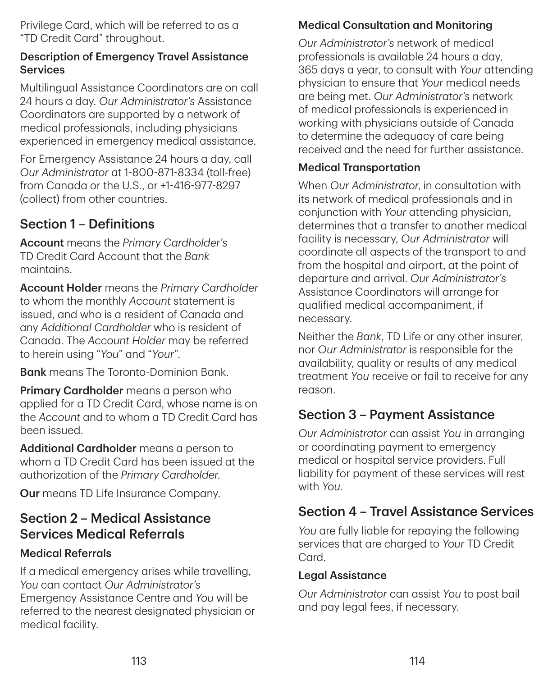Privilege Card, which will be referred to as a "TD Credit Card" throughout.

#### Description of Emergency Travel Assistance Services

Multilingual Assistance Coordinators are on call 24 hours a day. *Our Administrator's* Assistance Coordinators are supported by a network of medical professionals, including physicians experienced in emergency medical assistance.

For Emergency Assistance 24 hours a day, call *Our Administrator* at 1‑800‑871‑8334 (toll-free) from Canada or the U.S., or +1‑416‑977‑8297 (collect) from other countries.

## Section 1 – Definitions

Account means the *Primary Cardholder's* TD Credit Card Account that the *Bank* maintains.

Account Holder means the *Primary Cardholder* to whom the monthly *Account* statement is issued, and who is a resident of Canada and any *Additional Cardholder* who is resident of Canada. The *Account Holder* may be referred to herein using "*You*" and "*Your*".

**Bank** means The Toronto-Dominion Bank.

**Primary Cardholder** means a person who applied for a TD Credit Card, whose name is on the *Account* and to whom a TD Credit Card has been issued.

Additional Cardholder means a person to whom a TD Credit Card has been issued at the authorization of the *Primary Cardholder*.

Our means TD Life Insurance Company.

## Section 2 – Medical Assistance Services Medical Referrals

#### Medical Referrals

If a medical emergency arises while travelling, *You* can contact *Our Administrator's* Emergency Assistance Centre and *You* will be referred to the nearest designated physician or medical facility.

### Medical Consultation and Monitoring

*Our Administrator's* network of medical professionals is available 24 hours a day, 365 days a year, to consult with *Your* attending physician to ensure that *Your* medical needs are being met. *Our Administrator's* network of medical professionals is experienced in working with physicians outside of Canada to determine the adequacy of care being received and the need for further assistance.

#### Medical Transportation

When *Our Administrator*, in consultation with its network of medical professionals and in conjunction with *Your* attending physician, determines that a transfer to another medical facility is necessary, *Our Administrator* will coordinate all aspects of the transport to and from the hospital and airport, at the point of departure and arrival. *Our Administrator's* Assistance Coordinators will arrange for qualified medical accompaniment, if necessary.

Neither the *Bank*, TD Life or any other insurer, nor *Our Administrator* is responsible for the availability, quality or results of any medical treatment *You* receive or fail to receive for any reason.

## Section 3 – Payment Assistance

*Our Administrator* can assist *You* in arranging or coordinating payment to emergency medical or hospital service providers. Full liability for payment of these services will rest with *You*.

## Section 4 – Travel Assistance Services

*You* are fully liable for repaying the following services that are charged to *Your* TD Credit Card.

#### Legal Assistance

*Our Administrator* can assist *You* to post bail and pay legal fees, if necessary.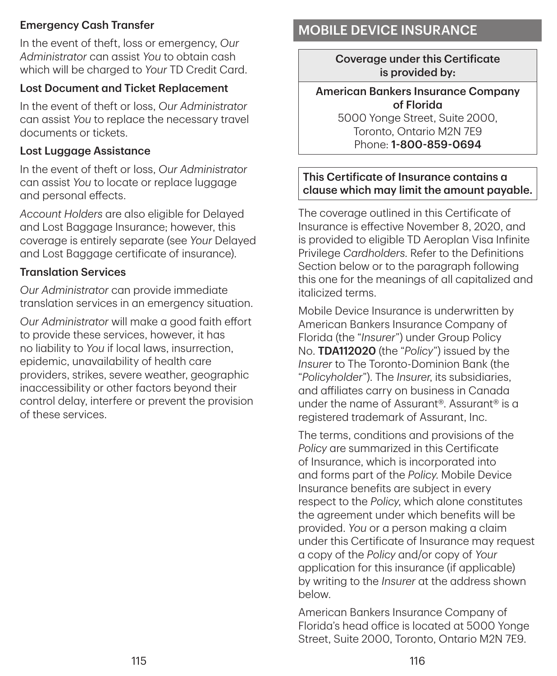#### Emergency Cash Transfer

In the event of theft, loss or emergency, *Our Administrator* can assist *You* to obtain cash which will be charged to *Your* TD Credit Card.

#### Lost Document and Ticket Replacement

In the event of theft or loss, *Our Administrator* can assist *You* to replace the necessary travel documents or tickets.

#### Lost Luggage Assistance

In the event of theft or loss, *Our Administrator* can assist *You* to locate or replace luggage and personal effects.

*Account Holders* are also eligible for Delayed and Lost Baggage Insurance; however, this coverage is entirely separate (see *Your* Delayed and Lost Baggage certificate of insurance).

#### Translation Services

*Our Administrator* can provide immediate translation services in an emergency situation.

*Our Administrator* will make a good faith effort to provide these services, however, it has no liability to *You* if local laws, insurrection, epidemic, unavailability of health care providers, strikes, severe weather, geographic inaccessibility or other factors beyond their control delay, interfere or prevent the provision of these services.

## MOBILE DEVICE INSURANCE

Coverage under this Certificate is provided by:

#### American Bankers Insurance Company of Florida

5000 Yonge Street, Suite 2000, Toronto, Ontario M2N 7E9 Phone: 1‑800‑859‑0694

#### This Certificate of Insurance contains a clause which may limit the amount payable.

The coverage outlined in this Certificate of Insurance is effective November 8, 2020, and is provided to eligible TD Aeroplan Visa Infinite Privilege *Cardholders*. Refer to the Definitions Section below or to the paragraph following this one for the meanings of all capitalized and italicized terms.

Mobile Device Insurance is underwritten by American Bankers Insurance Company of Florida (the "*Insurer*") under Group Policy No. TDA112020 (the "*Policy*") issued by the *Insurer* to The Toronto-Dominion Bank (the "*Policyholder*"). The *Insurer*, its subsidiaries, and affiliates carry on business in Canada under the name of Assurant®. Assurant® is a registered trademark of Assurant, Inc.

The terms, conditions and provisions of the *Policy* are summarized in this Certificate of Insurance, which is incorporated into and forms part of the *Policy*. Mobile Device Insurance benefits are subject in every respect to the *Policy*, which alone constitutes the agreement under which benefits will be provided. *You* or a person making a claim under this Certificate of Insurance may request a copy of the *Policy* and/or copy of *Your* application for this insurance (if applicable) by writing to the *Insurer* at the address shown below.

American Bankers Insurance Company of Florida's head office is located at 5000 Yonge Street, Suite 2000, Toronto, Ontario M2N 7E9.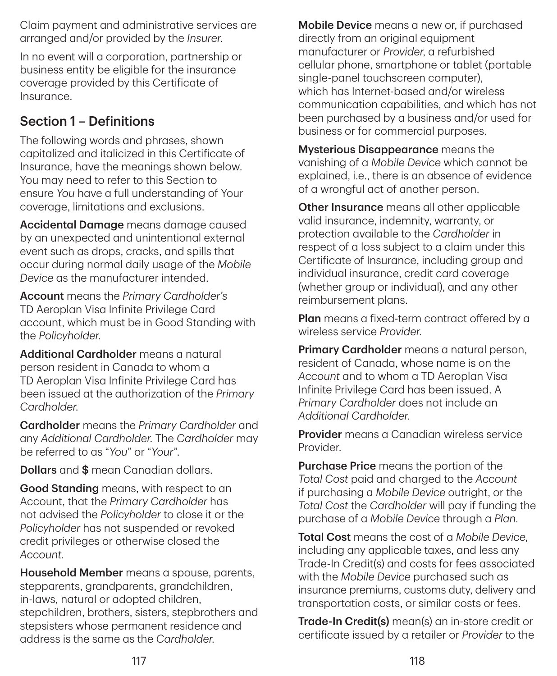Claim payment and administrative services are arranged and/or provided by the *Insurer*.

In no event will a corporation, partnership or business entity be eligible for the insurance coverage provided by this Certificate of Insurance.

## Section 1 – Definitions

The following words and phrases, shown capitalized and italicized in this Certificate of Insurance, have the meanings shown below. You may need to refer to this Section to ensure *You* have a full understanding of Your coverage, limitations and exclusions.

Accidental Damage means damage caused by an unexpected and unintentional external event such as drops, cracks, and spills that occur during normal daily usage of the *Mobile Device* as the manufacturer intended.

Account means the *Primary Cardholder's* TD Aeroplan Visa Infinite Privilege Card account, which must be in Good Standing with the *Policyholder*.

Additional Cardholder means a natural person resident in Canada to whom a TD Aeroplan Visa Infinite Privilege Card has been issued at the authorization of the *Primary Cardholder*.

Cardholder means the *Primary Cardholder* and any *Additional Cardholder*. The *Cardholder* may be referred to as "*You*" or "*Your*".

**Dollars** and \$ mean Canadian dollars.

Good Standing means, with respect to an Account, that the *Primary Cardholder* has not advised the *Policyholder* to close it or the *Policyholder* has not suspended or revoked credit privileges or otherwise closed the *Account*.

Household Member means a spouse, parents, stepparents, grandparents, grandchildren, in-laws, natural or adopted children, stepchildren, brothers, sisters, stepbrothers and stepsisters whose permanent residence and address is the same as the *Cardholder*.

**Mobile Device** means a new or, if purchased directly from an original equipment manufacturer or *Provider*, a refurbished cellular phone, smartphone or tablet (portable single-panel touchscreen computer), which has Internet-based and/or wireless communication capabilities, and which has not been purchased by a business and/or used for business or for commercial purposes.

Mysterious Disappearance means the vanishing of a *Mobile Device* which cannot be explained, i.e., there is an absence of evidence of a wrongful act of another person.

**Other Insurance** means all other applicable valid insurance, indemnity, warranty, or protection available to the *Cardholder* in respect of a loss subject to a claim under this Certificate of Insurance, including group and individual insurance, credit card coverage (whether group or individual), and any other reimbursement plans.

Plan means a fixed-term contract offered by a wireless service *Provider*.

**Primary Cardholder** means a natural person, resident of Canada, whose name is on the *Account* and to whom a TD Aeroplan Visa Infinite Privilege Card has been issued. A *Primary Cardholder* does not include an *Additional Cardholder*.

Provider means a Canadian wireless service Provider.

Purchase Price means the portion of the *Total Cost* paid and charged to the *Account* if purchasing a *Mobile Device* outright, or the *Total Cost* the *Cardholder* will pay if funding the purchase of a *Mobile Device* through a *Plan*.

Total Cost means the cost of a *Mobile Device*, including any applicable taxes, and less any Trade-In Credit(s) and costs for fees associated with the *Mobile Device* purchased such as insurance premiums, customs duty, delivery and transportation costs, or similar costs or fees.

Trade‑In Credit(s) mean(s) an in-store credit or certificate issued by a retailer or *Provider* to the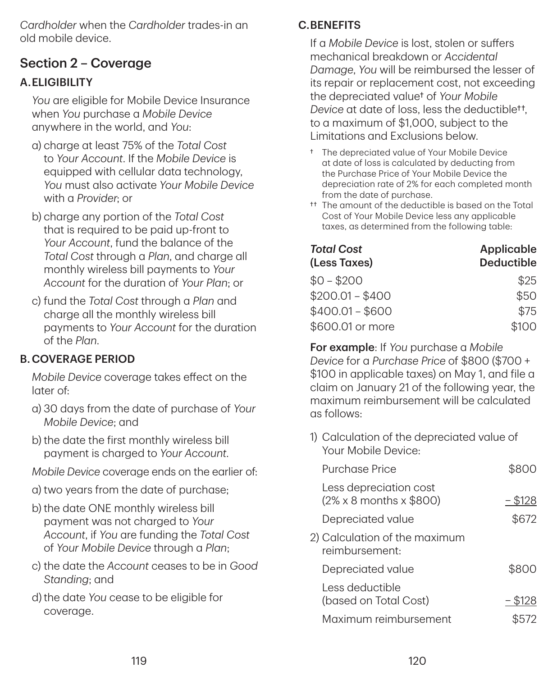*Cardholder* when the *Cardholder* trades-in an old mobile device.

## Section 2 – Coverage

### A.ELIGIBILITY

*You* are eligible for Mobile Device Insurance when *You* purchase a *Mobile Device* anywhere in the world, and *You*:

- a) charge at least 75% of the *Total Cost* to *Your Account*. If the *Mobile Device* is equipped with cellular data technology, *You* must also activate *Your Mobile Device* with a *Provider*; or
- b) charge any portion of the *Total Cost* that is required to be paid up-front to *Your Account*, fund the balance of the *Total Cost* through a *Plan*, and charge all monthly wireless bill payments to *Your Account* for the duration of *Your Plan*; or
- c) fund the *Total Cost* through a *Plan* and charge all the monthly wireless bill payments to *Your Account* for the duration of the *Plan*.

### B.COVERAGE PERIOD

*Mobile Device* coverage takes effect on the later of:

- a) 30 days from the date of purchase of *Your Mobile Device*; and
- b) the date the first monthly wireless bill payment is charged to *Your Account*.
- *Mobile Device* coverage ends on the earlier of:
- a) two years from the date of purchase;
- b) the date ONE monthly wireless bill payment was not charged to *Your Account*, if *You* are funding the *Total Cost* of *Your Mobile Device* through a *Plan*;
- c) the date the *Account* ceases to be in *Good Standing*; and
- d)the date *You* cease to be eligible for coverage.

### C. RENEFITS

If a *Mobile Device* is lost, stolen or suffers mechanical breakdown or *Accidental Damage*, *You* will be reimbursed the lesser of its repair or replacement cost, not exceeding the depreciated value† of *Your Mobile Device* at date of loss, less the deductible††, to a maximum of \$1,000, subject to the Limitations and Exclusions below.

- † The depreciated value of Your Mobile Device at date of loss is calculated by deducting from the Purchase Price of Your Mobile Device the depreciation rate of 2% for each completed month from the date of purchase.
- †† The amount of the deductible is based on the Total Cost of Your Mobile Device less any applicable taxes, as determined from the following table:

| <b>Total Cost</b><br>(Less Taxes) | <b>Applicable</b><br><b>Deductible</b> |  |
|-----------------------------------|----------------------------------------|--|
| $$0 - $200$                       | \$25                                   |  |
| $$200.01 - $400$                  | \$50                                   |  |
| $$400.01 - $600$                  | \$75                                   |  |
| \$600.01 or more                  | \$100                                  |  |

For example: If *You* purchase a *Mobile Device* for a *Purchase Price* of \$800 (\$700 + \$100 in applicable taxes) on May 1, and file a claim on January 21 of the following year, the maximum reimbursement will be calculated as follows:

1) Calculation of the depreciated value of Your Mobile Device:

| Purchase Price                                                        | \$800     |
|-----------------------------------------------------------------------|-----------|
| Less depreciation cost<br>$(2\% \times 8 \text{ months} \times $800)$ | $-$ \$128 |
| Depreciated value                                                     | \$672     |
| 2) Calculation of the maximum<br>reimbursement:                       |           |
| Depreciated value                                                     | \$800     |
| Less deductible<br>(based on Total Cost)                              | - \$128   |
| Maximum reimbursement                                                 |           |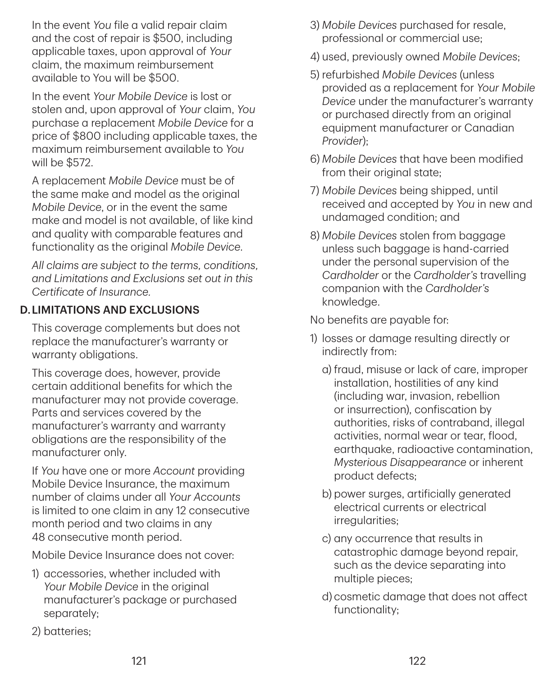In the event *You* file a valid repair claim and the cost of repair is \$500, including applicable taxes, upon approval of *Your* claim, the maximum reimbursement available to You will be \$500.

In the event *Your Mobile Device* is lost or stolen and, upon approval of *Your* claim, *You* purchase a replacement *Mobile Device* for a price of \$800 including applicable taxes, the maximum reimbursement available to *You* will be \$572.

A replacement *Mobile Device* must be of the same make and model as the original *Mobile Device*, or in the event the same make and model is not available, of like kind and quality with comparable features and functionality as the original *Mobile Device*.

*All claims are subject to the terms, conditions, and Limitations and Exclusions set out in this Certificate of Insurance.*

### D.LIMITATIONS AND EXCLUSIONS

This coverage complements but does not replace the manufacturer's warranty or warranty obligations.

This coverage does, however, provide certain additional benefits for which the manufacturer may not provide coverage. Parts and services covered by the manufacturer's warranty and warranty obligations are the responsibility of the manufacturer only.

If *You* have one or more *Account* providing Mobile Device Insurance, the maximum number of claims under all *Your Accounts* is limited to one claim in any 12 consecutive month period and two claims in any 48 consecutive month period.

Mobile Device Insurance does not cover:

- 1) accessories, whether included with *Your Mobile Device* in the original manufacturer's package or purchased separately;
- 2) batteries;
- 3) *Mobile Devices* purchased for resale, professional or commercial use;
- 4) used, previously owned *Mobile Devices*;
- 5) refurbished *Mobile Devices* (unless provided as a replacement for *Your Mobile Device* under the manufacturer's warranty or purchased directly from an original equipment manufacturer or Canadian *Provider*);
- 6) *Mobile Devices* that have been modified from their original state:
- 7) *Mobile Devices* being shipped, until received and accepted by *You* in new and undamaged condition; and
- 8) *Mobile Devices* stolen from baggage unless such baggage is hand-carried under the personal supervision of the *Cardholder* or the *Cardholder's* travelling companion with the *Cardholder's* knowledge.

No benefits are payable for:

- 1) losses or damage resulting directly or indirectly from:
	- a) fraud, misuse or lack of care, improper installation, hostilities of any kind (including war, invasion, rebellion or insurrection), confiscation by authorities, risks of contraband, illegal activities, normal wear or tear, flood, earthquake, radioactive contamination, *Mysterious Disappearance* or inherent product defects;
	- b) power surges, artificially generated electrical currents or electrical irregularities;
	- c) any occurrence that results in catastrophic damage beyond repair, such as the device separating into multiple pieces;
	- d) cosmetic damage that does not affect functionality;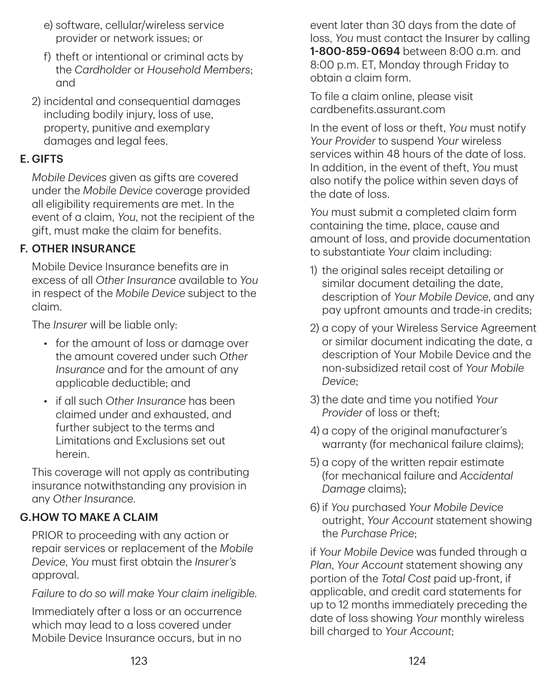- e) software, cellular/wireless service provider or network issues; or
- f) theft or intentional or criminal acts by the *Cardholder* or *Household Members*; and
- 2) incidental and consequential damages including bodily injury, loss of use, property, punitive and exemplary damages and legal fees.

#### E. GIFTS

*Mobile Devices* given as gifts are covered under the *Mobile Device* coverage provided all eligibility requirements are met. In the event of a claim, *You*, not the recipient of the gift, must make the claim for benefits.

### F. OTHER INSURANCE

Mobile Device Insurance benefits are in excess of all *Other Insurance* available to *You* in respect of the *Mobile Device* subject to the claim.

The *Insurer* will be liable only:

- for the amount of loss or damage over the amount covered under such *Other Insurance* and for the amount of any applicable deductible; and
- if all such *Other Insurance* has been claimed under and exhausted, and further subject to the terms and Limitations and Exclusions set out herein.

This coverage will not apply as contributing insurance notwithstanding any provision in any *Other Insurance*.

### G.HOW TO MAKE A CLAIM

PRIOR to proceeding with any action or repair services or replacement of the *Mobile Device*, *You* must first obtain the *Insurer's* approval.

*Failure to do so will make Your claim ineligible.*

Immediately after a loss or an occurrence which may lead to a loss covered under Mobile Device Insurance occurs, but in no

event later than 30 days from the date of loss, *You* must contact the Insurer by calling 1‑800‑859‑0694 between 8:00 a.m. and 8:00 p.m. ET, Monday through Friday to obtain a claim form.

To file a claim online, please visit [cardbenefits.assurant.com](https://cardbenefits.assurant.com)

In the event of loss or theft, *You* must notify *Your Provider* to suspend *Your* wireless services within 48 hours of the date of loss. In addition, in the event of theft, *You* must also notify the police within seven days of the date of loss.

*You* must submit a completed claim form containing the time, place, cause and amount of loss, and provide documentation to substantiate *Your* claim including:

- 1) the original sales receipt detailing or similar document detailing the date, description of *Your Mobile Device*, and any pay upfront amounts and trade-in credits;
- 2) a copy of your Wireless Service Agreement or similar document indicating the date, a description of Your Mobile Device and the non-subsidized retail cost of *Your Mobile Device*;
- 3) the date and time you notified *Your Provider* of loss or theft;
- 4) a copy of the original manufacturer's warranty (for mechanical failure claims);
- 5) a copy of the written repair estimate (for mechanical failure and Accidental Damage claims);
- 6) if *You* purchased *Your Mobile Device* outright, *Your Account* statement showing the *Purchase Price*;

if *Your Mobile Device* was funded through a *Plan*, *Your Account* statement showing any portion of the *Total Cost* paid up-front, if applicable, and credit card statements for up to 12 months immediately preceding the date of loss showing *Your* monthly wireless bill charged to *Your Account*;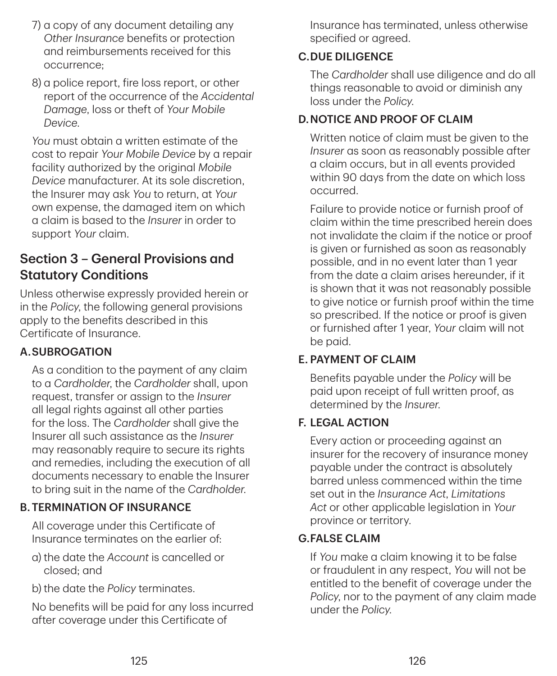- 7) a copy of any document detailing any *Other Insurance* benefits or protection and reimbursements received for this occurrence;
- 8) a police report, fire loss report, or other report of the occurrence of the *Accidental Damage*, loss or theft of *Your Mobile Device*.

*You* must obtain a written estimate of the cost to repair *Your Mobile Device* by a repair facility authorized by the original *Mobile Device* manufacturer. At its sole discretion, the Insurer may ask *You* to return, at *Your* own expense, the damaged item on which a claim is based to the *Insurer* in order to support *Your* claim.

### Section 3 – General Provisions and Statutory Conditions

Unless otherwise expressly provided herein or in the *Policy*, the following general provisions apply to the benefits described in this Certificate of Insurance.

### A.SUBROGATION

As a condition to the payment of any claim to a *Cardholder*, the *Cardholder* shall, upon request, transfer or assign to the *Insurer* all legal rights against all other parties for the loss. The *Cardholder* shall give the Insurer all such assistance as the *Insurer* may reasonably require to secure its rights and remedies, including the execution of all documents necessary to enable the Insurer to bring suit in the name of the *Cardholder*.

### B.TERMINATION OF INSURANCE

All coverage under this Certificate of Insurance terminates on the earlier of:

- a) the date the *Account* is cancelled or closed; and
- b) the date the *Policy* terminates.

No benefits will be paid for any loss incurred after coverage under this Certificate of

Insurance has terminated, unless otherwise specified or agreed.

### C.DUE DILIGENCE

The *Cardholder* shall use diligence and do all things reasonable to avoid or diminish any loss under the *Policy*.

### D.NOTICE AND PROOF OF CLAIM

Written notice of claim must be given to the *Insurer* as soon as reasonably possible after a claim occurs, but in all events provided within 90 days from the date on which loss occurred.

Failure to provide notice or furnish proof of claim within the time prescribed herein does not invalidate the claim if the notice or proof is given or furnished as soon as reasonably possible, and in no event later than 1 year from the date a claim arises hereunder, if it is shown that it was not reasonably possible to give notice or furnish proof within the time so prescribed. If the notice or proof is given or furnished after 1 year, *Your* claim will not be paid.

### E. PAYMENT OF CLAIM

Benefits payable under the *Policy* will be paid upon receipt of full written proof, as determined by the *Insurer*.

### F. LEGAL ACTION

Every action or proceeding against an insurer for the recovery of insurance money payable under the contract is absolutely barred unless commenced within the time set out in the *Insurance Act*, *Limitations Act* or other applicable legislation in *Your* province or territory.

#### G.FALSE CLAIM

If *You* make a claim knowing it to be false or fraudulent in any respect, *You* will not be entitled to the benefit of coverage under the *Policy*, nor to the payment of any claim made under the *Policy*.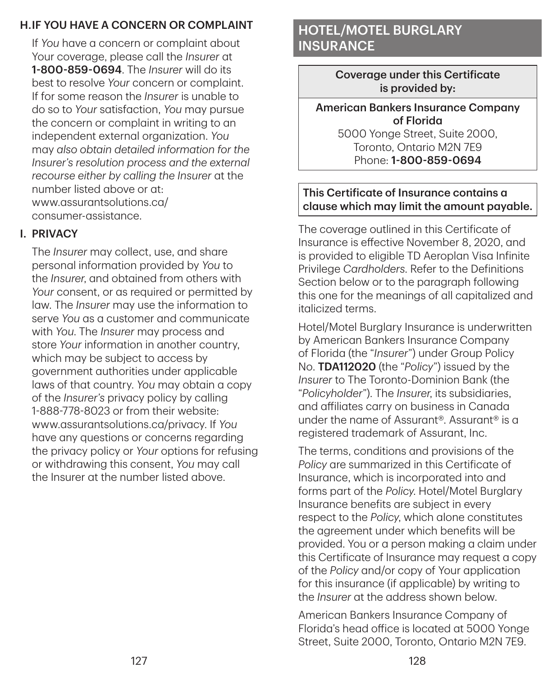### H.IF YOU HAVE A CONCERN OR COMPLAINT

If *You* have a concern or complaint about Your coverage, please call the *Insurer* at 1‑800‑859‑0694. The *Insurer* will do its best to resolve *Your* concern or complaint. If for some reason the *Insurer* is unable to do so to *Your* satisfaction, *You* may pursue the concern or complaint in writing to an independent external organization. *You* may *also obtain detailed information for the Insurer's resolution process and the external recourse either by calling the Insurer* at the number listed above or at: [www.assurantsolutions.ca/](https://www.assurantsolutions.ca/consumer-assistance) consumer-assistance.

#### I. PRIVACY

The *Insurer* may collect, use, and share personal information provided by *You* to the *Insurer*, and obtained from others with *Your* consent, or as required or permitted by law. The *Insurer* may use the information to serve *You* as a customer and communicate with *You*. The *Insurer* may process and store *Your* information in another country, which may be subject to access by government authorities under applicable laws of that country. *You* may obtain a copy of the *Insurer's* privacy policy by calling 1‑888‑778‑8023 or from their website: [www.assurantsolutions.ca/privacy.](https://www.assurantsolutions.ca/privacy) If *You* have any questions or concerns regarding the privacy policy or *Your* options for refusing or withdrawing this consent, *You* may call the Insurer at the number listed above.

## HOTEL/MOTEL BURGLARY **INSURANCE**

Coverage under this Certificate is provided by:

American Bankers Insurance Company of Florida

5000 Yonge Street, Suite 2000, Toronto, Ontario M2N 7E9 Phone: 1‑800‑859‑0694

#### This Certificate of Insurance contains a clause which may limit the amount payable.

The coverage outlined in this Certificate of Insurance is effective November 8, 2020, and is provided to eligible TD Aeroplan Visa Infinite Privilege *Cardholders*. Refer to the Definitions Section below or to the paragraph following this one for the meanings of all capitalized and italicized terms.

Hotel/Motel Burglary Insurance is underwritten by American Bankers Insurance Company of Florida (the "*Insurer*") under Group Policy No. TDA112020 (the "*Policy*") issued by the *Insurer* to The Toronto-Dominion Bank (the "*Policyholder*"). The *Insurer*, its subsidiaries, and affiliates carry on business in Canada under the name of Assurant®. Assurant® is a registered trademark of Assurant, Inc.

The terms, conditions and provisions of the *Policy* are summarized in this Certificate of Insurance, which is incorporated into and forms part of the *Policy*. Hotel/Motel Burglary Insurance benefits are subject in every respect to the *Policy*, which alone constitutes the agreement under which benefits will be provided. You or a person making a claim under this Certificate of Insurance may request a copy of the *Policy* and/or copy of Your application for this insurance (if applicable) by writing to the *Insurer* at the address shown below.

American Bankers Insurance Company of Florida's head office is located at 5000 Yonge Street, Suite 2000, Toronto, Ontario M2N 7E9.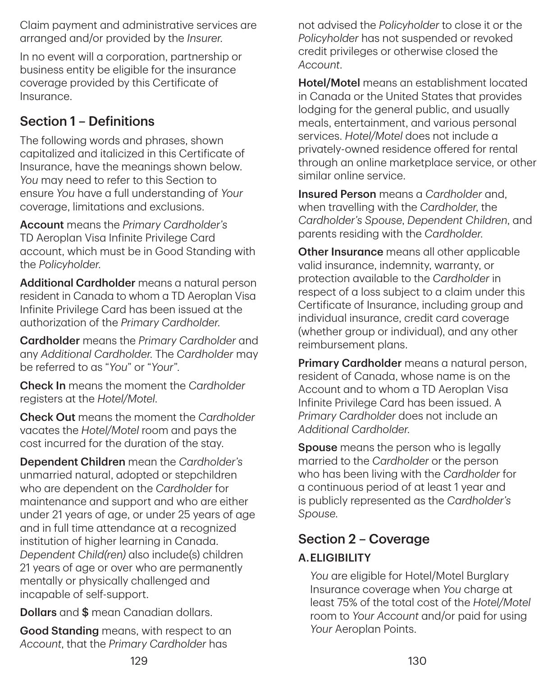Claim payment and administrative services are arranged and/or provided by the *Insurer*.

In no event will a corporation, partnership or business entity be eligible for the insurance coverage provided by this Certificate of Insurance.

## Section 1 – Definitions

The following words and phrases, shown capitalized and italicized in this Certificate of Insurance, have the meanings shown below. *You* may need to refer to this Section to ensure *You* have a full understanding of *Your* coverage, limitations and exclusions.

Account means the *Primary Cardholder's* TD Aeroplan Visa Infinite Privilege Card account, which must be in Good Standing with the *Policyholder*.

Additional Cardholder means a natural person resident in Canada to whom a TD Aeroplan Visa Infinite Privilege Card has been issued at the authorization of the *Primary Cardholder*.

Cardholder means the *Primary Cardholder* and any *Additional Cardholder*. The *Cardholder* may be referred to as "*You*" or "*Your*".

Check In means the moment the *Cardholder* registers at the *Hotel/Motel*.

Check Out means the moment the *Cardholder* vacates the *Hotel/Motel* room and pays the cost incurred for the duration of the stay.

Dependent Children mean the *Cardholder's* unmarried natural, adopted or stepchildren who are dependent on the *Cardholder* for maintenance and support and who are either under 21 years of age, or under 25 years of age and in full time attendance at a recognized institution of higher learning in Canada. *Dependent Child(ren)* also include(s) children 21 years of age or over who are permanently mentally or physically challenged and incapable of self-support.

Dollars and \$ mean Canadian dollars.

Good Standing means, with respect to an *Account*, that the *Primary Cardholder* has

not advised the *Policyholder* to close it or the *Policyholder* has not suspended or revoked credit privileges or otherwise closed the *Account*.

Hotel/Motel means an establishment located in Canada or the United States that provides lodging for the general public, and usually meals, entertainment, and various personal services. *Hotel/Motel* does not include a privately-owned residence offered for rental through an online marketplace service, or other similar online service.

Insured Person means a *Cardholder* and, when travelling with the *Cardholder*, the *Cardholder's Spouse*, *Dependent Children*, and parents residing with the *Cardholder*.

Other Insurance means all other applicable valid insurance, indemnity, warranty, or protection available to the *Cardholder* in respect of a loss subject to a claim under this Certificate of Insurance, including group and individual insurance, credit card coverage (whether group or individual), and any other reimbursement plans.

Primary Cardholder means a natural person, resident of Canada, whose name is on the Account and to whom a TD Aeroplan Visa Infinite Privilege Card has been issued. A *Primary Cardholder* does not include an *Additional Cardholder*.

Spouse means the person who is legally married to the *Cardholder* or the person who has been living with the *Cardholder* for a continuous period of at least 1 year and is publicly represented as the *Cardholder's Spouse*.

## Section 2 – Coverage

## A.ELIGIBILITY

*You* are eligible for Hotel/Motel Burglary Insurance coverage when *You* charge at least 75% of the total cost of the *Hotel/Motel* room to *Your Account* and/or paid for using *Your* Aeroplan Points.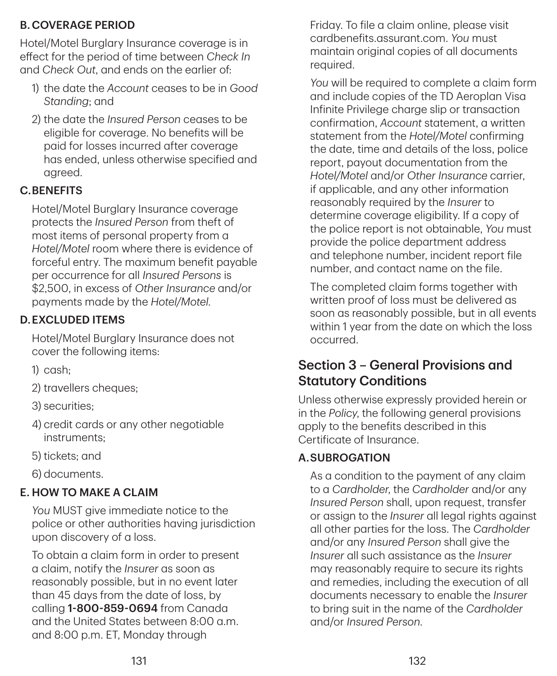### B.COVERAGE PERIOD

Hotel/Motel Burglary Insurance coverage is in effect for the period of time between *Check In* and *Check Out*, and ends on the earlier of:

- 1) the date the *Account* ceases to be in *Good Standing*; and
- 2) the date the *Insured Person* ceases to be eligible for coverage. No benefits will be paid for losses incurred after coverage has ended, unless otherwise specified and agreed.

### C.BENEFITS

Hotel/Motel Burglary Insurance coverage protects the *Insured Person* from theft of most items of personal property from a *Hotel/Motel* room where there is evidence of forceful entry. The maximum benefit payable per occurrence for all *Insured Persons* is \$2,500, in excess of *Other Insurance* and/or payments made by the *Hotel/Motel*.

### D.EXCLUDED ITEMS

Hotel/Motel Burglary Insurance does not cover the following items:

- 1) cash;
- 2) travellers cheques;
- 3) securities;
- 4) credit cards or any other negotiable instruments;
- 5) tickets; and
- 6) documents.

## E. HOW TO MAKE A CLAIM

*You* MUST give immediate notice to the police or other authorities having jurisdiction upon discovery of a loss.

To obtain a claim form in order to present a claim, notify the *Insurer* as soon as reasonably possible, but in no event later than 45 days from the date of loss, by calling 1-800-859-0694 from Canada and the United States between 8:00 a.m. and 8:00 p.m. ET, Monday through

Friday. To file a claim online, please visit cardbenefits.assurant.com. *You* must maintain original copies of all documents required.

*You* will be required to complete a claim form and include copies of the TD Aeroplan Visa Infinite Privilege charge slip or transaction confirmation, *Account* statement, a written statement from the *Hotel/Motel* confirming the date, time and details of the loss, police report, payout documentation from the *Hotel/Motel* and/or *Other Insurance* carrier, if applicable, and any other information reasonably required by the *Insurer* to determine coverage eligibility. If a copy of the police report is not obtainable, *You* must provide the police department address and telephone number, incident report file number, and contact name on the file.

The completed claim forms together with written proof of loss must be delivered as soon as reasonably possible, but in all events within 1 year from the date on which the loss occurred.

## Section 3 – General Provisions and Statutory Conditions

Unless otherwise expressly provided herein or in the *Policy*, the following general provisions apply to the benefits described in this Certificate of Insurance.

## A.SUBROGATION

As a condition to the payment of any claim to a *Cardholder*, the *Cardholder* and/or any *Insured Person* shall, upon request, transfer or assign to the *Insurer* all legal rights against all other parties for the loss. The *Cardholder* and/or any *Insured Person* shall give the *Insurer* all such assistance as the *Insurer* may reasonably require to secure its rights and remedies, including the execution of all documents necessary to enable the *Insurer* to bring suit in the name of the *Cardholder* and/or *Insured Person*.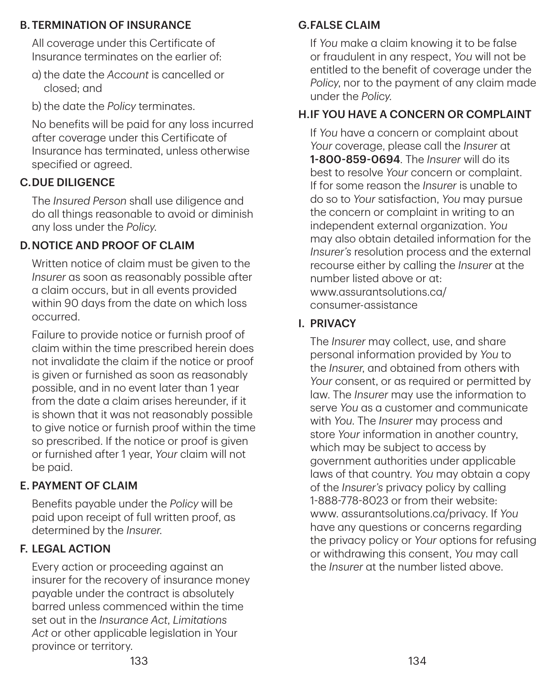#### B.TERMINATION OF INSURANCE

All coverage under this Certificate of Insurance terminates on the earlier of:

- a) the date the *Account* is cancelled or closed; and
- b) the date the *Policy* terminates.

No benefits will be paid for any loss incurred after coverage under this Certificate of Insurance has terminated, unless otherwise specified or agreed.

## C.DUE DILIGENCE

The *Insured Person* shall use diligence and do all things reasonable to avoid or diminish any loss under the *Policy*.

### D.NOTICE AND PROOF OF CLAIM

Written notice of claim must be given to the *Insurer* as soon as reasonably possible after a claim occurs, but in all events provided within 90 days from the date on which loss occurred.

Failure to provide notice or furnish proof of claim within the time prescribed herein does not invalidate the claim if the notice or proof is given or furnished as soon as reasonably possible, and in no event later than 1 year from the date a claim arises hereunder, if it is shown that it was not reasonably possible to give notice or furnish proof within the time so prescribed. If the notice or proof is given or furnished after 1 year, *Your* claim will not be paid.

## E. PAYMENT OF CLAIM

Benefits payable under the *Policy* will be paid upon receipt of full written proof, as determined by the *Insurer*.

## F. LEGAL ACTION

Every action or proceeding against an insurer for the recovery of insurance money payable under the contract is absolutely barred unless commenced within the time set out in the *Insurance Act*, *Limitations Act* or other applicable legislation in Your province or territory.

## G.FALSE CLAIM

If *You* make a claim knowing it to be false or fraudulent in any respect, *You* will not be entitled to the benefit of coverage under the *Policy*, nor to the payment of any claim made under the *Policy*.

### H.IF YOU HAVE A CONCERN OR COMPLAINT

If *You* have a concern or complaint about *Your* coverage, please call the *Insurer* at 1‑800‑859‑0694. The *Insurer* will do its best to resolve *Your* concern or complaint. If for some reason the *Insurer* is unable to do so to *Your* satisfaction, *You* may pursue the concern or complaint in writing to an independent external organization. *You* may also obtain detailed information for the *Insurer's* resolution process and the external recourse either by calling the *Insurer* at the number listed above or at: [www.assurantsolutions.ca/](https://www.assurantsolutions.ca/consumer-assistance) consumer-assistance

### I. PRIVACY

The *Insurer* may collect, use, and share personal information provided by *You* to the *Insurer*, and obtained from others with *Your* consent, or as required or permitted by law. The *Insurer* may use the information to serve *You* as a customer and communicate with *You*. The *Insurer* may process and store *Your* information in another country, which may be subject to access by government authorities under applicable laws of that country. *You* may obtain a copy of the *Insurer's* privacy policy by calling 1‑888‑778‑8023 or from their website: [www. assurantsolutions.ca/privacy.](https://www.assurantsolutions.ca/privacy) If *You* have any questions or concerns regarding the privacy policy or *Your* options for refusing or withdrawing this consent, *You* may call the *Insurer* at the number listed above.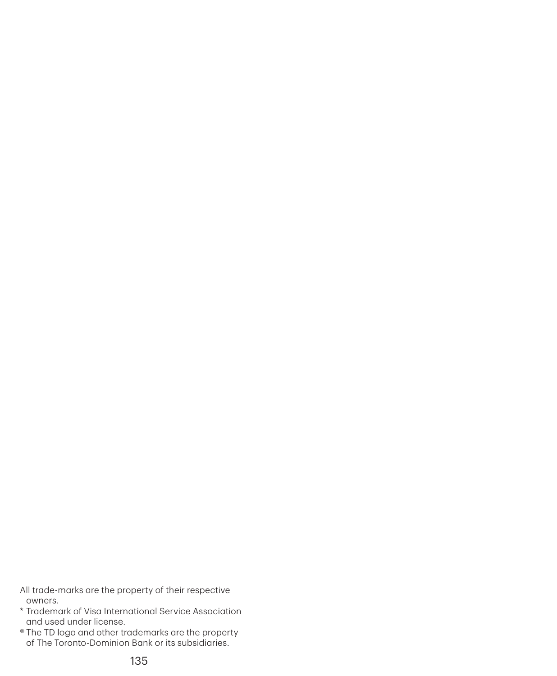All trade-marks are the property of their respective owners.

- \* Trademark of Visa International Service Association and used under license.
- ® The TD logo and other trademarks are the property of The Toronto-Dominion Bank or its subsidiaries.